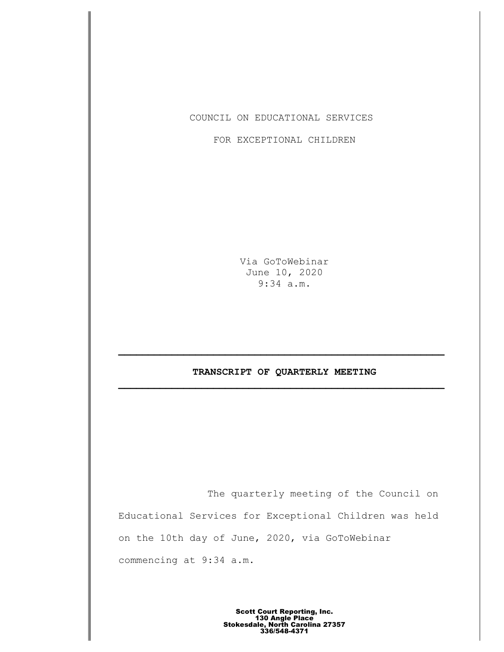COUNCIL ON EDUCATIONAL SERVICES

FOR EXCEPTIONAL CHILDREN

Via GoToWebinar June 10, 2020 9:34 a.m.

# **TRANSCRIPT OF QUARTERLY MEETING \_\_\_\_\_\_\_\_\_\_\_\_\_\_\_\_\_\_\_\_\_\_\_\_\_\_\_\_\_\_\_\_\_\_\_\_\_\_\_\_\_\_\_\_\_\_\_\_\_\_\_\_\_\_\_**

The quarterly meeting of the Council on Educational Services for Exceptional Children was held on the 10th day of June, 2020, via GoToWebinar commencing at 9:34 a.m.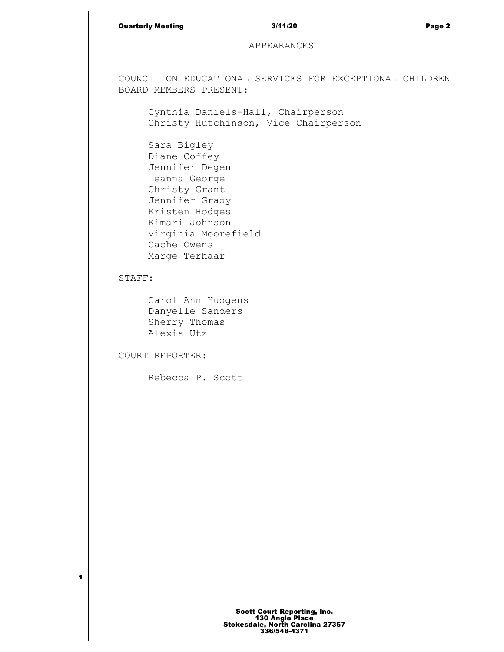## Quarterly Meeting and the state of the 3/11/20 and the state of the Page 2

# APPEARANCES

COUNCIL ON EDUCATIONAL SERVICES FOR EXCEPTIONAL CHILDREN BOARD MEMBERS PRESENT:

Cynthia Daniels-Hall, Chairperson Christy Hutchinson, Vice Chairperson

Sara Bigley Diane Coffey Jennifer Degen Leanna George Christy Grant Jennifer Grady Kristen Hodges Kimari Johnson Virginia Moorefield Cache Owens Marge Terhaar

STAFF:

**1**

Carol Ann Hudgens Danyelle Sanders Sherry Thomas Alexis Utz

COURT REPORTER:

Rebecca P. Scott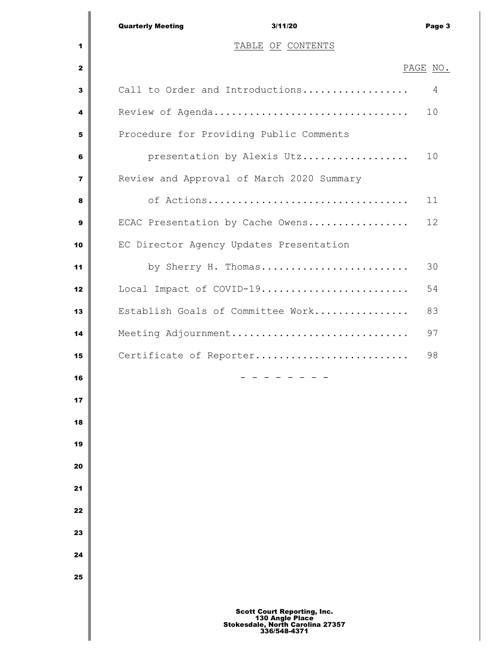|                         | <b>Quarterly Meeting</b><br>3/11/20                   | Page 3   |
|-------------------------|-------------------------------------------------------|----------|
| 1                       | TABLE OF CONTENTS                                     |          |
| $\mathbf{z}$            |                                                       | PAGE NO. |
| $\overline{\mathbf{3}}$ | Call to Order and Introductions                       | 4        |
| 4                       | Review of Agenda                                      | 10       |
| 5                       | Procedure for Providing Public Comments               |          |
| 6                       | presentation by Alexis Utz                            | 10       |
| $\overline{7}$          | Review and Approval of March 2020 Summary             |          |
| 8                       | of Actions                                            | 11       |
| 9                       | ECAC Presentation by Cache Owens                      | 12       |
| 10                      | EC Director Agency Updates Presentation               |          |
| 11                      | by Sherry H. Thomas                                   | 30       |
| 12                      | Local Impact of COVID-19                              | 54       |
| 13                      | Establish Goals of Committee Work                     | 83       |
| 14                      | Meeting Adjournment                                   | 97       |
| 15                      | Certificate of Reporter                               | 98       |
| 16                      |                                                       |          |
| 17                      |                                                       |          |
| 18                      |                                                       |          |
| 19                      |                                                       |          |
| 20                      |                                                       |          |
| 21                      |                                                       |          |
| 22                      |                                                       |          |
| 23                      |                                                       |          |
| 24                      |                                                       |          |
| 25                      |                                                       |          |
|                         | <b>Scott Court Reporting, Inc.</b><br>130 Angle Place |          |

∥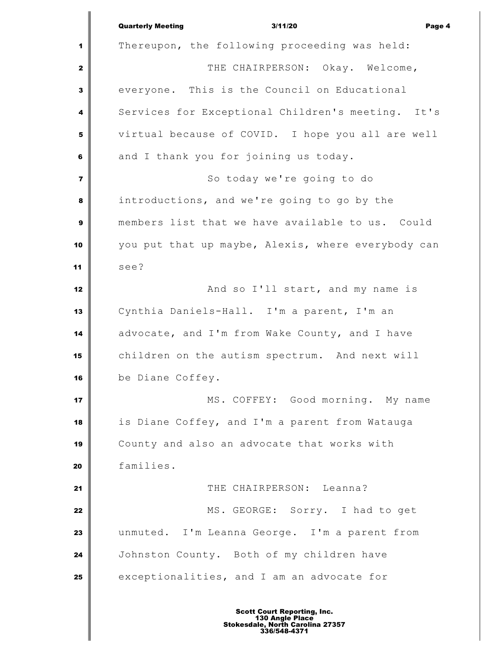Quarterly Meeting 3/11/20 Page 4 Thereupon, the following proceeding was held: THE CHAIRPERSON: Okay. Welcome, everyone. This is the Council on Educational Services for Exceptional Children's meeting. It's virtual because of COVID. I hope you all are well and I thank you for joining us today. So today we're going to do introductions, and we're going to go by the members list that we have available to us. Could you put that up maybe, Alexis, where everybody can see? And so I'll start, and my name is Cynthia Daniels-Hall. I'm a parent, I'm an advocate, and I'm from Wake County, and I have children on the autism spectrum. And next will be Diane Coffey. MS. COFFEY: Good morning. My name is Diane Coffey, and I'm a parent from Watauga County and also an advocate that works with families. **I** THE CHAIRPERSON: Leanna? MS. GEORGE: Sorry. I had to get unmuted. I'm Leanna George. I'm a parent from Johnston County. Both of my children have exceptionalities, and I am an advocate for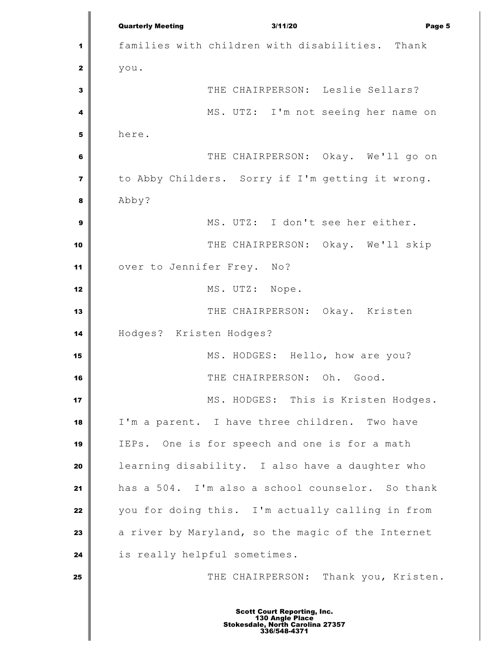Quarterly Meeting 3/11/20 Page 5 families with children with disabilities. Thank you. THE CHAIRPERSON: Leslie Sellars? MS. UTZ: I'm not seeing her name on here. THE CHAIRPERSON: Okay. We'll go on to Abby Childers. Sorry if I'm getting it wrong. Abby? MS. UTZ: I don't see her either. THE CHAIRPERSON: Okay. We'll skip over to Jennifer Frey. No? MS. UTZ: Nope. THE CHAIRPERSON: Okay. Kristen Hodges? Kristen Hodges? MS. HODGES: Hello, how are you? THE CHAIRPERSON: Oh. Good. MS. HODGES: This is Kristen Hodges. I'm a parent. I have three children. Two have IEPs. One is for speech and one is for a math learning disability. I also have a daughter who has a 504. I'm also a school counselor. So thank you for doing this. I'm actually calling in from a river by Maryland, so the magic of the Internet is really helpful sometimes. THE CHAIRPERSON: Thank you, Kristen. Scott Court Reporting, Inc. 130 Angle Place Stokesdale, North Carolina 27357 336/548-4371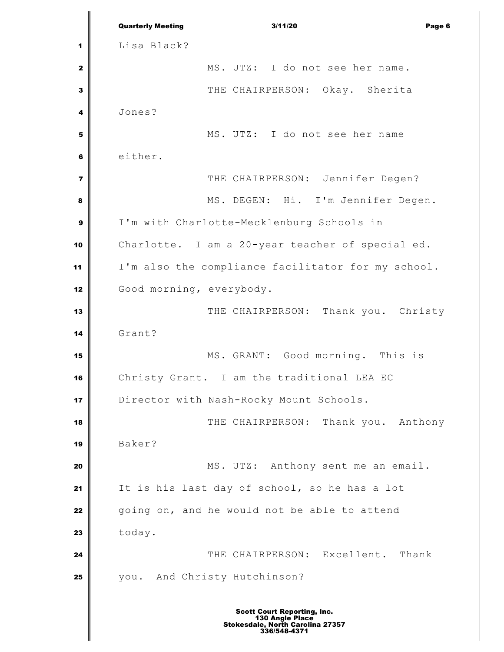Quarterly Meeting 3/11/20 Page 6 Lisa Black? MS. UTZ: I do not see her name. THE CHAIRPERSON: Okay. Sherita Jones? MS. UTZ: I do not see her name either. THE CHAIRPERSON: Jennifer Degen? MS. DEGEN: Hi. I'm Jennifer Degen. I'm with Charlotte-Mecklenburg Schools in Charlotte. I am a 20-year teacher of special ed. I'm also the compliance facilitator for my school. Good morning, everybody. THE CHAIRPERSON: Thank you. Christy Grant? MS. GRANT: Good morning. This is Christy Grant. I am the traditional LEA EC Director with Nash-Rocky Mount Schools.  $\parallel$  **THE CHAIRPERSON:** Thank you. Anthony Baker? MS. UTZ: Anthony sent me an email. It is his last day of school, so he has a lot going on, and he would not be able to attend today. **I** THE CHAIRPERSON: Excellent. Thank you. And Christy Hutchinson?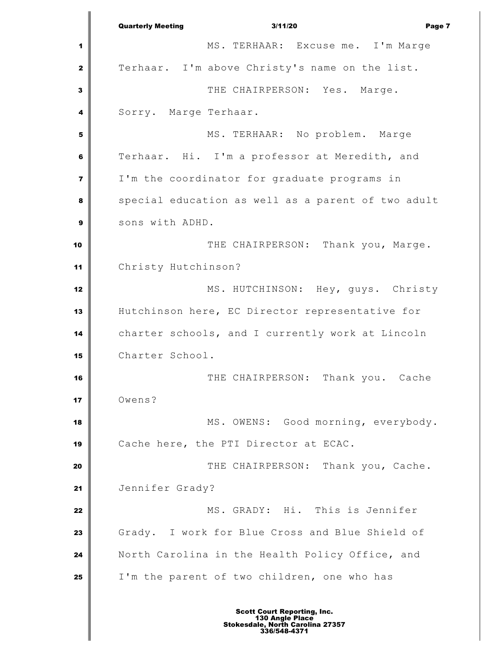Quarterly Meeting 3/11/20 Page 7 MS. TERHAAR: Excuse me. I'm Marge Terhaar. I'm above Christy's name on the list. THE CHAIRPERSON: Yes. Marge. Sorry. Marge Terhaar. MS. TERHAAR: No problem. Marge Terhaar. Hi. I'm a professor at Meredith, and I'm the coordinator for graduate programs in special education as well as a parent of two adult sons with ADHD. THE CHAIRPERSON: Thank you, Marge. Christy Hutchinson? MS. HUTCHINSON: Hey, guys. Christy Hutchinson here, EC Director representative for charter schools, and I currently work at Lincoln Charter School. THE CHAIRPERSON: Thank you. Cache Owens? MS. OWENS: Good morning, everybody. Cache here, the PTI Director at ECAC. THE CHAIRPERSON: Thank you, Cache. Jennifer Grady? MS. GRADY: Hi. This is Jennifer Grady. I work for Blue Cross and Blue Shield of North Carolina in the Health Policy Office, and I'm the parent of two children, one who has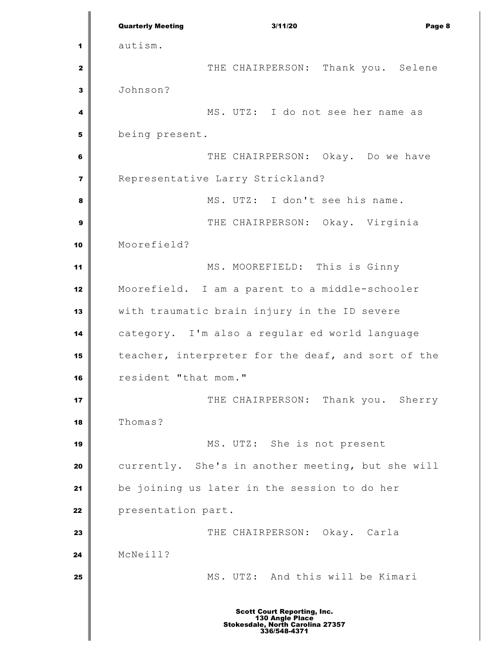Quarterly Meeting 3/11/20 Page 8 autism. THE CHAIRPERSON: Thank you. Selene Johnson? MS. UTZ: I do not see her name as being present.  $\parallel$  **THE CHAIRPERSON:** Okay. Do we have Representative Larry Strickland? MS. UTZ: I don't see his name. THE CHAIRPERSON: Okay. Virginia Moorefield? MS. MOOREFIELD: This is Ginny Moorefield. I am a parent to a middle-schooler with traumatic brain injury in the ID severe category. I'm also a regular ed world language teacher, interpreter for the deaf, and sort of the resident "that mom." THE CHAIRPERSON: Thank you. Sherry Thomas? MS. UTZ: She is not present currently. She's in another meeting, but she will be joining us later in the session to do her **presentation part.**  THE CHAIRPERSON: Okay. Carla McNeill? MS. UTZ: And this will be Kimari Scott Court Reporting, Inc. 130 Angle Place Stokesdale, North Carolina 27357 336/548-4371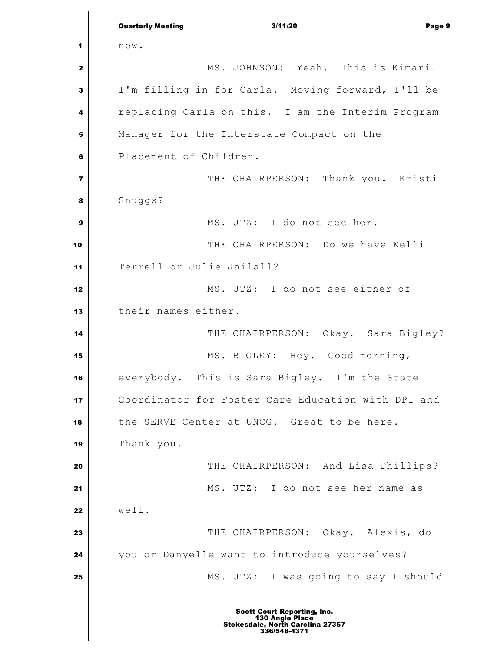Quarterly Meeting 3/11/20 Page 9 now. MS. JOHNSON: Yeah. This is Kimari. I'm filling in for Carla. Moving forward, I'll be replacing Carla on this. I am the Interim Program Manager for the Interstate Compact on the Placement of Children. THE CHAIRPERSON: Thank you. Kristi Snuggs? MS. UTZ: I do not see her. THE CHAIRPERSON: Do we have Kelli Terrell or Julie Jailall? MS. UTZ: I do not see either of their names either. **14 CHAIRPERSON:** Okay. Sara Bigley? MS. BIGLEY: Hey. Good morning, everybody. This is Sara Bigley. I'm the State Coordinator for Foster Care Education with DPI and 18 the SERVE Center at UNCG. Great to be here. Thank you. THE CHAIRPERSON: And Lisa Phillips? MS. UTZ: I do not see her name as well. THE CHAIRPERSON: Okay. Alexis, do you or Danyelle want to introduce yourselves? MS. UTZ: I was going to say I should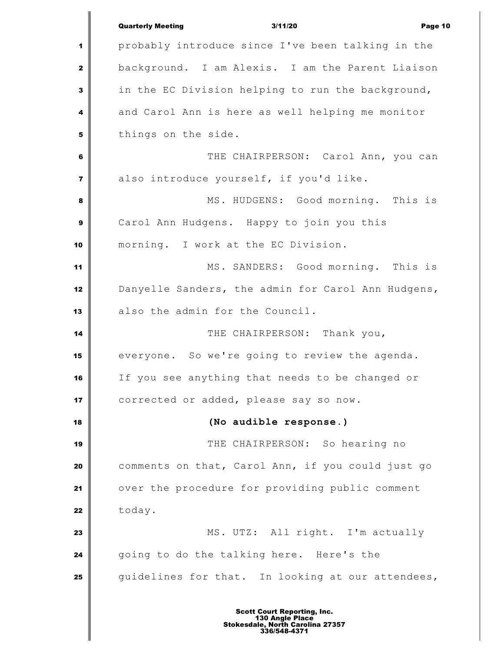|                | <b>Quarterly Meeting</b><br>3/11/20<br>Page 10     |
|----------------|----------------------------------------------------|
| 1              | probably introduce since I've been talking in the  |
| $\mathbf{z}$   | background. I am Alexis. I am the Parent Liaison   |
| 3              | in the EC Division helping to run the background,  |
| 4              | and Carol Ann is here as well helping me monitor   |
| 5              | things on the side.                                |
| 6              | THE CHAIRPERSON: Carol Ann, you can                |
| $\overline{7}$ | also introduce yourself, if you'd like.            |
| 8              | MS. HUDGENS: Good morning. This is                 |
| 9              | Carol Ann Hudgens. Happy to join you this          |
| 10             | morning. I work at the EC Division.                |
| 11             | MS. SANDERS: Good morning. This is                 |
| 12             | Danyelle Sanders, the admin for Carol Ann Hudgens, |
| 13             | also the admin for the Council.                    |
| 14             | THE CHAIRPERSON: Thank you,                        |
| 15             | everyone. So we're going to review the agenda.     |
| 16             | If you see anything that needs to be changed or    |
| 17             | corrected or added, please say so now.             |
| 18             | (No audible response.)                             |
| 19             | THE CHAIRPERSON: So hearing no                     |
| 20             | comments on that, Carol Ann, if you could just go  |
| 21             | over the procedure for providing public comment    |
| 22             | today.                                             |
| 23             | MS. UTZ: All right. I'm actually                   |
| 24             | going to do the talking here. Here's the           |
| 25             | guidelines for that. In looking at our attendees,  |
|                |                                                    |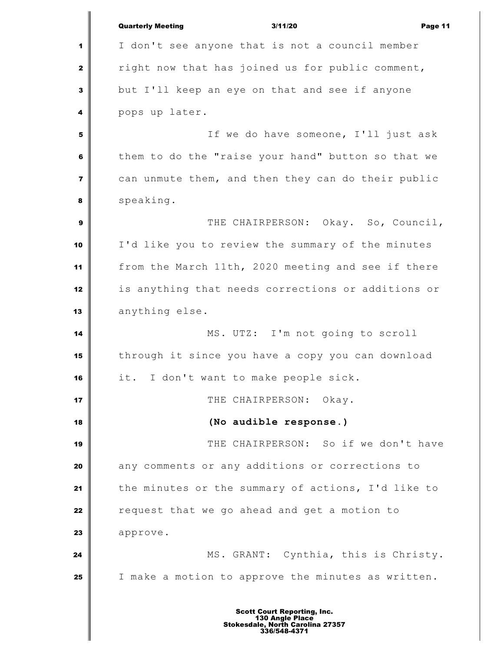|                         | <b>Quarterly Meeting</b><br>3/11/20<br>Page 11        |
|-------------------------|-------------------------------------------------------|
| 1                       | I don't see anyone that is not a council member       |
| $\mathbf{2}$            | right now that has joined us for public comment,      |
| $\mathbf{3}$            | but I'll keep an eye on that and see if anyone        |
| 4                       | pops up later.                                        |
| 5                       | If we do have someone, I'll just ask                  |
| 6                       | them to do the "raise your hand" button so that we    |
| $\overline{\mathbf{z}}$ | can unmute them, and then they can do their public    |
| 8                       | speaking.                                             |
| 9                       | THE CHAIRPERSON: Okay. So, Council,                   |
| 10                      | I'd like you to review the summary of the minutes     |
| 11                      | from the March 11th, 2020 meeting and see if there    |
| 12                      | is anything that needs corrections or additions or    |
| 13                      | anything else.                                        |
| 14                      | MS. UTZ: I'm not going to scroll                      |
| 15                      | through it since you have a copy you can download     |
| 16                      | it. I don't want to make people sick.                 |
| 17                      | THE CHAIRPERSON:<br>Okay.                             |
| 18                      | (No audible response.)                                |
| 19                      | THE CHAIRPERSON: So if we don't have                  |
| 20                      | any comments or any additions or corrections to       |
| 21                      | the minutes or the summary of actions, I'd like to    |
| 22                      | request that we go ahead and get a motion to          |
| 23                      | approve.                                              |
| 24                      | MS. GRANT: Cynthia, this is Christy.                  |
| 25                      | I make a motion to approve the minutes as written.    |
|                         | <b>Scott Court Reporting, Inc.</b><br>130 Angle Place |

∥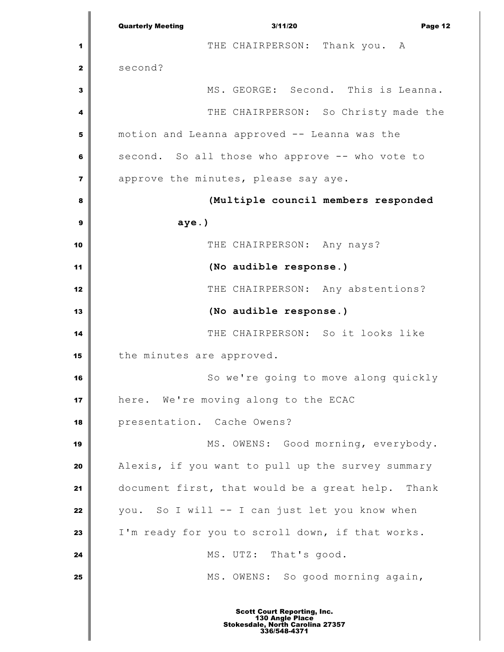Quarterly Meeting 3/11/20 Page 12 THE CHAIRPERSON: Thank you. A second? MS. GEORGE: Second. This is Leanna. THE CHAIRPERSON: So Christy made the motion and Leanna approved -- Leanna was the second. So all those who approve -- who vote to approve the minutes, please say aye. **(Multiple council members responded aye.)** THE CHAIRPERSON: Any nays? **(No audible response.)** THE CHAIRPERSON: Any abstentions? **(No audible response.)** THE CHAIRPERSON: So it looks like the minutes are approved. So we're going to move along quickly here. We're moving along to the ECAC presentation. Cache Owens? MS. OWENS: Good morning, everybody. Alexis, if you want to pull up the survey summary document first, that would be a great help. Thank you. So I will -- I can just let you know when I'm ready for you to scroll down, if that works. MS. UTZ: That's good. MS. OWENS: So good morning again,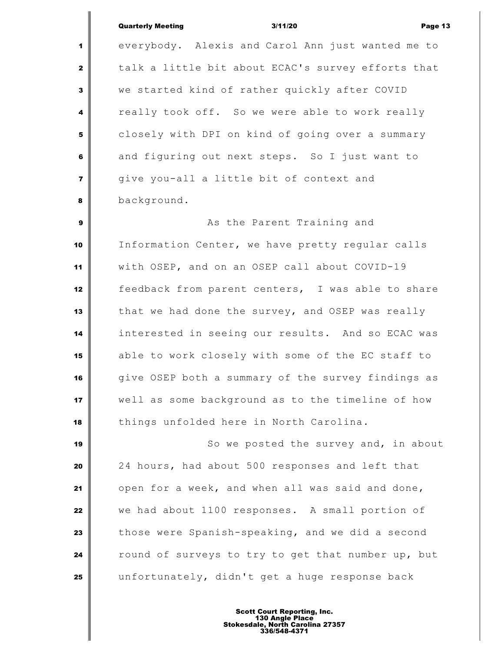Quarterly Meeting 3/11/20 Page 13 everybody. Alexis and Carol Ann just wanted me to talk a little bit about ECAC's survey efforts that we started kind of rather quickly after COVID really took off. So we were able to work really **closely with DPI on kind of going over a summary**  and figuring out next steps. So I just want to give you-all a little bit of context and background. As the Parent Training and Information Center, we have pretty regular calls with OSEP, and on an OSEP call about COVID-19 feedback from parent centers, I was able to share that we had done the survey, and OSEP was really interested in seeing our results. And so ECAC was able to work closely with some of the EC staff to give OSEP both a summary of the survey findings as well as some background as to the timeline of how things unfolded here in North Carolina.  $\parallel$  So we posted the survey and, in about 24 hours, had about 500 responses and left that open for a week, and when all was said and done, we had about 1100 responses. A small portion of those were Spanish-speaking, and we did a second

unfortunately, didn't get a huge response back

round of surveys to try to get that number up, but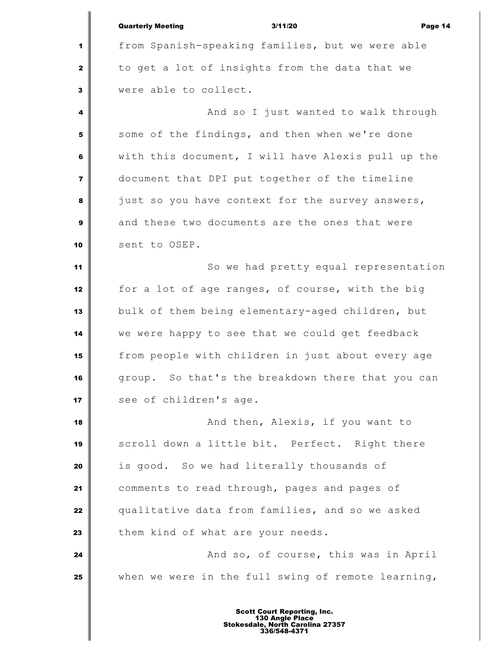|                         | <b>Quarterly Meeting</b><br>3/11/20<br>Page 14     |
|-------------------------|----------------------------------------------------|
| 1                       | from Spanish-speaking families, but we were able   |
| $\mathbf{2}$            | to get a lot of insights from the data that we     |
| $\mathbf{3}$            | were able to collect.                              |
| 4                       | And so I just wanted to walk through               |
| 5                       | some of the findings, and then when we're done     |
| 6                       | with this document, I will have Alexis pull up the |
| $\overline{\mathbf{z}}$ | document that DPI put together of the timeline     |
| 8                       | just so you have context for the survey answers,   |
| $\mathbf{9}$            | and these two documents are the ones that were     |
| 10                      | sent to OSEP.                                      |
| 11                      | So we had pretty equal representation              |
| 12                      | for a lot of age ranges, of course, with the big   |
| 13                      | bulk of them being elementary-aged children, but   |
| 14                      | we were happy to see that we could get feedback    |
| 15                      | from people with children in just about every age  |
| 16                      | group. So that's the breakdown there that you can  |
| 17                      | see of children's age.                             |
| 18                      | And then, Alexis, if you want to                   |
| 19                      | scroll down a little bit. Perfect. Right there     |
| 20                      | is good. So we had literally thousands of          |
| 21                      | comments to read through, pages and pages of       |
| 22                      | qualitative data from families, and so we asked    |
| 23                      | them kind of what are your needs.                  |
| 24                      | And so, of course, this was in April               |
| 25                      | when we were in the full swing of remote learning, |
|                         |                                                    |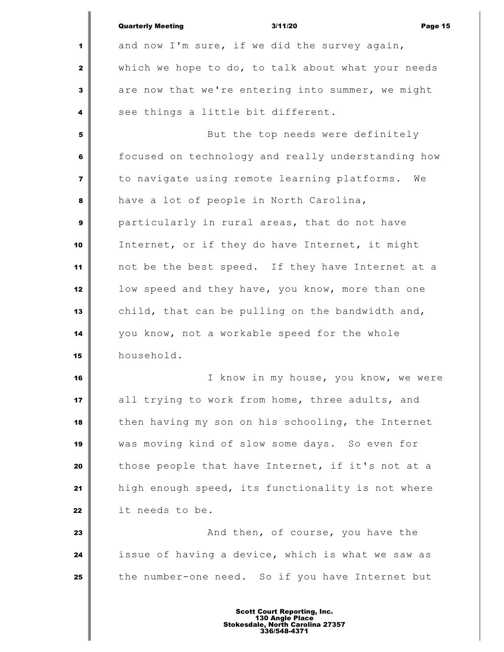|                         | <b>Quarterly Meeting</b><br>3/11/20<br>Page 15     |
|-------------------------|----------------------------------------------------|
| 1                       | and now I'm sure, if we did the survey again,      |
| $\mathbf{2}$            | which we hope to do, to talk about what your needs |
| 3                       | are now that we're entering into summer, we might  |
| 4                       | see things a little bit different.                 |
| 5                       | But the top needs were definitely                  |
| 6                       | focused on technology and really understanding how |
| $\overline{\mathbf{z}}$ | to navigate using remote learning platforms. We    |
| 8                       | have a lot of people in North Carolina,            |
| 9                       | particularly in rural areas, that do not have      |
| 10                      | Internet, or if they do have Internet, it might    |
| 11                      | not be the best speed. If they have Internet at a  |
| 12                      | low speed and they have, you know, more than one   |
| 13                      | child, that can be pulling on the bandwidth and,   |
| 14                      | you know, not a workable speed for the whole       |
| 15                      | household.                                         |
| 16                      | I know in my house, you know, we were              |
| 17                      | all trying to work from home, three adults, and    |
| 18                      | then having my son on his schooling, the Internet  |
| 19                      | was moving kind of slow some days. So even for     |
| 20                      | those people that have Internet, if it's not at a  |
| 21                      | high enough speed, its functionality is not where  |
| 22                      | it needs to be.                                    |
| 23                      | And then, of course, you have the                  |
| 24                      | issue of having a device, which is what we saw as  |
| 25                      | the number-one need. So if you have Internet but   |
|                         |                                                    |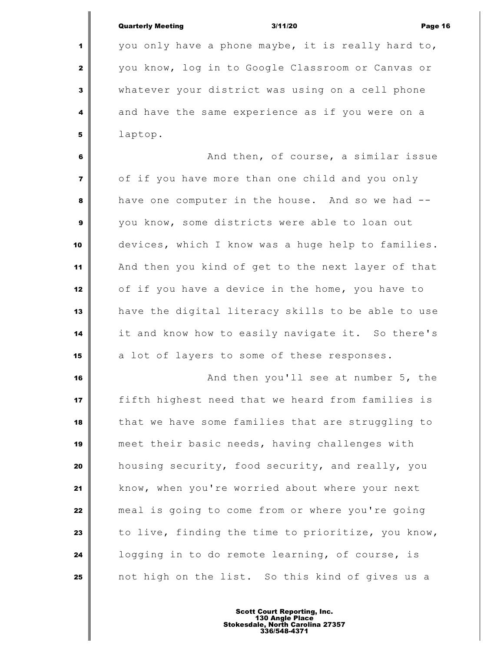| <b>Quarterly Meeting</b> | 3/11/20 | Page 16 |
|--------------------------|---------|---------|
|                          |         |         |

 you only have a phone maybe, it is really hard to, you know, log in to Google Classroom or Canvas or whatever your district was using on a cell phone and have the same experience as if you were on a laptop.

 **And then, of course, a similar issue**  of if you have more than one child and you only have one computer in the house. And so we had -- you know, some districts were able to loan out devices, which I know was a huge help to families. And then you kind of get to the next layer of that of if you have a device in the home, you have to have the digital literacy skills to be able to use it and know how to easily navigate it. So there's a lot of layers to some of these responses.

 **And then you'll see at number 5, the**  fifth highest need that we heard from families is that we have some families that are struggling to meet their basic needs, having challenges with housing security, food security, and really, you know, when you're worried about where your next meal is going to come from or where you're going to live, finding the time to prioritize, you know, **l** logging in to do remote learning, of course, is not high on the list. So this kind of gives us a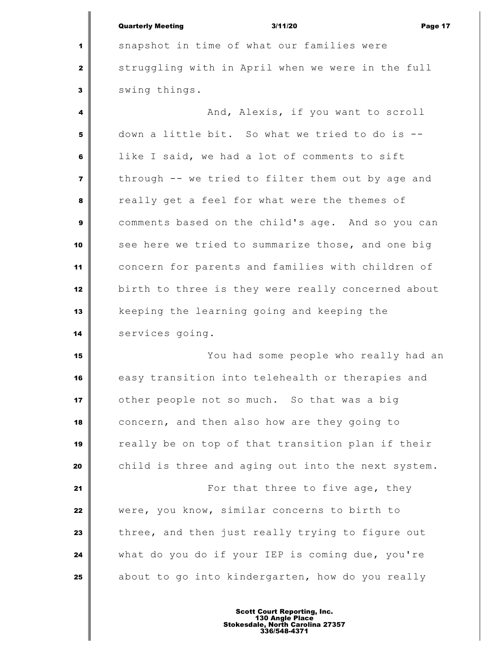|                | <b>Quarterly Meeting</b><br>3/11/20<br>Page 17     |
|----------------|----------------------------------------------------|
| 1              | snapshot in time of what our families were         |
| 2              | struggling with in April when we were in the full  |
| 3              | swing things.                                      |
| 4              | And, Alexis, if you want to scroll                 |
| 5              | down a little bit. So what we tried to do is --    |
| 6              | like I said, we had a lot of comments to sift      |
| $\overline{7}$ | through -- we tried to filter them out by age and  |
| 8              | really get a feel for what were the themes of      |
| 9              | comments based on the child's age. And so you can  |
| 10             | see here we tried to summarize those, and one big  |
| 11             | concern for parents and families with children of  |
| 12             | birth to three is they were really concerned about |
| 13             | keeping the learning going and keeping the         |
| 14             | services going.                                    |
| 15             | You had some people who really had an              |
| 16             | easy transition into telehealth or therapies and   |
| 17             | other people not so much. So that was a big        |
| 18             | concern, and then also how are they going to       |
| 19             | really be on top of that transition plan if their  |
| 20             | child is three and aging out into the next system. |
| 21             | For that three to five age, they                   |
| 22             | were, you know, similar concerns to birth to       |

 three, and then just really trying to figure out what do you do if your IEP is coming due, you're about to go into kindergarten, how do you really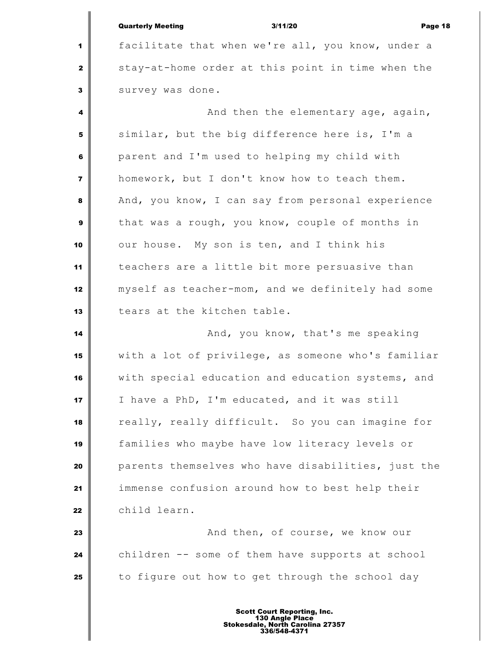|                         | <b>Quarterly Meeting</b> | 3/11/20                                           | Page 18 |
|-------------------------|--------------------------|---------------------------------------------------|---------|
| 1                       |                          | facilitate that when we're all, you know, under a |         |
| $\mathbf{2}$            |                          | stay-at-home order at this point in time when the |         |
| $\overline{\mathbf{3}}$ | survey was done.         |                                                   |         |
| $\overline{\mathbf{4}}$ |                          | And then the elementary age, again,               |         |
| 5                       |                          | similar, but the big difference here is, I'm a    |         |
| 6                       |                          | parent and I'm used to helping my child with      |         |
| $\overline{\mathbf{z}}$ |                          | homework, but I don't know how to teach them.     |         |

 $\mathbf{I}$ 

 And, you know, I can say from personal experience that was a rough, you know, couple of months in our house. My son is ten, and I think his teachers are a little bit more persuasive than myself as teacher-mom, and we definitely had some tears at the kitchen table.

 **And, you know, that's me speaking**  with a lot of privilege, as someone who's familiar with special education and education systems, and I have a PhD, I'm educated, and it was still really, really difficult. So you can imagine for families who maybe have low literacy levels or parents themselves who have disabilities, just the immense confusion around how to best help their child learn.

 **And then, of course, we know our**  children -- some of them have supports at school to figure out how to get through the school day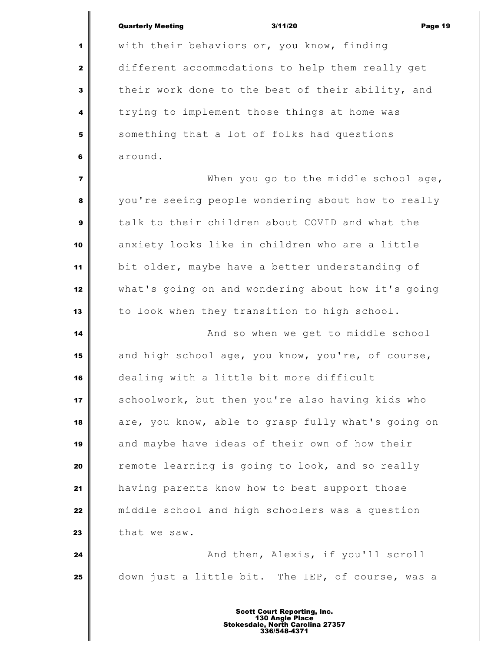|                         | <b>Quarterly Meeting</b><br>3/11/20<br>Page 19     |
|-------------------------|----------------------------------------------------|
| 1                       | with their behaviors or, you know, finding         |
| $\mathbf{z}$            | different accommodations to help them really get   |
| 3                       | their work done to the best of their ability, and  |
| 4                       | trying to implement those things at home was       |
| 5                       | something that a lot of folks had questions        |
| 6                       | around.                                            |
| $\overline{\mathbf{z}}$ | When you go to the middle school age,              |
| 8                       | you're seeing people wondering about how to really |
| 9                       | talk to their children about COVID and what the    |
| 10                      | anxiety looks like in children who are a little    |
| 11                      | bit older, maybe have a better understanding of    |
| 12                      | what's going on and wondering about how it's going |
| 13                      | to look when they transition to high school.       |
| 14                      | And so when we get to middle school                |
| 15                      | and high school age, you know, you're, of course,  |
| 16                      | dealing with a little bit more difficult           |
| 17                      | schoolwork, but then you're also having kids who   |
| 18                      | are, you know, able to grasp fully what's going on |
| 19                      | and maybe have ideas of their own of how their     |
| 20                      | remote learning is going to look, and so really    |
| 21                      | having parents know how to best support those      |
| 22                      | middle school and high schoolers was a question    |
| 23                      | that we saw.                                       |
| 24                      | And then, Alexis, if you'll scroll                 |
| 25                      | down just a little bit. The IEP, of course, was a  |
|                         |                                                    |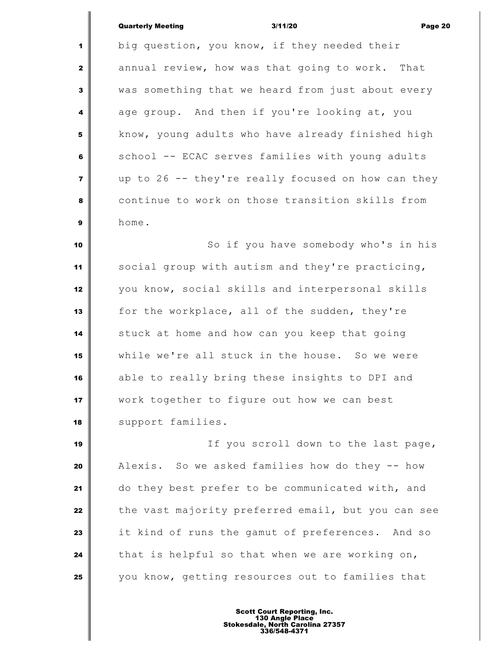### Quarterly Meeting 3/11/20 Page 20

 big question, you know, if they needed their annual review, how was that going to work. That was something that we heard from just about every age group. And then if you're looking at, you **k**now, young adults who have already finished high school -- ECAC serves families with young adults up to 26 -- they're really focused on how can they continue to work on those transition skills from home.  $\parallel$  So if you have somebody who's in his social group with autism and they're practicing, you know, social skills and interpersonal skills for the workplace, all of the sudden, they're stuck at home and how can you keep that going while we're all stuck in the house. So we were able to really bring these insights to DPI and work together to figure out how we can best 18 | support families. If you scroll down to the last page, Alexis. So we asked families how do they -- how do they best prefer to be communicated with, and the vast majority preferred email, but you can see it kind of runs the gamut of preferences. And so that is helpful so that when we are working on,

Scott Court Reporting, Inc. 130 Angle Place Stokesdale, North Carolina 27357 336/548-4371

you know, getting resources out to families that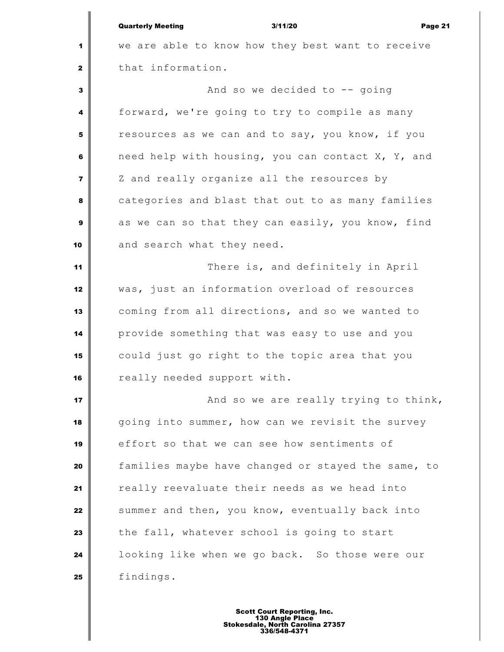|                         | <b>Quarterly Meeting</b><br>3/11/20<br>Page 21     |
|-------------------------|----------------------------------------------------|
| 1                       | we are able to know how they best want to receive  |
| 2                       | that information.                                  |
| 3                       | And so we decided to -- going                      |
| 4                       | forward, we're going to try to compile as many     |
| 5                       | resources as we can and to say, you know, if you   |
| 6                       | need help with housing, you can contact X, Y, and  |
| $\overline{\mathbf{z}}$ | Z and really organize all the resources by         |
| 8                       | categories and blast that out to as many families  |
| 9                       | as we can so that they can easily, you know, find  |
| 10                      | and search what they need.                         |
| 11                      | There is, and definitely in April                  |
| 12                      | was, just an information overload of resources     |
| 13                      | coming from all directions, and so we wanted to    |
| 14                      | provide something that was easy to use and you     |
| 15                      | could just go right to the topic area that you     |
| 16                      | really needed support with.                        |
| 17                      | And so we are really trying to think,              |
| 18                      | going into summer, how can we revisit the survey   |
| 19                      | effort so that we can see how sentiments of        |
| 20                      | families maybe have changed or stayed the same, to |
| 21                      | really reevaluate their needs as we head into      |
| 22                      | summer and then, you know, eventually back into    |
| 23                      | the fall, whatever school is going to start        |
| 24                      | looking like when we go back. So those were our    |
| 25                      | findings.                                          |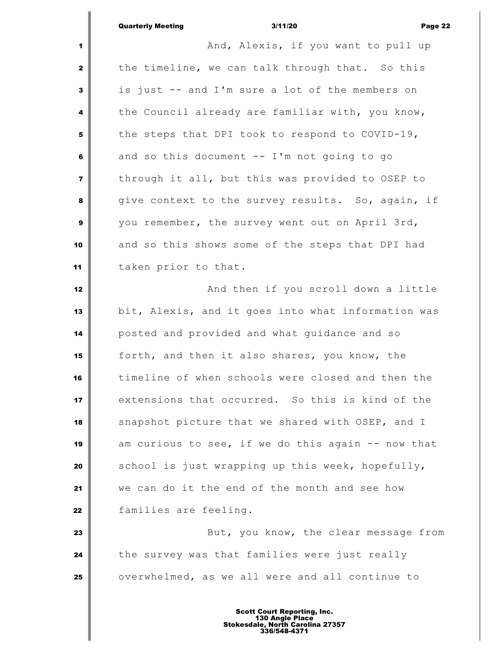Quarterly Meeting 3/11/20 Page 22 **And, Alexis, if you want to pull up**  the timeline, we can talk through that. So this is just -- and I'm sure a lot of the members on the Council already are familiar with, you know, the steps that DPI took to respond to COVID-19, and so this document -- I'm not going to go | through it all, but this was provided to OSEP to give context to the survey results. So, again, if you remember, the survey went out on April 3rd, and so this shows some of the steps that DPI had taken prior to that. **And then if you scroll down a little**  bit, Alexis, and it goes into what information was posted and provided and what guidance and so forth, and then it also shares, you know, the timeline of when schools were closed and then the extensions that occurred. So this is kind of the snapshot picture that we shared with OSEP, and I am curious to see, if we do this again -- now that School is just wrapping up this week, hopefully, we can do it the end of the month and see how families are feeling. **But, you know, the clear message from**  the survey was that families were just really overwhelmed, as we all were and all continue to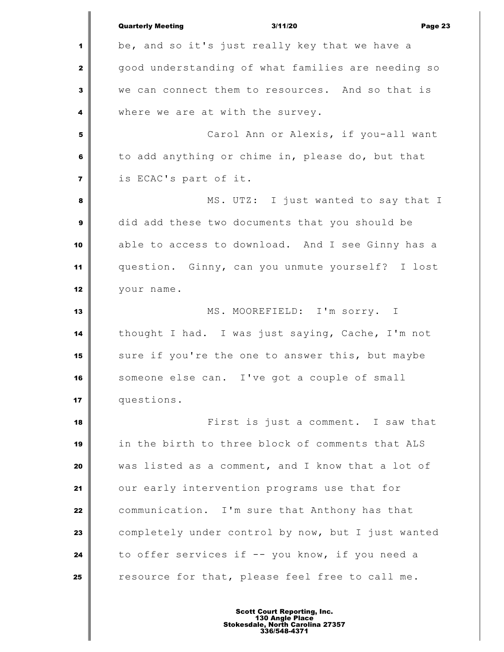|                         | <b>Quarterly Meeting</b><br>3/11/20<br>Page 23     |
|-------------------------|----------------------------------------------------|
| 1                       | be, and so it's just really key that we have a     |
| $\mathbf{z}$            | good understanding of what families are needing so |
| 3                       | we can connect them to resources. And so that is   |
| 4                       | where we are at with the survey.                   |
| 5                       | Carol Ann or Alexis, if you-all want               |
| 6                       | to add anything or chime in, please do, but that   |
| $\overline{\mathbf{z}}$ | is ECAC's part of it.                              |
| 8                       | MS. UTZ: I just wanted to say that I               |
| 9                       | did add these two documents that you should be     |
| 10                      | able to access to download. And I see Ginny has a  |
| 11                      | question. Ginny, can you unmute yourself? I lost   |
| 12                      | your name.                                         |
| 13                      | MS. MOOREFIELD: I'm sorry. I                       |
| 14                      | thought I had. I was just saying, Cache, I'm not   |
| 15                      | sure if you're the one to answer this, but maybe   |
| 16                      | someone else can. I've got a couple of small       |
| 17                      | questions.                                         |
| 18                      | First is just a comment. I saw that                |
| 19                      | in the birth to three block of comments that ALS   |
| 20                      | was listed as a comment, and I know that a lot of  |
| 21                      | our early intervention programs use that for       |
| 22                      | communication. I'm sure that Anthony has that      |
| 23                      | completely under control by now, but I just wanted |
| 24                      | to offer services if -- you know, if you need a    |
| 25                      | resource for that, please feel free to call me.    |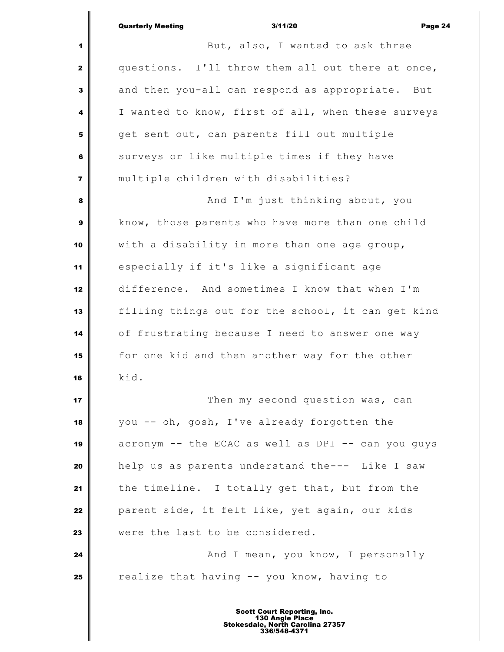|                         | <b>Quarterly Meeting</b><br>3/11/20<br>Page 24     |
|-------------------------|----------------------------------------------------|
| 1                       | But, also, I wanted to ask three                   |
| $\mathbf{2}$            | questions. I'll throw them all out there at once,  |
| 3                       | and then you-all can respond as appropriate. But   |
| 4                       | I wanted to know, first of all, when these surveys |
| 5                       | get sent out, can parents fill out multiple        |
| 6                       | surveys or like multiple times if they have        |
| $\overline{\mathbf{z}}$ | multiple children with disabilities?               |
| 8                       | And I'm just thinking about, you                   |
| 9                       | know, those parents who have more than one child   |
| 10                      | with a disability in more than one age group,      |
| 11                      | especially if it's like a significant age          |
| 12                      | difference. And sometimes I know that when I'm     |
| 13                      | filling things out for the school, it can get kind |
| 14                      | of frustrating because I need to answer one way    |
| 15                      | for one kid and then another way for the other     |
| 16                      | kid.                                               |
| 17                      | Then my second question was, can                   |
| 18                      | you -- oh, gosh, I've already forgotten the        |
| 19                      | acronym -- the ECAC as well as DPI -- can you guys |
| 20                      | help us as parents understand the--- Like I saw    |
| 21                      | the timeline. I totally get that, but from the     |
| 22                      | parent side, it felt like, yet again, our kids     |
| 23                      | were the last to be considered.                    |
| 24                      | And I mean, you know, I personally                 |
| 25                      | realize that having -- you know, having to         |
|                         |                                                    |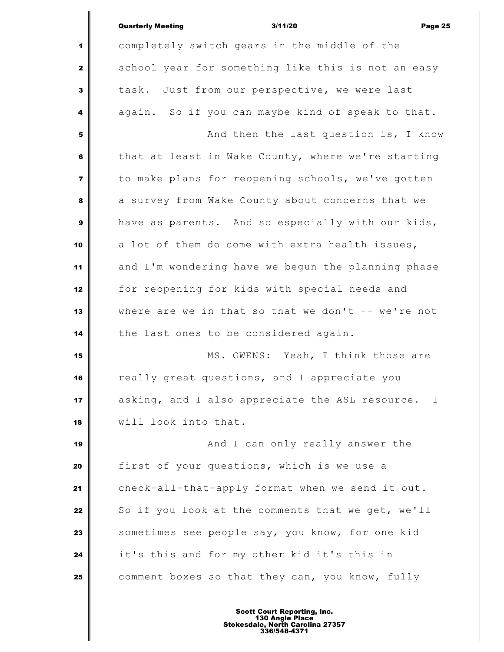|                         | <b>Quarterly Meeting</b><br>3/11/20<br>Page 25       |
|-------------------------|------------------------------------------------------|
| 1                       | completely switch gears in the middle of the         |
| $\mathbf{2}$            | school year for something like this is not an easy   |
| 3                       | task. Just from our perspective, we were last        |
| 4                       | again. So if you can maybe kind of speak to that.    |
| 5                       | And then the last question is, I know                |
| 6                       | that at least in Wake County, where we're starting   |
| $\overline{\mathbf{z}}$ | to make plans for reopening schools, we've gotten    |
| 8                       | a survey from Wake County about concerns that we     |
| $\mathbf{9}$            | have as parents. And so especially with our kids,    |
| 10                      | a lot of them do come with extra health issues,      |
| 11                      | and I'm wondering have we begun the planning phase   |
| 12                      | for reopening for kids with special needs and        |
| 13                      | where are we in that so that we don't -- we're not   |
| 14                      | the last ones to be considered again.                |
| 15                      | MS. OWENS: Yeah, I think those are                   |
| 16                      | really great questions, and I appreciate you         |
| 17                      | asking, and I also appreciate the ASL resource.<br>T |
| 18                      | will look into that.                                 |
| 19                      | And I can only really answer the                     |
| 20                      | first of your questions, which is we use a           |
| 21                      | check-all-that-apply format when we send it out.     |
| 22                      | So if you look at the comments that we get, we'll    |
| 23                      | sometimes see people say, you know, for one kid      |
| 24                      | it's this and for my other kid it's this in          |
| 25                      | comment boxes so that they can, you know, fully      |
|                         |                                                      |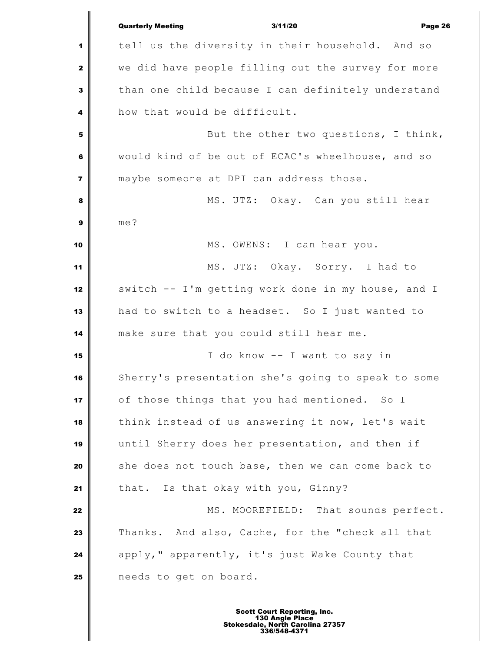|                         | <b>Quarterly Meeting</b><br>3/11/20<br>Page 26     |
|-------------------------|----------------------------------------------------|
| 1                       | tell us the diversity in their household. And so   |
| $\mathbf{2}$            | we did have people filling out the survey for more |
| 3                       | than one child because I can definitely understand |
| 4                       | how that would be difficult.                       |
| 5                       | But the other two questions, I think,              |
| 6                       | would kind of be out of ECAC's wheelhouse, and so  |
| $\overline{\mathbf{z}}$ | maybe someone at DPI can address those.            |
| 8                       | MS. UTZ: Okay. Can you still hear                  |
| $\mathbf{9}$            | me?                                                |
| 10                      | MS. OWENS: I can hear you.                         |
| 11                      | MS. UTZ: Okay. Sorry. I had to                     |
| 12                      | switch -- I'm getting work done in my house, and I |
| 13                      | had to switch to a headset. So I just wanted to    |
| 14                      | make sure that you could still hear me.            |
| 15                      | I do know -- I want to say in                      |
| 16                      | Sherry's presentation she's going to speak to some |
| 17                      | of those things that you had mentioned. So I       |
| 18                      | think instead of us answering it now, let's wait   |
| 19                      | until Sherry does her presentation, and then if    |
| 20                      | she does not touch base, then we can come back to  |
| 21                      | that. Is that okay with you, Ginny?                |
| 22                      | MS. MOOREFIELD: That sounds perfect.               |
| 23                      | Thanks. And also, Cache, for the "check all that   |
| 24                      | apply," apparently, it's just Wake County that     |
| 25                      | needs to get on board.                             |
|                         |                                                    |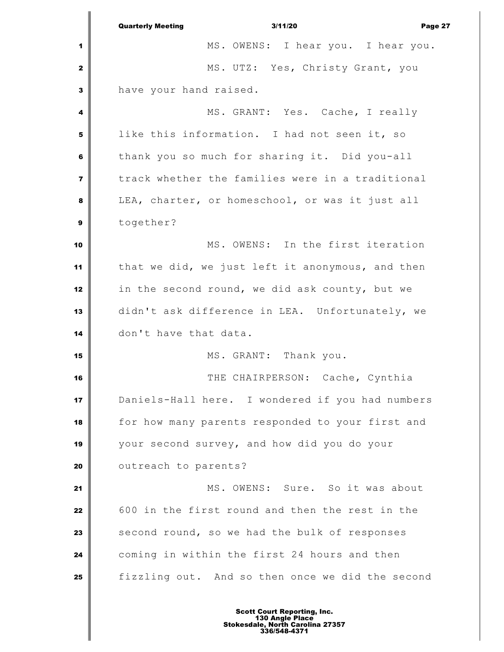|                | <b>Quarterly Meeting</b><br>3/11/20<br>Page 27   |
|----------------|--------------------------------------------------|
| 1              | MS. OWENS: I hear you. I hear you.               |
| $\mathbf{2}$   | MS. UTZ: Yes, Christy Grant, you                 |
| 3              | have your hand raised.                           |
| 4              | MS. GRANT: Yes. Cache, I really                  |
| 5              | like this information. I had not seen it, so     |
| 6              | thank you so much for sharing it. Did you-all    |
| $\overline{7}$ | track whether the families were in a traditional |
| 8              | LEA, charter, or homeschool, or was it just all  |
| $\mathbf{9}$   | together?                                        |
| 10             | MS. OWENS: In the first iteration                |
| 11             | that we did, we just left it anonymous, and then |
| 12             | in the second round, we did ask county, but we   |
| 13             | didn't ask difference in LEA. Unfortunately, we  |
| 14             | don't have that data.                            |
| 15             | MS. GRANT: Thank you.                            |
| 16             | THE CHAIRPERSON: Cache, Cynthia                  |
| 17             | Daniels-Hall here. I wondered if you had numbers |
| 18             | for how many parents responded to your first and |
| 19             | your second survey, and how did you do your      |
| 20             | outreach to parents?                             |
| 21             | MS. OWENS: Sure. So it was about                 |
| 22             | 600 in the first round and then the rest in the  |
| 23             | second round, so we had the bulk of responses    |
| 24             | coming in within the first 24 hours and then     |
| 25             | fizzling out. And so then once we did the second |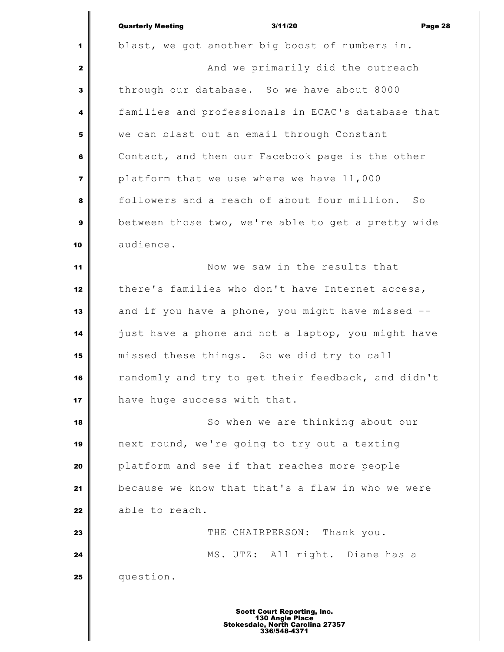|                         | <b>Quarterly Meeting</b><br>3/11/20<br>Page 28     |
|-------------------------|----------------------------------------------------|
| 1                       | blast, we got another big boost of numbers in.     |
| $\mathbf{z}$            | And we primarily did the outreach                  |
| 3                       | through our database. So we have about 8000        |
| 4                       | families and professionals in ECAC's database that |
| 5                       | we can blast out an email through Constant         |
| 6                       | Contact, and then our Facebook page is the other   |
| $\overline{\mathbf{z}}$ | platform that we use where we have 11,000          |
| 8                       | followers and a reach of about four million. So    |
| 9                       | between those two, we're able to get a pretty wide |
| 10                      | audience.                                          |
| 11                      | Now we saw in the results that                     |
| 12                      | there's families who don't have Internet access,   |
| 13                      | and if you have a phone, you might have missed --  |
| 14                      | just have a phone and not a laptop, you might have |
| 15                      | missed these things. So we did try to call         |
| 16                      | randomly and try to get their feedback, and didn't |
| 17                      | have huge success with that.                       |
| 18                      | So when we are thinking about our                  |
| 19                      | next round, we're going to try out a texting       |
| 20                      | platform and see if that reaches more people       |
| 21                      | because we know that that's a flaw in who we were  |
| 22                      | able to reach.                                     |
| 23                      | THE CHAIRPERSON: Thank you.                        |
| 24                      | MS. UTZ: All right. Diane has a                    |
| 25                      | question.                                          |
|                         |                                                    |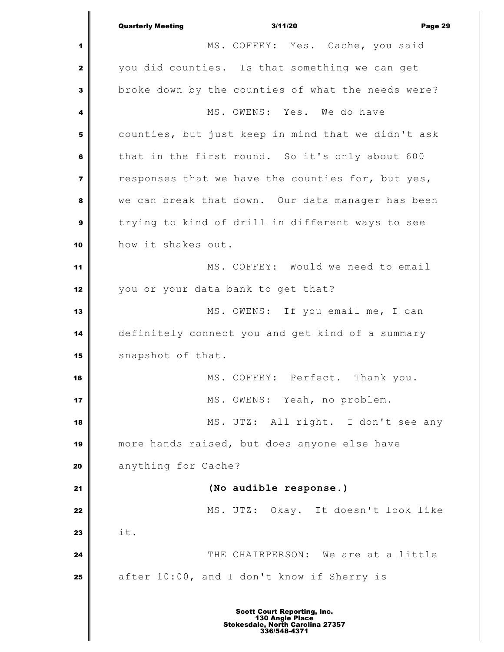Quarterly Meeting 3/11/20 Page 29 MS. COFFEY: Yes. Cache, you said you did counties. Is that something we can get broke down by the counties of what the needs were? MS. OWENS: Yes. We do have counties, but just keep in mind that we didn't ask that in the first round. So it's only about 600 responses that we have the counties for, but yes, we can break that down. Our data manager has been trying to kind of drill in different ways to see how it shakes out. MS. COFFEY: Would we need to email you or your data bank to get that? MS. OWENS: If you email me, I can definitely connect you and get kind of a summary 15 snapshot of that. MS. COFFEY: Perfect. Thank you. MS. OWENS: Yeah, no problem. MS. UTZ: All right. I don't see any more hands raised, but does anyone else have anything for Cache? **(No audible response.)** MS. UTZ: Okay. It doesn't look like **i** it. THE CHAIRPERSON: We are at a little 25 after 10:00, and I don't know if Sherry is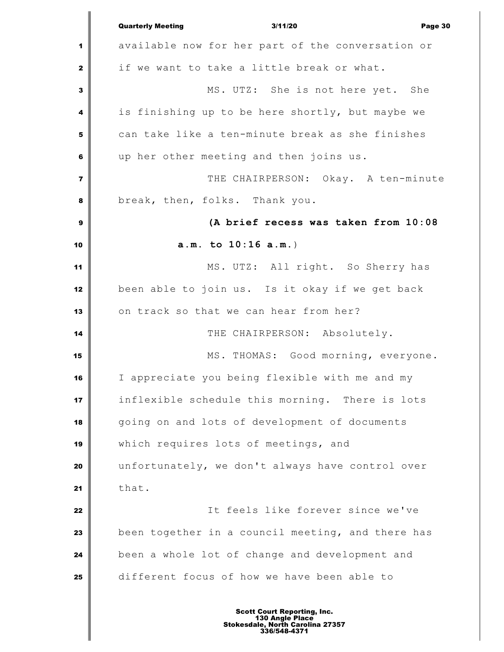Quarterly Meeting 3/11/20 Page 30 available now for her part of the conversation or if we want to take a little break or what. MS. UTZ: She is not here yet. She is finishing up to be here shortly, but maybe we can take like a ten-minute break as she finishes up her other meeting and then joins us.  $\parallel$  **THE CHAIRPERSON:** Okay. A ten-minute break, then, folks. Thank you. **(A brief recess was taken from 10:08 a.m. to 10:16 a.m.**) MS. UTZ: All right. So Sherry has been able to join us. Is it okay if we get back 13 | on track so that we can hear from her? THE CHAIRPERSON: Absolutely. MS. THOMAS: Good morning, everyone. I appreciate you being flexible with me and my inflexible schedule this morning. There is lots going on and lots of development of documents which requires lots of meetings, and unfortunately, we don't always have control over that. It feels like forever since we've been together in a council meeting, and there has been a whole lot of change and development and different focus of how we have been able to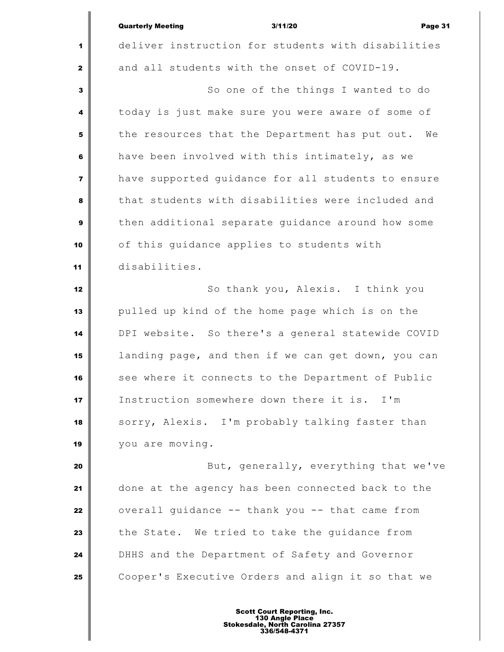|                         | <b>Quarterly Meeting</b><br>3/11/20<br>Page 31       |
|-------------------------|------------------------------------------------------|
| 1                       | deliver instruction for students with disabilities   |
| $\mathbf{z}$            | and all students with the onset of COVID-19.         |
| 3                       | So one of the things I wanted to do                  |
| 4                       | today is just make sure you were aware of some of    |
| 5                       | the resources that the Department has put out.<br>We |
| 6                       | have been involved with this intimately, as we       |
| $\overline{\mathbf{z}}$ | have supported guidance for all students to ensure   |
| 8                       | that students with disabilities were included and    |
| 9                       | then additional separate quidance around how some    |
| 10                      | of this guidance applies to students with            |
| 11                      | disabilities.                                        |
| 12                      | So thank you, Alexis. I think you                    |
| 13                      | pulled up kind of the home page which is on the      |
| 14                      | DPI website. So there's a general statewide COVID    |
| 15                      | landing page, and then if we can get down, you can   |
| 16                      | see where it connects to the Department of Public    |
| 17                      | Instruction somewhere down there it is. I'm          |
| 18                      | sorry, Alexis. I'm probably talking faster than      |
| 19                      | you are moving.                                      |
| 20                      | But, generally, everything that we've                |
| 21                      | done at the agency has been connected back to the    |
| 22                      | overall guidance -- thank you -- that came from      |
| 23                      | the State. We tried to take the guidance from        |
| 24                      | DHHS and the Department of Safety and Governor       |
| 25                      | Cooper's Executive Orders and align it so that we    |
|                         |                                                      |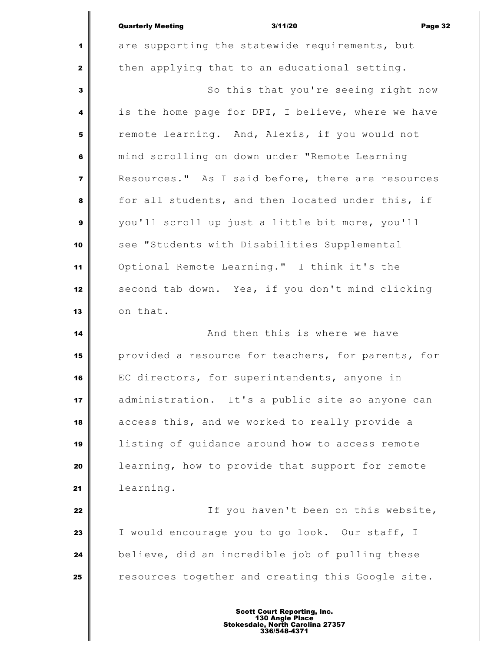|                         | 3/11/20<br><b>Quarterly Meeting</b><br>Page 32     |
|-------------------------|----------------------------------------------------|
| $\blacktriangleleft$    | are supporting the statewide requirements, but     |
| $\mathbf{2}$            | then applying that to an educational setting.      |
| $\overline{\mathbf{3}}$ | So this that you're seeing right now               |
| 4                       | is the home page for DPI, I believe, where we have |
| 5                       | remote learning. And, Alexis, if you would not     |
| 6                       | mind scrolling on down under "Remote Learning      |
| $\overline{7}$          | Resources." As I said before, there are resources  |
| 8                       | for all students, and then located under this, if  |
| $\mathbf{9}$            | you'll scroll up just a little bit more, you'll    |
| 10                      | see "Students with Disabilities Supplemental       |
| 11                      | Optional Remote Learning." I think it's the        |
| 12                      | second tab down. Yes, if you don't mind clicking   |
| 13                      | on that.                                           |

 **And then this is where we have 14 And then this is where we have**  provided a resource for teachers, for parents, for EC directors, for superintendents, anyone in administration. It's a public site so anyone can access this, and we worked to really provide a listing of guidance around how to access remote **learning, how to provide that support for remote** learning.

 If you haven't been on this website, I would encourage you to go look. Our staff, I believe, did an incredible job of pulling these resources together and creating this Google site.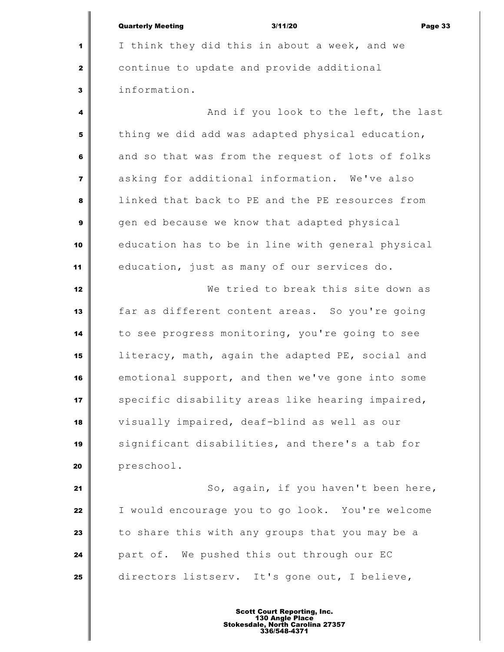| <b>Quarterly Meeting</b> | 3/11/20 | Page 33 |
|--------------------------|---------|---------|

 I think they did this in about a week, and we continue to update and provide additional information.

 And if you look to the left, the last thing we did add was adapted physical education, and so that was from the request of lots of folks asking for additional information. We've also linked that back to PE and the PE resources from gen ed because we know that adapted physical education has to be in line with general physical education, just as many of our services do.

 We tried to break this site down as far as different content areas. So you're going to see progress monitoring, you're going to see literacy, math, again the adapted PE, social and emotional support, and then we've gone into some specific disability areas like hearing impaired, visually impaired, deaf-blind as well as our significant disabilities, and there's a tab for preschool.

 So, again, if you haven't been here, I would encourage you to go look. You're welcome to share this with any groups that you may be a part of. We pushed this out through our EC directors listserv. It's gone out, I believe,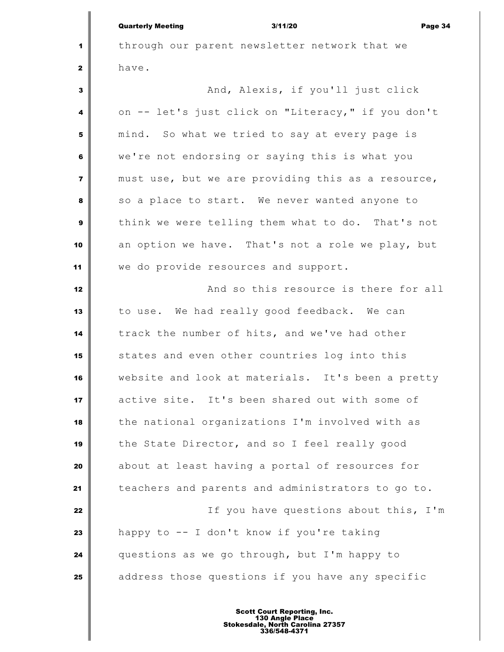|                | 3/11/20<br><b>Quarterly Meeting</b><br>Page 34     |
|----------------|----------------------------------------------------|
| 1              | through our parent newsletter network that we      |
| $\mathbf{2}$   | have.                                              |
| $\mathbf{3}$   | And, Alexis, if you'll just click                  |
| 4              | on -- let's just click on "Literacy," if you don't |
| 5              | mind. So what we tried to say at every page is     |
| 6              | we're not endorsing or saying this is what you     |
| $\overline{7}$ | must use, but we are providing this as a resource, |
| 8              | so a place to start. We never wanted anyone to     |
| $\mathbf{9}$   | think we were telling them what to do. That's not  |
| 10             | an option we have. That's not a role we play, but  |
| 11             | we do provide resources and support.               |
| 12             | And so this resource is there for all              |
| 13             | to use. We had really good feedback. We can        |
| 14             | track the number of hits, and we've had other      |
| 15             | states and even other countries log into this      |
| 16             | website and look at materials. It's been a pretty  |
| 17             | active site. It's been shared out with some of     |
| 18             | the national organizations I'm involved with as    |
| 19             | the State Director, and so I feel really good      |
| 20             | about at least having a portal of resources for    |
| 21             | teachers and parents and administrators to go to.  |
| 22             | If you have questions about this, I'm              |
| 23             | happy to -- I don't know if you're taking          |
| 24             | questions as we go through, but I'm happy to       |
| 25             | address those questions if you have any specific   |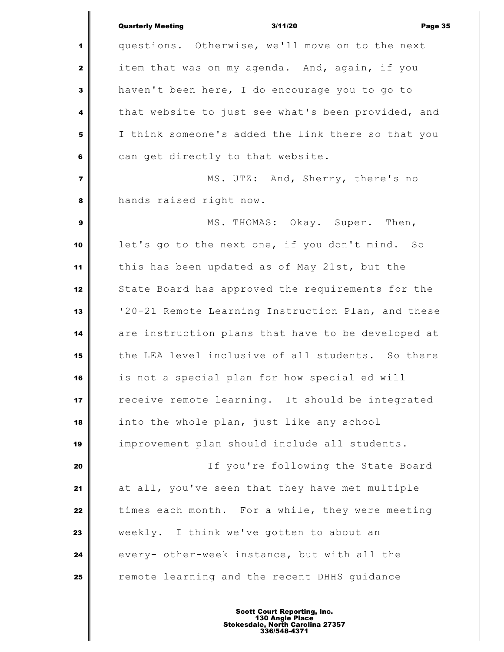|                         | <b>Quarterly Meeting</b><br>3/11/20<br>Page 35     |
|-------------------------|----------------------------------------------------|
| 1                       | questions. Otherwise, we'll move on to the next    |
| $\mathbf{2}$            | item that was on my agenda. And, again, if you     |
| 3                       | haven't been here, I do encourage you to go to     |
| 4                       | that website to just see what's been provided, and |
| 5                       | I think someone's added the link there so that you |
| 6                       | can get directly to that website.                  |
| $\overline{\mathbf{z}}$ | MS. UTZ: And, Sherry, there's no                   |
| 8                       | hands raised right now.                            |
| 9                       | MS. THOMAS: Okay. Super. Then,                     |
| 10                      | let's go to the next one, if you don't mind. So    |
| 11                      | this has been updated as of May 21st, but the      |
| 12                      | State Board has approved the requirements for the  |
| 13                      | '20-21 Remote Learning Instruction Plan, and these |
| 14                      | are instruction plans that have to be developed at |
| 15                      | the LEA level inclusive of all students. So there  |
| 16                      | is not a special plan for how special ed will      |
| 17                      | receive remote learning. It should be integrated   |
| 18                      | into the whole plan, just like any school          |
| 19                      | improvement plan should include all students.      |
| 20                      | If you're following the State Board                |
| 21                      | at all, you've seen that they have met multiple    |
| 22                      | times each month. For a while, they were meeting   |
| 23                      | weekly. I think we've gotten to about an           |
| 24                      | every- other-week instance, but with all the       |
| 25                      | remote learning and the recent DHHS guidance       |
|                         |                                                    |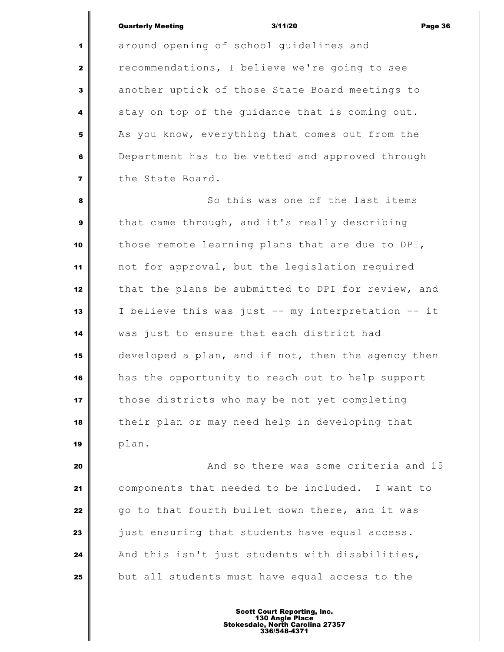# Quarterly Meeting 3/11/20 Page 36

 around opening of school guidelines and recommendations, I believe we're going to see another uptick of those State Board meetings to stay on top of the quidance that is coming out. As you know, everything that comes out from the Department has to be vetted and approved through the State Board.

 So this was one of the last items that came through, and it's really describing those remote learning plans that are due to DPI, not for approval, but the legislation required that the plans be submitted to DPI for review, and I believe this was just -- my interpretation -- it was just to ensure that each district had developed a plan, and if not, then the agency then has the opportunity to reach out to help support those districts who may be not yet completing their plan or may need help in developing that plan.

 **And so there was some criteria and 15**  components that needed to be included. I want to go to that fourth bullet down there, and it was just ensuring that students have equal access. And this isn't just students with disabilities, but all students must have equal access to the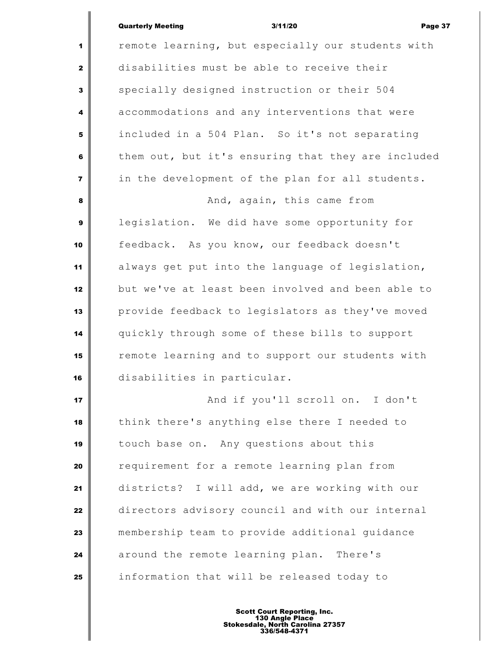# Quarterly Meeting **Contract Contract Contract Contract Contract Contract Contract Contract Contract Contract Contract Contract Contract Contract Page 37**

 $\mathsf I$ 

| $\mathbf{1}$            | remote learning, but especially our students with  |  |  |  |
|-------------------------|----------------------------------------------------|--|--|--|
| $\mathbf{z}$            | disabilities must be able to receive their         |  |  |  |
| 3                       | specially designed instruction or their 504        |  |  |  |
| 4                       | accommodations and any interventions that were     |  |  |  |
| 5                       | included in a 504 Plan. So it's not separating     |  |  |  |
| 6                       | them out, but it's ensuring that they are included |  |  |  |
| $\overline{\mathbf{z}}$ | in the development of the plan for all students.   |  |  |  |
| 8                       | And, again, this came from                         |  |  |  |
| $\boldsymbol{9}$        | legislation. We did have some opportunity for      |  |  |  |
| 10                      | feedback. As you know, our feedback doesn't        |  |  |  |
| 11                      | always get put into the language of legislation,   |  |  |  |
| 12                      | but we've at least been involved and been able to  |  |  |  |
| 13                      | provide feedback to legislators as they've moved   |  |  |  |
| 14                      | quickly through some of these bills to support     |  |  |  |
| 15                      | remote learning and to support our students with   |  |  |  |
| 16                      | disabilities in particular.                        |  |  |  |
| 17                      | And if you'll scroll on. I don't                   |  |  |  |
| 18                      | think there's anything else there I needed to      |  |  |  |
| 19                      | touch base on. Any questions about this            |  |  |  |
| 20                      | requirement for a remote learning plan from        |  |  |  |
| 21                      | districts? I will add, we are working with our     |  |  |  |
| 22                      | directors advisory council and with our internal   |  |  |  |
| 23                      | membership team to provide additional guidance     |  |  |  |
| 24                      | around the remote learning plan. There's           |  |  |  |
| 25                      | information that will be released today to         |  |  |  |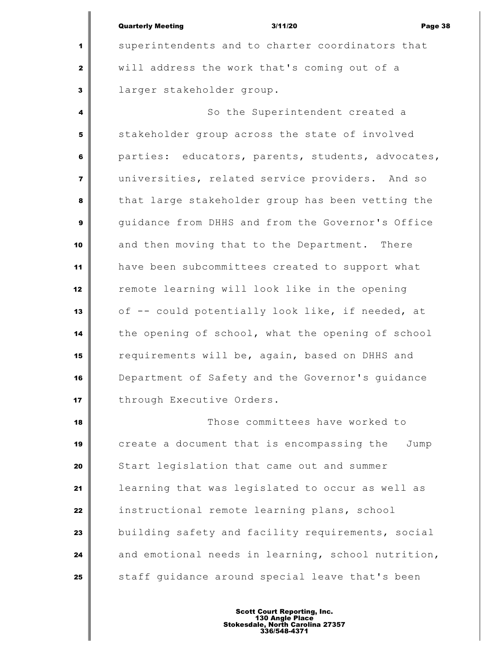## Quarterly Meeting 3/11/20 Page 38

 superintendents and to charter coordinators that will address the work that's coming out of a larger stakeholder group.

 So the Superintendent created a stakeholder group across the state of involved parties: educators, parents, students, advocates, universities, related service providers. And so that large stakeholder group has been vetting the guidance from DHHS and from the Governor's Office and then moving that to the Department. There have been subcommittees created to support what **12** remote learning will look like in the opening of -- could potentially look like, if needed, at the opening of school, what the opening of school requirements will be, again, based on DHHS and Department of Safety and the Governor's guidance through Executive Orders.

 Those committees have worked to create a document that is encompassing the Jump Start legislation that came out and summer learning that was legislated to occur as well as instructional remote learning plans, school building safety and facility requirements, social and emotional needs in learning, school nutrition, staff guidance around special leave that's been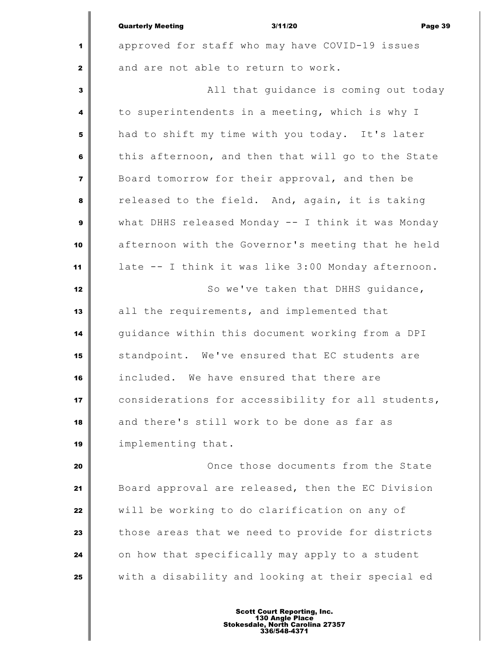|                         | <b>Quarterly Meeting</b><br>3/11/20<br>Page 39     |  |  |
|-------------------------|----------------------------------------------------|--|--|
| 1                       | approved for staff who may have COVID-19 issues    |  |  |
| $\mathbf{2}$            | and are not able to return to work.                |  |  |
| 3                       | All that guidance is coming out today              |  |  |
| 4                       | to superintendents in a meeting, which is why I    |  |  |
| 5                       | had to shift my time with you today. It's later    |  |  |
| 6                       | this afternoon, and then that will go to the State |  |  |
| $\overline{\mathbf{z}}$ | Board tomorrow for their approval, and then be     |  |  |
| 8                       | released to the field. And, again, it is taking    |  |  |
| 9                       | what DHHS released Monday -- I think it was Monday |  |  |
| 10                      | afternoon with the Governor's meeting that he held |  |  |
| 11                      | late -- I think it was like 3:00 Monday afternoon. |  |  |
| 12                      | So we've taken that DHHS guidance,                 |  |  |
| 13                      | all the requirements, and implemented that         |  |  |
| 14                      | guidance within this document working from a DPI   |  |  |
| 15                      | standpoint. We've ensured that EC students are     |  |  |
| 16                      | included. We have ensured that there are           |  |  |
| 17                      | considerations for accessibility for all students, |  |  |
| 18                      | and there's still work to be done as far as        |  |  |
| 19                      | implementing that.                                 |  |  |
| 20                      | Once those documents from the State                |  |  |
| 21                      | Board approval are released, then the EC Division  |  |  |
| 22                      | will be working to do clarification on any of      |  |  |
| 23                      | those areas that we need to provide for districts  |  |  |
| 24                      | on how that specifically may apply to a student    |  |  |
| 25                      | with a disability and looking at their special ed  |  |  |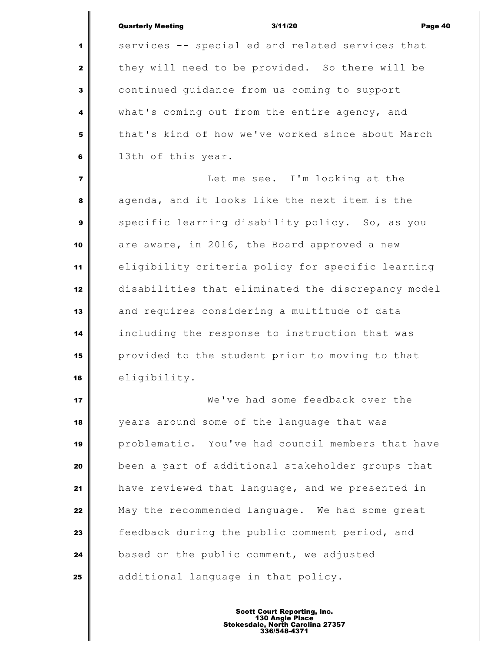|                | <b>Quarterly Meeting</b><br>3/11/20<br>Page 40     |  |
|----------------|----------------------------------------------------|--|
| 1              | services -- special ed and related services that   |  |
| $\mathbf{z}$   | they will need to be provided. So there will be    |  |
| 3              | continued guidance from us coming to support       |  |
| 4              | what's coming out from the entire agency, and      |  |
| 5              | that's kind of how we've worked since about March  |  |
| 6              | 13th of this year.                                 |  |
| $\overline{7}$ | Let me see. I'm looking at the                     |  |
| 8              | agenda, and it looks like the next item is the     |  |
| 9              | specific learning disability policy. So, as you    |  |
| 10             | are aware, in 2016, the Board approved a new       |  |
| 11             | eligibility criteria policy for specific learning  |  |
| 12             | disabilities that eliminated the discrepancy model |  |
| 13             | and requires considering a multitude of data       |  |
| 14             | including the response to instruction that was     |  |
| 15             | provided to the student prior to moving to that    |  |
| 16             | eligibility.                                       |  |
| 17             | We've had some feedback over the                   |  |
| 18             | years around some of the language that was         |  |
| 19             | problematic. You've had council members that have  |  |
| 20             | been a part of additional stakeholder groups that  |  |
| 21             | have reviewed that language, and we presented in   |  |
| 22             | May the recommended language. We had some great    |  |
| 23             | feedback during the public comment period, and     |  |
| 24             | based on the public comment, we adjusted           |  |
| 25             | additional language in that policy.                |  |
|                |                                                    |  |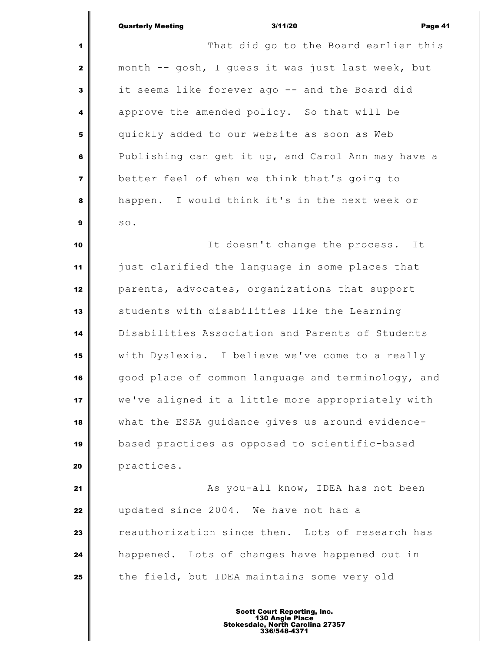Quarterly Meeting 3/11/20 Page 41 That did go to the Board earlier this month -- gosh, I guess it was just last week, but it seems like forever ago -- and the Board did approve the amended policy. So that will be quickly added to our website as soon as Web Publishing can get it up, and Carol Ann may have a better feel of when we think that's going to happen. I would think it's in the next week or so. It doesn't change the process. It just clarified the language in some places that parents, advocates, organizations that support students with disabilities like the Learning Disabilities Association and Parents of Students with Dyslexia. I believe we've come to a really good place of common language and terminology, and we've aligned it a little more appropriately with what the ESSA guidance gives us around evidence- based practices as opposed to scientific-based practices. **As you-all know, IDEA has not been**  updated since 2004. We have not had a **reauthorization since then.** Lots of research has happened. Lots of changes have happened out in

the field, but IDEA maintains some very old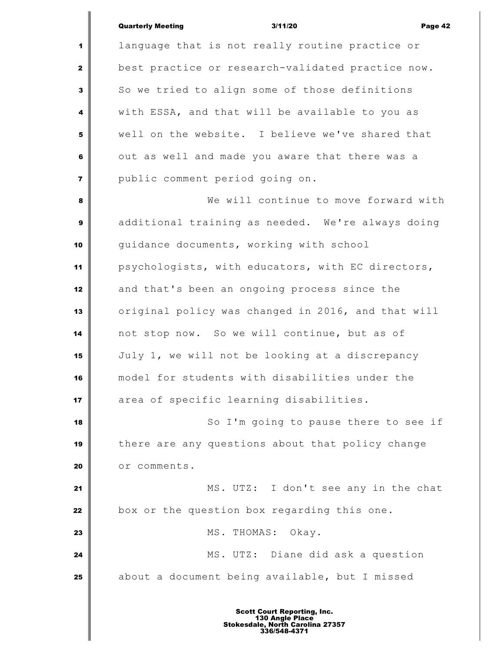|                         | <b>Quarterly Meeting</b><br>3/11/20<br>Page 42     |  |
|-------------------------|----------------------------------------------------|--|
| 1                       | language that is not really routine practice or    |  |
| $\mathbf{2}$            | best practice or research-validated practice now.  |  |
| 3                       | So we tried to align some of those definitions     |  |
| 4                       | with ESSA, and that will be available to you as    |  |
| 5                       | well on the website. I believe we've shared that   |  |
| 6                       | out as well and made you aware that there was a    |  |
| $\overline{\mathbf{7}}$ | public comment period going on.                    |  |
| 8                       | We will continue to move forward with              |  |
| $\boldsymbol{9}$        | additional training as needed. We're always doing  |  |
| 10                      | quidance documents, working with school            |  |
| 11                      | psychologists, with educators, with EC directors,  |  |
| 12                      | and that's been an ongoing process since the       |  |
| 13                      | original policy was changed in 2016, and that will |  |
| 14                      | not stop now. So we will continue, but as of       |  |
| 15                      | July 1, we will not be looking at a discrepancy    |  |
| 16                      | model for students with disabilities under the     |  |
| 17                      | area of specific learning disabilities.            |  |
| 18                      | So I'm going to pause there to see if              |  |
| 19                      | there are any questions about that policy change   |  |
| 20                      | or comments.                                       |  |
| 21                      | MS. UTZ: I don't see any in the chat               |  |
| 22                      | box or the question box regarding this one.        |  |
| 23                      | MS. THOMAS:<br>Okay.                               |  |
| 24                      | MS. UTZ: Diane did ask a question                  |  |
| 25                      | about a document being available, but I missed     |  |
|                         |                                                    |  |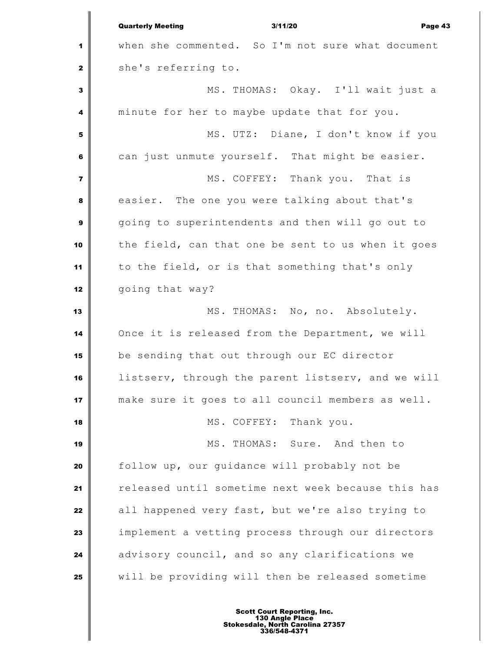Quarterly Meeting 3/11/20 Page 43 when she commented. So I'm not sure what document she's referring to. MS. THOMAS: Okay. I'll wait just a minute for her to maybe update that for you. MS. UTZ: Diane, I don't know if you can just unmute yourself. That might be easier. MS. COFFEY: Thank you. That is easier. The one you were talking about that's going to superintendents and then will go out to the field, can that one be sent to us when it goes to the field, or is that something that's only going that way? MS. THOMAS: No, no. Absolutely. Once it is released from the Department, we will be sending that out through our EC director listserv, through the parent listserv, and we will make sure it goes to all council members as well. MS. COFFEY: Thank you. MS. THOMAS: Sure. And then to follow up, our guidance will probably not be released until sometime next week because this has all happened very fast, but we're also trying to implement a vetting process through our directors advisory council, and so any clarifications we will be providing will then be released sometime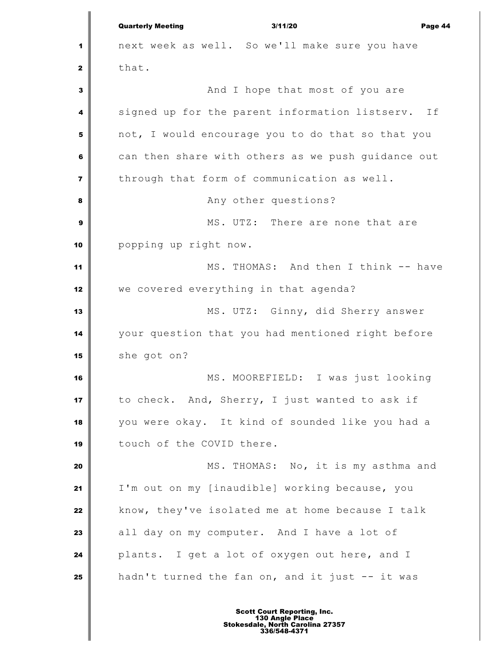Quarterly Meeting 3/11/20 Page 44 next week as well. So we'll make sure you have that. And I hope that most of you are signed up for the parent information listserv. If not, I would encourage you to do that so that you can then share with others as we push quidance out through that form of communication as well. Any other questions? MS. UTZ: There are none that are popping up right now. MS. THOMAS: And then I think -- have we covered everything in that agenda? MS. UTZ: Ginny, did Sherry answer your question that you had mentioned right before she got on? MS. MOOREFIELD: I was just looking to check. And, Sherry, I just wanted to ask if you were okay. It kind of sounded like you had a 19 touch of the COVID there. MS. THOMAS: No, it is my asthma and I'm out on my [inaudible] working because, you know, they've isolated me at home because I talk all day on my computer. And I have a lot of plants. I get a lot of oxygen out here, and I hadn't turned the fan on, and it just -- it was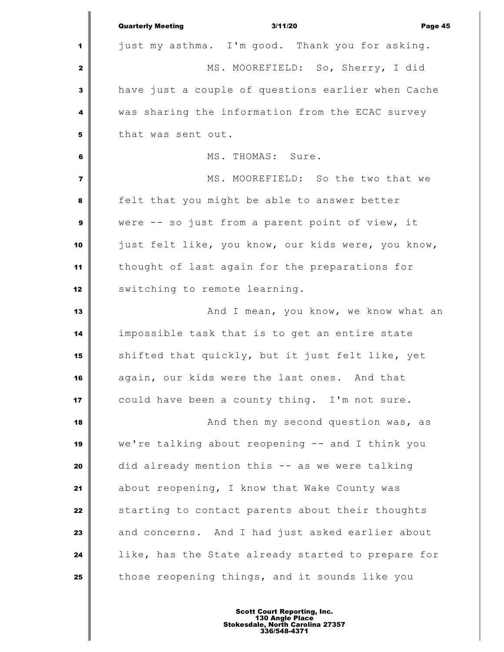|                | <b>Quarterly Meeting</b><br>3/11/20<br>Page 45     |
|----------------|----------------------------------------------------|
| 1              | just my asthma. I'm good. Thank you for asking.    |
| $\mathbf{z}$   | MS. MOOREFIELD: So, Sherry, I did                  |
| 3              | have just a couple of questions earlier when Cache |
| 4              | was sharing the information from the ECAC survey   |
| 5              | that was sent out.                                 |
| 6              | MS. THOMAS: Sure.                                  |
| $\overline{7}$ | MS. MOOREFIELD: So the two that we                 |
| 8              | felt that you might be able to answer better       |
| 9              | were -- so just from a parent point of view, it    |
| 10             | just felt like, you know, our kids were, you know, |
| 11             | thought of last again for the preparations for     |
| 12             | switching to remote learning.                      |
| 13             | And I mean, you know, we know what an              |
| 14             | impossible task that is to get an entire state     |
| 15             | shifted that quickly, but it just felt like, yet   |
| 16             | again, our kids were the last ones. And that       |
| 17             | could have been a county thing. I'm not sure.      |
| 18             | And then my second question was, as                |
| 19             | we're talking about reopening -- and I think you   |
| 20             | did already mention this -- as we were talking     |
| 21             | about reopening, I know that Wake County was       |
| 22             | starting to contact parents about their thoughts   |
| 23             | and concerns. And I had just asked earlier about   |
| 24             | like, has the State already started to prepare for |
| 25             | those reopening things, and it sounds like you     |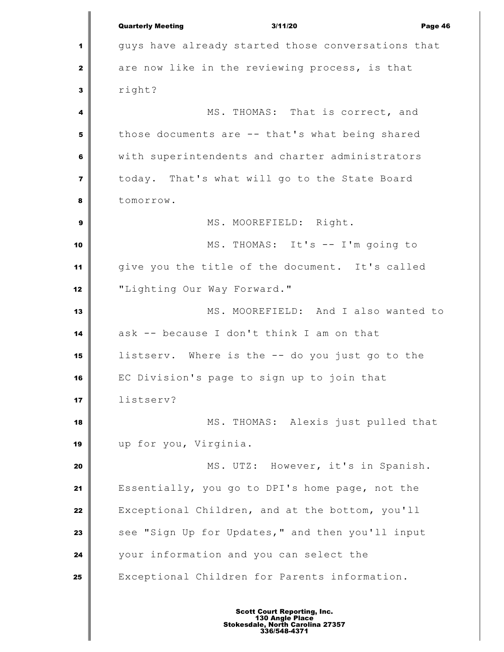|                         | <b>Quarterly Meeting</b><br>3/11/20<br>Page 46     |  |
|-------------------------|----------------------------------------------------|--|
| 1                       | guys have already started those conversations that |  |
| $\mathbf{2}$            | are now like in the reviewing process, is that     |  |
| $\mathbf{3}$            | right?                                             |  |
| 4                       | MS. THOMAS: That is correct, and                   |  |
| 5                       | those documents are -- that's what being shared    |  |
| $6\phantom{1}6$         | with superintendents and charter administrators    |  |
| $\overline{\mathbf{z}}$ | today. That's what will go to the State Board      |  |
| 8                       | tomorrow.                                          |  |
| 9                       | MS. MOOREFIELD: Right.                             |  |
| 10                      | MS. THOMAS: It's -- I'm going to                   |  |
| 11                      | give you the title of the document. It's called    |  |
| 12                      | "Lighting Our Way Forward."                        |  |
| 13                      | MS. MOOREFIELD: And I also wanted to               |  |
| 14                      | ask -- because I don't think I am on that          |  |
| 15                      | listserv. Where is the -- do you just go to the    |  |
| 16                      | EC Division's page to sign up to join that         |  |
| 17                      | listserv?                                          |  |
| 18                      | MS. THOMAS: Alexis just pulled that                |  |
| 19                      | up for you, Virginia.                              |  |
| 20                      | MS. UTZ: However, it's in Spanish.                 |  |
| 21                      | Essentially, you go to DPI's home page, not the    |  |
| 22                      | Exceptional Children, and at the bottom, you'll    |  |
| 23                      | see "Sign Up for Updates," and then you'll input   |  |
| 24                      | your information and you can select the            |  |
| 25                      | Exceptional Children for Parents information.      |  |
|                         |                                                    |  |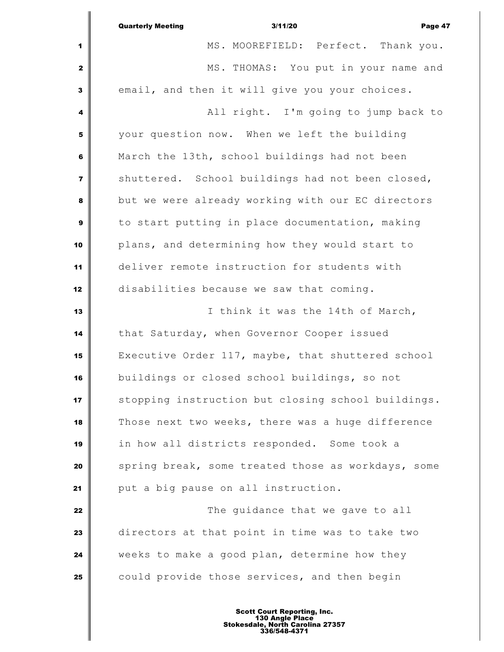|                         | 3/11/20<br>Page 47<br><b>Quarterly Meeting</b>     |  |
|-------------------------|----------------------------------------------------|--|
| 1                       | MS. MOOREFIELD: Perfect. Thank you.                |  |
| $\mathbf{2}$            | MS. THOMAS: You put in your name and               |  |
| 3                       | email, and then it will give you your choices.     |  |
| 4                       | All right. I'm going to jump back to               |  |
| 5                       | your question now. When we left the building       |  |
| 6                       | March the 13th, school buildings had not been      |  |
| $\overline{\mathbf{z}}$ | shuttered. School buildings had not been closed,   |  |
| 8                       | but we were already working with our EC directors  |  |
| $\mathbf{9}$            | to start putting in place documentation, making    |  |
| 10                      | plans, and determining how they would start to     |  |
| 11                      | deliver remote instruction for students with       |  |
| 12                      | disabilities because we saw that coming.           |  |
| 13                      | I think it was the 14th of March,                  |  |
| 14                      | that Saturday, when Governor Cooper issued         |  |
| 15                      | Executive Order 117, maybe, that shuttered school  |  |
| 16                      | buildings or closed school buildings, so not       |  |
| 17                      | stopping instruction but closing school buildings. |  |
| 18                      | Those next two weeks, there was a huge difference  |  |
| 19                      | in how all districts responded. Some took a        |  |
| 20                      | spring break, some treated those as workdays, some |  |
| 21                      | put a big pause on all instruction.                |  |
| 22                      | The guidance that we gave to all                   |  |
| 23                      | directors at that point in time was to take two    |  |
| 24                      | weeks to make a good plan, determine how they      |  |
| 25                      | could provide those services, and then begin       |  |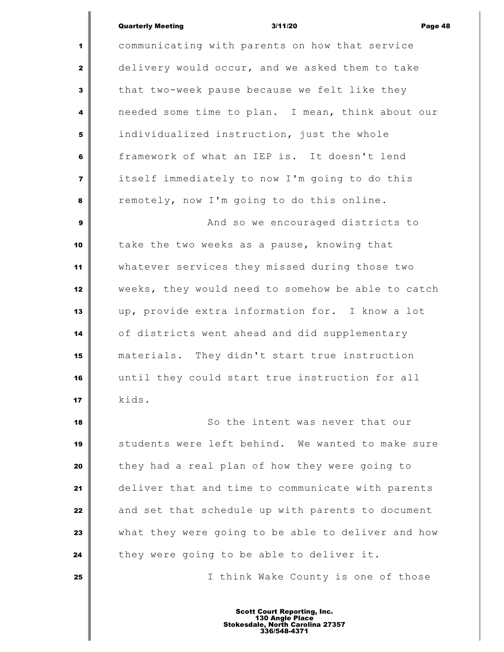### Quarterly Meeting 3/11/20 Page 48

 communicating with parents on how that service delivery would occur, and we asked them to take that two-week pause because we felt like they needed some time to plan. I mean, think about our individualized instruction, just the whole framework of what an IEP is. It doesn't lend itself immediately to now I'm going to do this remotely, now I'm going to do this online. And so we encouraged districts to take the two weeks as a pause, knowing that whatever services they missed during those two

weeks, they would need to somehow be able to catch

up, provide extra information for. I know a lot

of districts went ahead and did supplementary

 materials. They didn't start true instruction until they could start true instruction for all kids. So the intent was never that our students were left behind. We wanted to make sure they had a real plan of how they were going to deliver that and time to communicate with parents and set that schedule up with parents to document what they were going to be able to deliver and how

they were going to be able to deliver it.

I think Wake County is one of those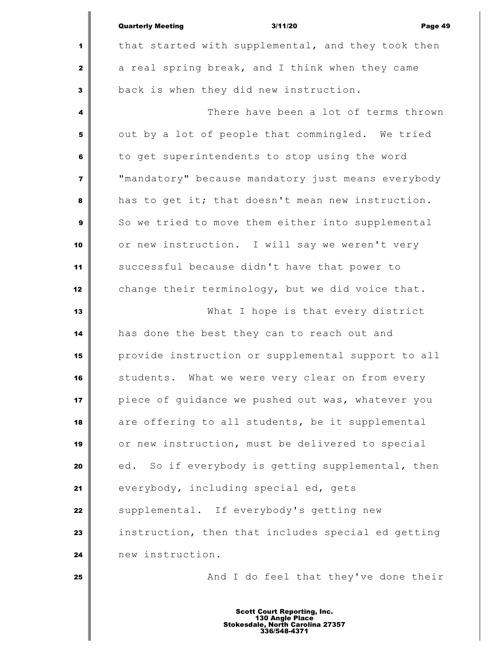|                | <b>Quarterly Meeting</b><br>3/11/20<br>Page 49     |
|----------------|----------------------------------------------------|
| 1              | that started with supplemental, and they took then |
| $\mathbf{2}$   | a real spring break, and I think when they came    |
| $\mathbf{3}$   | back is when they did new instruction.             |
| 4              | There have been a lot of terms thrown              |
| 5              | out by a lot of people that commingled. We tried   |
| 6              | to get superintendents to stop using the word      |
| $\overline{7}$ | "mandatory" because mandatory just means everybody |
| 8              | has to get it; that doesn't mean new instruction.  |
| $\mathbf{9}$   | So we tried to move them either into supplemental  |
| 10             | or new instruction. I will say we weren't very     |
| 11             | successful because didn't have that power to       |
| 12             | change their terminology, but we did voice that.   |
| 13             | What I hope is that every district                 |
| 14             | has done the best they can to reach out and        |
| 15             | provide instruction or supplemental support to all |
| 16             | students. What we were very clear on from every    |
| 17             | piece of guidance we pushed out was, whatever you  |
| 18             | are offering to all students, be it supplemental   |
| 19             | or new instruction, must be delivered to special   |
| 20             | ed. So if everybody is getting supplemental, then  |
| 21             | everybody, including special ed, gets              |
| 22             | supplemental. If everybody's getting new           |
| 23             | instruction, then that includes special ed getting |
| 24             | new instruction.                                   |
| 25             | And I do feel that they've done their              |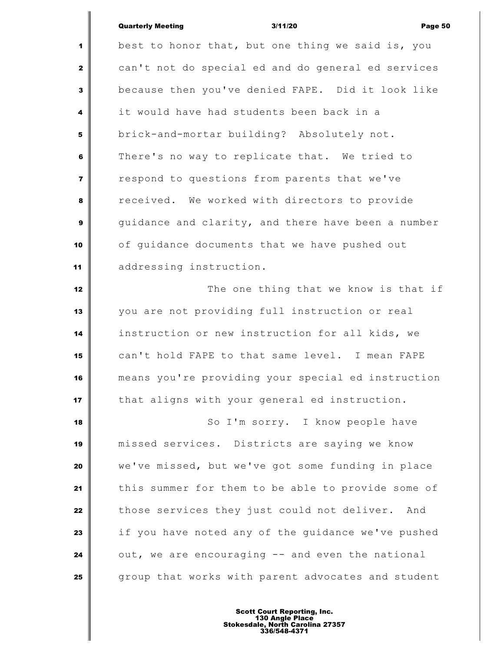# Quarterly Meeting 3/11/20 Page 50

 best to honor that, but one thing we said is, you can't not do special ed and do general ed services because then you've denied FAPE. Did it look like it would have had students been back in a brick-and-mortar building? Absolutely not. There's no way to replicate that. We tried to respond to questions from parents that we've received. We worked with directors to provide guidance and clarity, and there have been a number of quidance documents that we have pushed out addressing instruction. The one thing that we know is that if you are not providing full instruction or real instruction or new instruction for all kids, we can't hold FAPE to that same level. I mean FAPE means you're providing your special ed instruction that aligns with your general ed instruction. So I'm sorry. I know people have missed services. Districts are saying we know we've missed, but we've got some funding in place this summer for them to be able to provide some of those services they just could not deliver. And if you have noted any of the quidance we've pushed out, we are encouraging -- and even the national group that works with parent advocates and student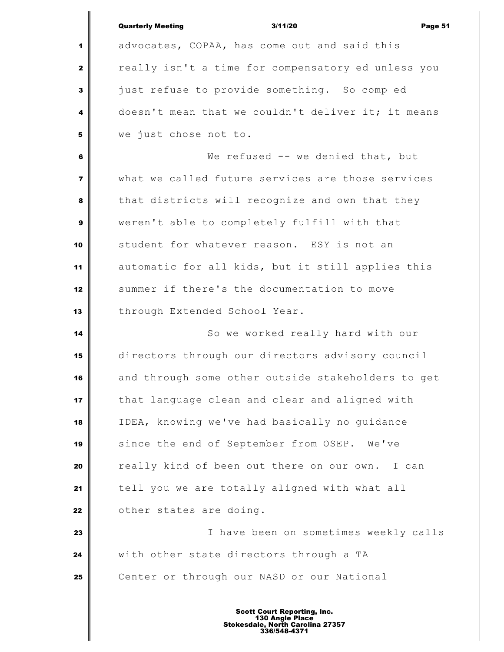|                         | <b>Quarterly Meeting</b><br>3/11/20<br>Page 51     |  |  |
|-------------------------|----------------------------------------------------|--|--|
| 1                       | advocates, COPAA, has come out and said this       |  |  |
| 2                       | really isn't a time for compensatory ed unless you |  |  |
| 3                       | just refuse to provide something. So comp ed       |  |  |
| 4                       | doesn't mean that we couldn't deliver it; it means |  |  |
| 5                       | we just chose not to.                              |  |  |
| 6                       | We refused -- we denied that, but                  |  |  |
| $\overline{\mathbf{r}}$ | what we called future services are those services  |  |  |
| 8                       | that districts will recognize and own that they    |  |  |
| 9                       | weren't able to completely fulfill with that       |  |  |
| 10                      | student for whatever reason. ESY is not an         |  |  |
| 11                      | automatic for all kids, but it still applies this  |  |  |
| 12                      | summer if there's the documentation to move        |  |  |
| 13                      | through Extended School Year.                      |  |  |
| 14                      | So we worked really hard with our                  |  |  |
| 15                      | directors through our directors advisory council   |  |  |
| 16                      | and through some other outside stakeholders to get |  |  |
| 17                      | that language clean and clear and aligned with     |  |  |
| 18                      | IDEA, knowing we've had basically no guidance      |  |  |
| 19                      | since the end of September from OSEP. We've        |  |  |
| 20                      | really kind of been out there on our own.<br>I can |  |  |
| 21                      | tell you we are totally aligned with what all      |  |  |
| 22                      | other states are doing.                            |  |  |
| 23                      | I have been on sometimes weekly calls              |  |  |
| 24                      | with other state directors through a TA            |  |  |
| 25                      | Center or through our NASD or our National         |  |  |
|                         |                                                    |  |  |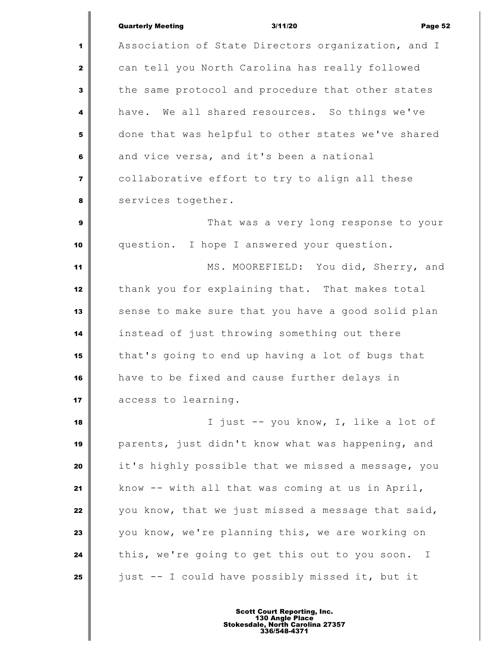|                         | <b>Quarterly Meeting</b><br>3/11/20<br>Page 52                 |  |
|-------------------------|----------------------------------------------------------------|--|
| 1                       | Association of State Directors organization, and I             |  |
| $\mathbf{2}$            | can tell you North Carolina has really followed                |  |
| 3                       | the same protocol and procedure that other states              |  |
| $\overline{\mathbf{4}}$ | have. We all shared resources. So things we've                 |  |
| 5                       | done that was helpful to other states we've shared             |  |
| 6                       | and vice versa, and it's been a national                       |  |
| $\overline{7}$          | collaborative effort to try to align all these                 |  |
| 8                       | services together.                                             |  |
| $\mathbf{9}$            | That was a very long response to your                          |  |
| 10                      | question. I hope I answered your question.                     |  |
| 11                      | MS. MOOREFIELD: You did, Sherry, and                           |  |
| 12                      | thank you for explaining that. That makes total                |  |
| 13                      | sense to make sure that you have a good solid plan             |  |
| 14                      | instead of just throwing something out there                   |  |
| 15                      | that's going to end up having a lot of bugs that               |  |
| 16                      | have to be fixed and cause further delays in                   |  |
| 17                      | access to learning.                                            |  |
| 18                      | I just -- you know, I, like a lot of                           |  |
| 19                      | parents, just didn't know what was happening, and              |  |
| 20                      | it's highly possible that we missed a message, you             |  |
| 21                      | know -- with all that was coming at us in April,               |  |
| 22                      | you know, that we just missed a message that said,             |  |
| 23                      | you know, we're planning this, we are working on               |  |
| 24                      | this, we're going to get this out to you soon.<br>$\mathbb{I}$ |  |
| 25                      | just -- I could have possibly missed it, but it                |  |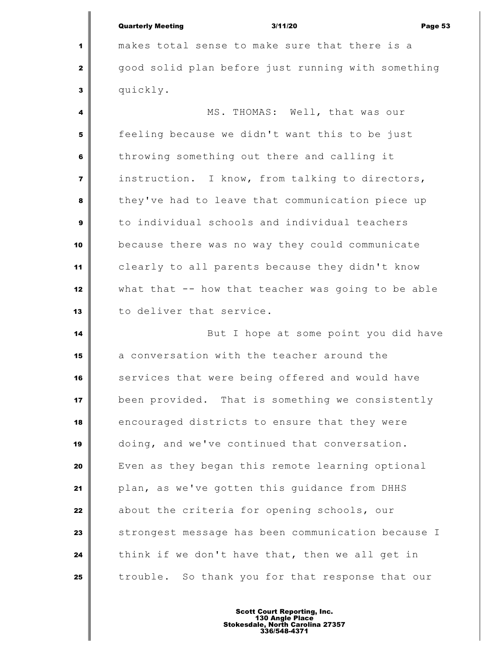| <b>Quarterly Meeting</b> | 3/11/20 | Page 53 |
|--------------------------|---------|---------|
|                          |         |         |

 makes total sense to make sure that there is a good solid plan before just running with something quickly.

 MS. THOMAS: Well, that was our **feeling because we didn't want this to be just**  throwing something out there and calling it instruction. I know, from talking to directors, they've had to leave that communication piece up to individual schools and individual teachers because there was no way they could communicate clearly to all parents because they didn't know what that -- how that teacher was going to be able to deliver that service.

 But I hope at some point you did have a conversation with the teacher around the services that were being offered and would have been provided. That is something we consistently encouraged districts to ensure that they were doing, and we've continued that conversation. Even as they began this remote learning optional plan, as we've gotten this guidance from DHHS about the criteria for opening schools, our strongest message has been communication because I think if we don't have that, then we all get in trouble. So thank you for that response that our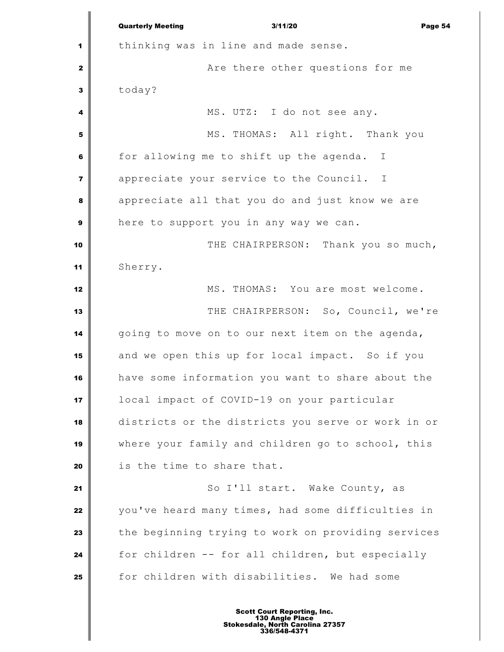Quarterly Meeting 3/11/20 Page 54 thinking was in line and made sense. **Are there other questions for me**  today? MS. UTZ: I do not see any. MS. THOMAS: All right. Thank you for allowing me to shift up the agenda. I appreciate your service to the Council. I appreciate all that you do and just know we are here to support you in any way we can.  $\parallel$  THE CHAIRPERSON: Thank you so much, Sherry. MS. THOMAS: You are most welcome. THE CHAIRPERSON: So, Council, we're going to move on to our next item on the agenda, and we open this up for local impact. So if you have some information you want to share about the local impact of COVID-19 on your particular districts or the districts you serve or work in or where your family and children go to school, this is the time to share that. 21 || So I'll start. Wake County, as you've heard many times, had some difficulties in the beginning trying to work on providing services for children -- for all children, but especially for children with disabilities. We had some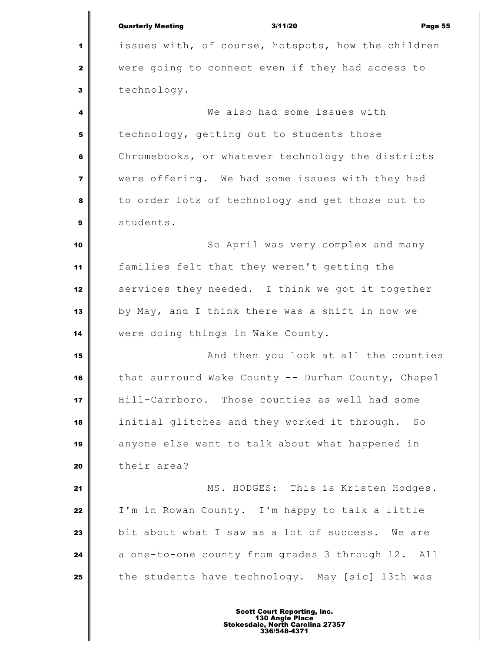Quarterly Meeting 3/11/20 Page 55 issues with, of course, hotspots, how the children were going to connect even if they had access to technology. We also had some issues with technology, getting out to students those Chromebooks, or whatever technology the districts were offering. We had some issues with they had to order lots of technology and get those out to students. So April was very complex and many families felt that they weren't getting the services they needed. I think we got it together by May, and I think there was a shift in how we were doing things in Wake County. And then you look at all the counties that surround Wake County -- Durham County, Chapel Hill-Carrboro. Those counties as well had some initial glitches and they worked it through. So anyone else want to talk about what happened in their area? MS. HODGES: This is Kristen Hodges. I'm in Rowan County. I'm happy to talk a little bit about what I saw as a lot of success. We are a one-to-one county from grades 3 through 12. All the students have technology. May [sic] 13th was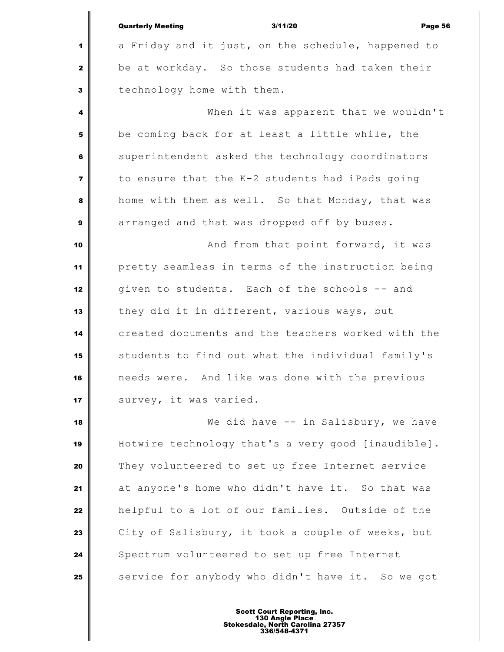|                         | <b>Quarterly Meeting</b><br>3/11/20<br>Page 56     |
|-------------------------|----------------------------------------------------|
| 1                       | a Friday and it just, on the schedule, happened to |
| $\mathbf{2}$            | be at workday. So those students had taken their   |
| $\mathbf{3}$            | technology home with them.                         |
| 4                       | When it was apparent that we wouldn't              |
| 5                       | be coming back for at least a little while, the    |
| $\bf 6$                 | superintendent asked the technology coordinators   |
| $\overline{\mathbf{z}}$ | to ensure that the K-2 students had iPads going    |
| 8                       | home with them as well. So that Monday, that was   |
| $\boldsymbol{9}$        | arranged and that was dropped off by buses.        |
| 10                      | And from that point forward, it was                |
| 11                      | pretty seamless in terms of the instruction being  |
| 12                      | given to students. Each of the schools -- and      |
| 13                      | they did it in different, various ways, but        |
| 14                      | created documents and the teachers worked with the |
| 15                      | students to find out what the individual family's  |
| 16                      | needs were. And like was done with the previous    |
| 17                      | survey, it was varied.                             |
| 18                      | We did have -- in Salisbury, we have               |
| 19                      | Hotwire technology that's a very good [inaudible]. |
| 20                      | They volunteered to set up free Internet service   |
| 21                      | at anyone's home who didn't have it. So that was   |
| 22                      | helpful to a lot of our families. Outside of the   |
| 23                      | City of Salisbury, it took a couple of weeks, but  |
| 24                      | Spectrum volunteered to set up free Internet       |
| 25                      | service for anybody who didn't have it. So we got  |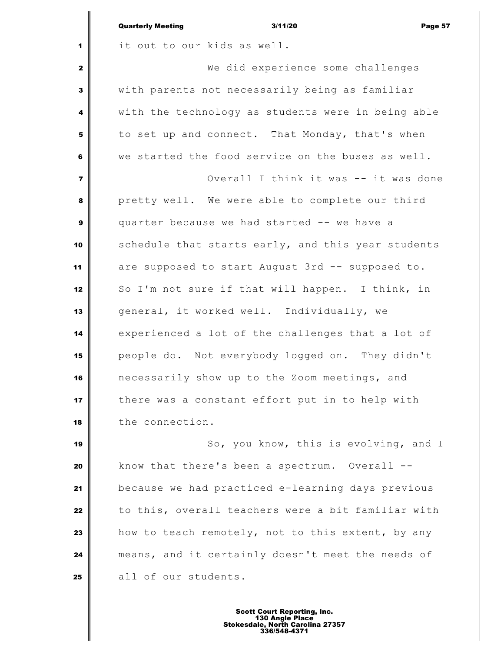|                | <b>Quarterly Meeting</b><br>3/11/20<br>Page 57     |
|----------------|----------------------------------------------------|
| 1              | it out to our kids as well.                        |
| $\mathbf{z}$   | We did experience some challenges                  |
| 3              | with parents not necessarily being as familiar     |
| 4              | with the technology as students were in being able |
| 5              | to set up and connect. That Monday, that's when    |
| 6              | we started the food service on the buses as well.  |
| $\overline{7}$ | Overall I think it was -- it was done              |
| 8              | pretty well. We were able to complete our third    |
| 9              | quarter because we had started -- we have a        |
| 10             | schedule that starts early, and this year students |
| 11             | are supposed to start August 3rd -- supposed to.   |
| 12             | So I'm not sure if that will happen. I think, in   |
| 13             | general, it worked well. Individually, we          |
| 14             | experienced a lot of the challenges that a lot of  |
| 15             | people do. Not everybody logged on. They didn't    |
| 16             | necessarily show up to the Zoom meetings, and      |
| 17             | there was a constant effort put in to help with    |
| 18             | the connection.                                    |
| 19             | So, you know, this is evolving, and I              |
| 20             | know that there's been a spectrum. Overall --      |
| 21             | because we had practiced e-learning days previous  |
| 22             | to this, overall teachers were a bit familiar with |
| 23             | how to teach remotely, not to this extent, by any  |
| 24             | means, and it certainly doesn't meet the needs of  |
| 25             | all of our students.                               |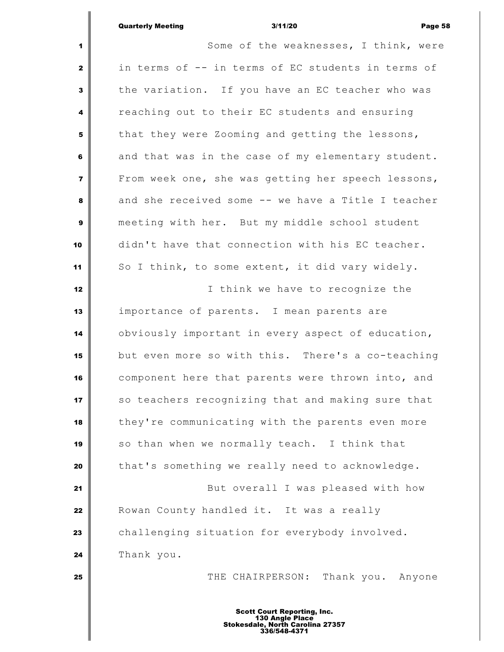# Quarterly Meeting 3/11/20 Page 58

 Some of the weaknesses, I think, were in terms of -- in terms of EC students in terms of the variation. If you have an EC teacher who was reaching out to their EC students and ensuring that they were Zooming and getting the lessons, and that was in the case of my elementary student. From week one, she was getting her speech lessons, and she received some -- we have a Title I teacher meeting with her. But my middle school student didn't have that connection with his EC teacher. So I think, to some extent, it did vary widely. I think we have to recognize the importance of parents. I mean parents are obviously important in every aspect of education, but even more so with this. There's a co-teaching component here that parents were thrown into, and so teachers recognizing that and making sure that they're communicating with the parents even more so than when we normally teach. I think that that's something we really need to acknowledge. But overall I was pleased with how Rowan County handled it. It was a really challenging situation for everybody involved. Thank you. THE CHAIRPERSON: Thank you. Anyone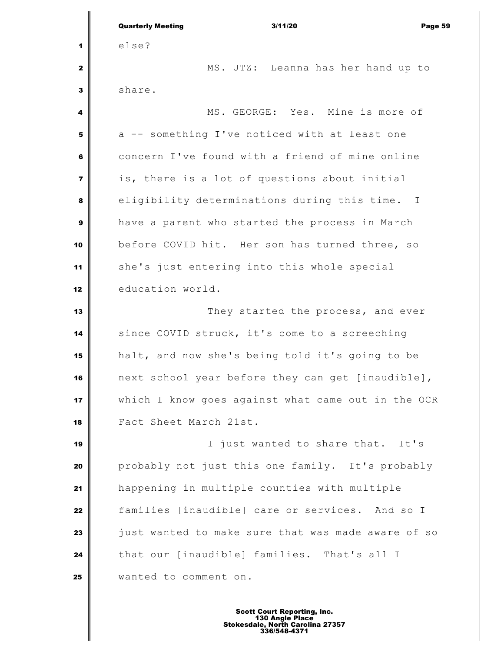|                         | <b>Quarterly Meeting</b><br>3/11/20<br>Page 59     |
|-------------------------|----------------------------------------------------|
| 1                       | else?                                              |
| 2                       | MS. UTZ: Leanna has her hand up to                 |
| 3                       | share.                                             |
| 4                       | MS. GEORGE: Yes. Mine is more of                   |
| 5                       | a -- something I've noticed with at least one      |
| 6                       | concern I've found with a friend of mine online    |
| $\overline{\mathbf{z}}$ | is, there is a lot of questions about initial      |
| 8                       | eligibility determinations during this time. I     |
| 9                       | have a parent who started the process in March     |
| 10                      | before COVID hit. Her son has turned three, so     |
| 11                      | she's just entering into this whole special        |
| 12                      | education world.                                   |
| 13                      | They started the process, and ever                 |
| 14                      | since COVID struck, it's come to a screeching      |
| 15                      | halt, and now she's being told it's going to be    |
| 16                      | next school year before they can get [inaudible],  |
| 17                      | which I know goes against what came out in the OCR |
| 18                      | Fact Sheet March 21st.                             |
| 19                      | I just wanted to share that. It's                  |
| 20                      | probably not just this one family. It's probably   |
| 21                      | happening in multiple counties with multiple       |
| 22                      | families [inaudible] care or services. And so I    |
| 23                      | just wanted to make sure that was made aware of so |
| 24                      | that our [inaudible] families. That's all I        |
| 25                      | wanted to comment on.                              |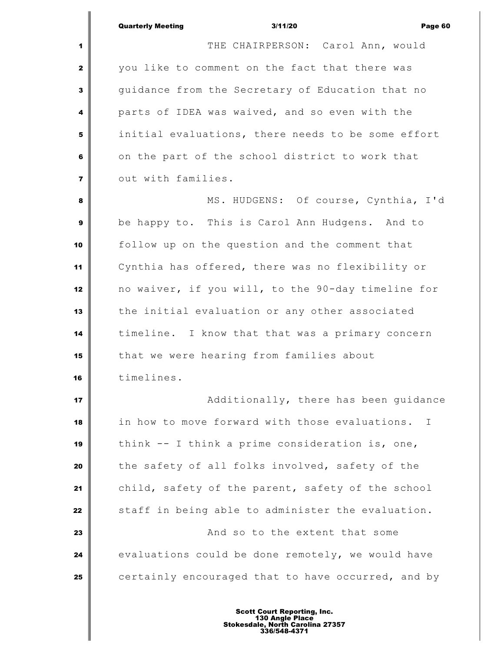|                         | <b>Quarterly Meeting</b><br>3/11/20<br>Page 60      |
|-------------------------|-----------------------------------------------------|
| 1                       | THE CHAIRPERSON: Carol Ann, would                   |
| $\mathbf{2}$            | you like to comment on the fact that there was      |
| $\mathbf{3}$            | guidance from the Secretary of Education that no    |
| 4                       | parts of IDEA was waived, and so even with the      |
| 5                       | initial evaluations, there needs to be some effort  |
| 6                       | on the part of the school district to work that     |
| $\overline{\mathbf{z}}$ | out with families.                                  |
| 8                       | MS. HUDGENS: Of course, Cynthia, I'd                |
| 9                       | be happy to. This is Carol Ann Hudgens. And to      |
| 10                      | follow up on the question and the comment that      |
| 11                      | Cynthia has offered, there was no flexibility or    |
| 12                      | no waiver, if you will, to the 90-day timeline for  |
| 13                      | the initial evaluation or any other associated      |
| 14                      | timeline. I know that that was a primary concern    |
| 15                      | that we were hearing from families about            |
| 16                      | timelines.                                          |
| 17                      | Additionally, there has been guidance               |
| 18                      | in how to move forward with those evaluations.<br>Ι |
| 19                      | think -- I think a prime consideration is, one,     |
| 20                      | the safety of all folks involved, safety of the     |
| 21                      | child, safety of the parent, safety of the school   |
| 22                      | staff in being able to administer the evaluation.   |
| 23                      | And so to the extent that some                      |
| 24                      | evaluations could be done remotely, we would have   |
| 25                      | certainly encouraged that to have occurred, and by  |
|                         |                                                     |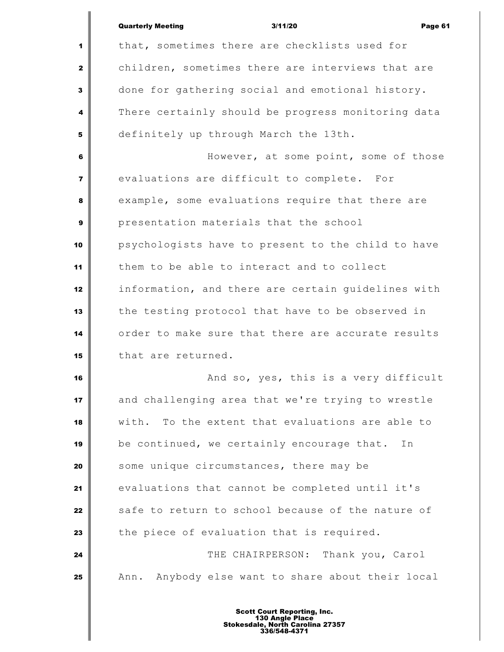|                | <b>Quarterly Meeting</b><br>3/11/20<br>Page 61      |
|----------------|-----------------------------------------------------|
| 1              | that, sometimes there are checklists used for       |
| $\mathbf{2}$   | children, sometimes there are interviews that are   |
| 3              | done for gathering social and emotional history.    |
| 4              | There certainly should be progress monitoring data  |
| 5              | definitely up through March the 13th.               |
| 6              | However, at some point, some of those               |
| $\overline{7}$ | evaluations are difficult to complete. For          |
| 8              | example, some evaluations require that there are    |
| 9              | presentation materials that the school              |
| 10             | psychologists have to present to the child to have  |
| 11             | them to be able to interact and to collect          |
| 12             | information, and there are certain guidelines with  |
| 13             | the testing protocol that have to be observed in    |
| 14             | order to make sure that there are accurate results  |
| 15             | that are returned.                                  |
| 16             | And so, yes, this is a very difficult               |
| 17             | and challenging area that we're trying to wrestle   |
| 18             | To the extent that evaluations are able to<br>with. |
| 19             | be continued, we certainly encourage that.<br>In    |
| 20             | some unique circumstances, there may be             |
| 21             | evaluations that cannot be completed until it's     |
| 22             | safe to return to school because of the nature of   |
| 23             | the piece of evaluation that is required.           |
| 24             | THE CHAIRPERSON: Thank you, Carol                   |
| 25             | Ann. Anybody else want to share about their local   |
|                |                                                     |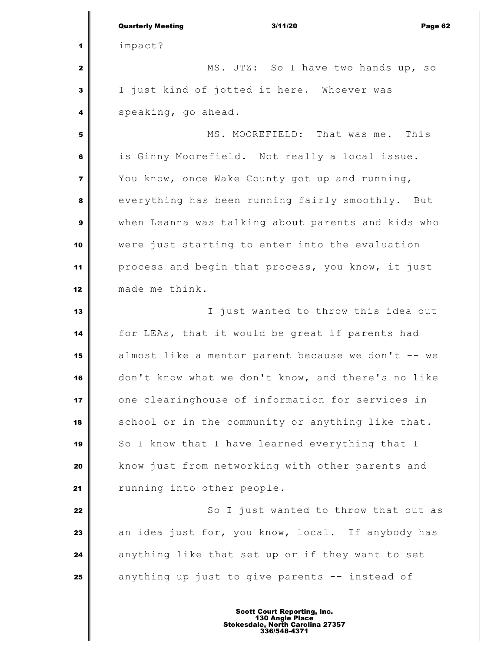|                | <b>Quarterly Meeting</b><br>3/11/20<br>Page 62     |
|----------------|----------------------------------------------------|
| 1              | impact?                                            |
| $\mathbf{z}$   | MS. UTZ: So I have two hands up, so                |
| 3              | I just kind of jotted it here. Whoever was         |
| 4              | speaking, go ahead.                                |
| 5              | MS. MOOREFIELD: That was me.<br>This               |
| 6              | is Ginny Moorefield. Not really a local issue.     |
| $\overline{7}$ | You know, once Wake County got up and running,     |
| 8              | everything has been running fairly smoothly. But   |
| 9              | when Leanna was talking about parents and kids who |
| 10             | were just starting to enter into the evaluation    |
| 11             | process and begin that process, you know, it just  |
| 12             | made me think.                                     |
| 13             | I just wanted to throw this idea out               |
| 14             | for LEAs, that it would be great if parents had    |
| 15             | almost like a mentor parent because we don't -- we |
| 16             | don't know what we don't know, and there's no like |
| 17             | one clearinghouse of information for services in   |
| 18             | school or in the community or anything like that.  |
| 19             | So I know that I have learned everything that I    |
| 20             | know just from networking with other parents and   |
| 21             | running into other people.                         |
| 22             | So I just wanted to throw that out as              |
| 23             | an idea just for, you know, local. If anybody has  |
| 24             | anything like that set up or if they want to set   |
| 25             | anything up just to give parents -- instead of     |
|                |                                                    |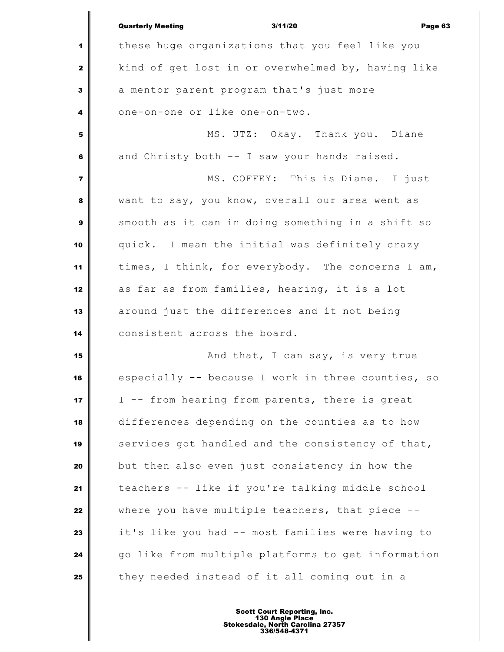|                         | <b>Quarterly Meeting</b><br>3/11/20<br>Page 63     |
|-------------------------|----------------------------------------------------|
| 1                       | these huge organizations that you feel like you    |
| $\mathbf{z}$            | kind of get lost in or overwhelmed by, having like |
| 3                       | a mentor parent program that's just more           |
| 4                       | one-on-one or like one-on-two.                     |
| 5                       | MS. UTZ: Okay. Thank you. Diane                    |
| 6                       | and Christy both -- I saw your hands raised.       |
| $\overline{\mathbf{z}}$ | MS. COFFEY: This is Diane. I just                  |
| 8                       | want to say, you know, overall our area went as    |
| $\mathbf{9}$            | smooth as it can in doing something in a shift so  |
| 10                      | quick. I mean the initial was definitely crazy     |
| 11                      | times, I think, for everybody. The concerns I am,  |
| 12                      | as far as from families, hearing, it is a lot      |
| 13                      | around just the differences and it not being       |
| 14                      | consistent across the board.                       |
| 15                      | And that, I can say, is very true                  |
| 16                      | especially -- because I work in three counties, so |
| 17                      | I -- from hearing from parents, there is great     |
| 18                      | differences depending on the counties as to how    |
| 19                      | services got handled and the consistency of that,  |
| 20                      | but then also even just consistency in how the     |
| 21                      | teachers -- like if you're talking middle school   |
| 22                      | where you have multiple teachers, that piece --    |
| 23                      | it's like you had -- most families were having to  |
| 24                      | go like from multiple platforms to get information |
| 25                      | they needed instead of it all coming out in a      |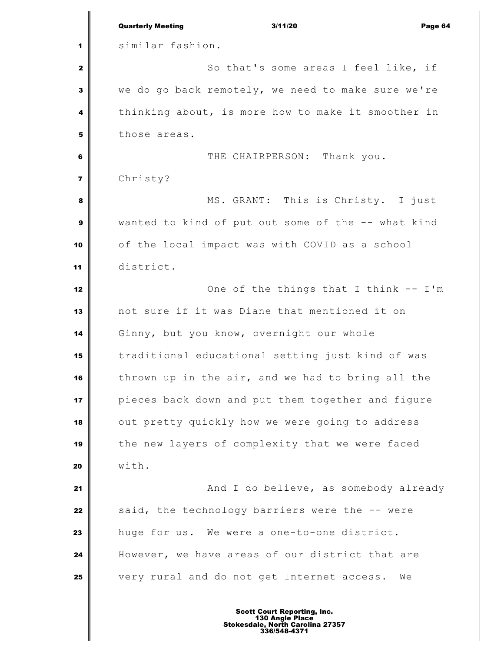|                | <b>Quarterly Meeting</b><br>3/11/20<br>Page 64     |
|----------------|----------------------------------------------------|
| 1              | similar fashion.                                   |
| $\mathbf{2}$   | So that's some areas I feel like, if               |
| 3              | we do go back remotely, we need to make sure we're |
| 4              | thinking about, is more how to make it smoother in |
| 5              | those areas.                                       |
| 6              | THE CHAIRPERSON: Thank you.                        |
| $\overline{7}$ | Christy?                                           |
| 8              | MS. GRANT: This is Christy. I just                 |
| 9              | wanted to kind of put out some of the -- what kind |
| 10             | of the local impact was with COVID as a school     |
| 11             | district.                                          |
| 12             | One of the things that I think -- I'm              |
| 13             | not sure if it was Diane that mentioned it on      |
| 14             | Ginny, but you know, overnight our whole           |
| 15             | traditional educational setting just kind of was   |
| 16             | thrown up in the air, and we had to bring all the  |
| 17             | pieces back down and put them together and figure  |
| 18             | out pretty quickly how we were going to address    |
| 19             | the new layers of complexity that we were faced    |
| 20             | with.                                              |
| 21             | And I do believe, as somebody already              |
| 22             | said, the technology barriers were the -- were     |
| 23             | huge for us. We were a one-to-one district.        |
| 24             | However, we have areas of our district that are    |
| 25             | very rural and do not get Internet access.<br>We   |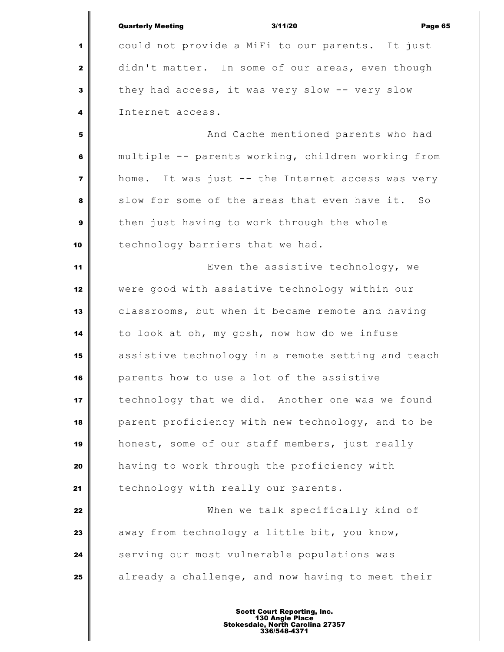|                         | <b>Quarterly Meeting</b><br>3/11/20<br>Page 65     |
|-------------------------|----------------------------------------------------|
| 1                       | could not provide a MiFi to our parents. It just   |
| $\mathbf{2}$            | didn't matter. In some of our areas, even though   |
| 3                       | they had access, it was very slow -- very slow     |
| 4                       | Internet access.                                   |
| 5                       | And Cache mentioned parents who had                |
| 6                       | multiple -- parents working, children working from |
| $\overline{\mathbf{z}}$ | home. It was just -- the Internet access was very  |
| 8                       | slow for some of the areas that even have it. So   |
| 9                       | then just having to work through the whole         |
| 10                      | technology barriers that we had.                   |
| 11                      | Even the assistive technology, we                  |
| 12                      | were good with assistive technology within our     |
| 13                      | classrooms, but when it became remote and having   |
| 14                      | to look at oh, my gosh, now how do we infuse       |
| 15                      | assistive technology in a remote setting and teach |
| 16                      | parents how to use a lot of the assistive          |
| 17                      | technology that we did. Another one was we found   |
| 18                      | parent proficiency with new technology, and to be  |
| 19                      | honest, some of our staff members, just really     |
| 20                      | having to work through the proficiency with        |
| 21                      | technology with really our parents.                |
| 22                      | When we talk specifically kind of                  |
| 23                      | away from technology a little bit, you know,       |
| 24                      | serving our most vulnerable populations was        |
| 25                      | already a challenge, and now having to meet their  |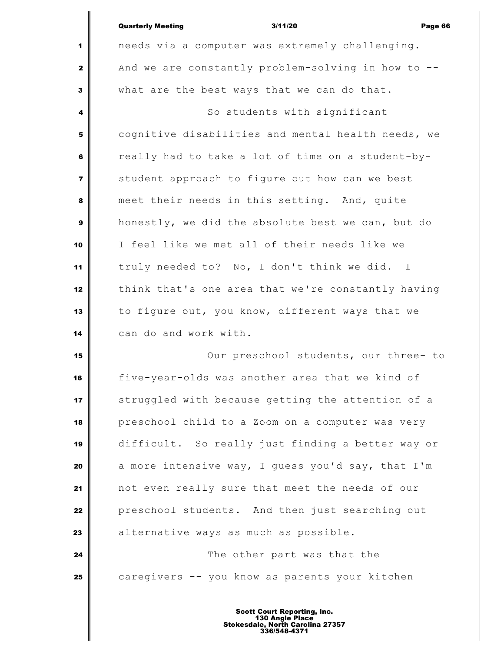|                | <b>Quarterly Meeting</b><br>3/11/20<br>Page 66     |
|----------------|----------------------------------------------------|
| 1              | needs via a computer was extremely challenging.    |
| $\mathbf{2}$   | And we are constantly problem-solving in how to -- |
| 3              | what are the best ways that we can do that.        |
| 4              | So students with significant                       |
| 5              | cognitive disabilities and mental health needs, we |
| 6              | really had to take a lot of time on a student-by-  |
| $\overline{7}$ | student approach to figure out how can we best     |
| 8              | meet their needs in this setting. And, quite       |
| 9              | honestly, we did the absolute best we can, but do  |
| 10             | I feel like we met all of their needs like we      |
| 11             | truly needed to? No, I don't think we did. I       |
| 12             | think that's one area that we're constantly having |
| 13             | to figure out, you know, different ways that we    |
| 14             | can do and work with.                              |
| 15             | Our preschool students, our three- to              |
| 16             | five-year-olds was another area that we kind of    |
| 17             | struggled with because getting the attention of a  |
| 18             | preschool child to a Zoom on a computer was very   |
| 19             | difficult. So really just finding a better way or  |
| 20             | a more intensive way, I guess you'd say, that I'm  |
| 21             | not even really sure that meet the needs of our    |
| 22             | preschool students. And then just searching out    |
| 23             | alternative ways as much as possible.              |
| 24             | The other part was that the                        |
| 25             | caregivers -- you know as parents your kitchen     |
|                |                                                    |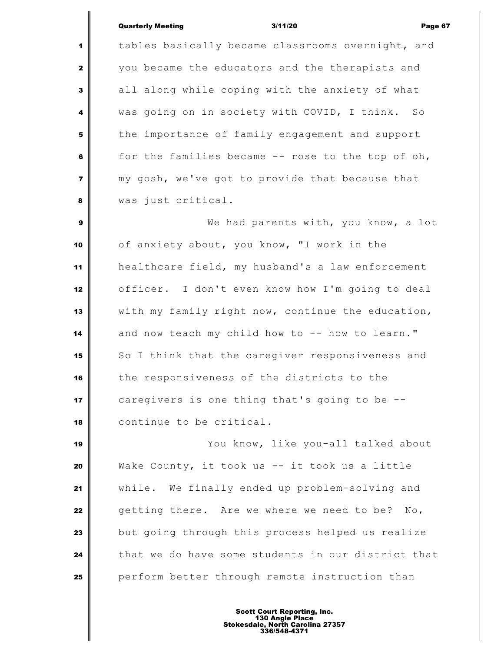### Quarterly Meeting 3/11/20 Page 67

 tables basically became classrooms overnight, and you became the educators and the therapists and all along while coping with the anxiety of what was going on in society with COVID, I think. So the importance of family engagement and support for the families became -- rose to the top of oh, my gosh, we've got to provide that because that was just critical.

 We had parents with, you know, a lot of anxiety about, you know, "I work in the healthcare field, my husband's a law enforcement officer. I don't even know how I'm going to deal with my family right now, continue the education, and now teach my child how to -- how to learn." So I think that the caregiver responsiveness and the responsiveness of the districts to the caregivers is one thing that's going to be -- continue to be critical.

 You know, like you-all talked about Wake County, it took us -- it took us a little while. We finally ended up problem-solving and getting there. Are we where we need to be? No, but going through this process helped us realize that we do have some students in our district that perform better through remote instruction than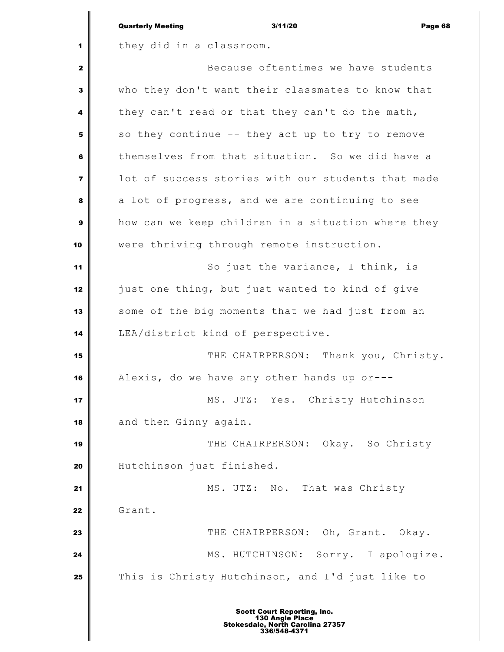|                         | <b>Quarterly Meeting</b><br>3/11/20<br>Page 68     |
|-------------------------|----------------------------------------------------|
| 1                       | they did in a classroom.                           |
| 2                       | Because oftentimes we have students                |
| 3                       | who they don't want their classmates to know that  |
| 4                       | they can't read or that they can't do the math,    |
| 5                       | so they continue -- they act up to try to remove   |
| 6                       | themselves from that situation. So we did have a   |
| $\overline{\mathbf{z}}$ | lot of success stories with our students that made |
| 8                       | a lot of progress, and we are continuing to see    |
| 9                       | how can we keep children in a situation where they |
| 10                      | were thriving through remote instruction.          |
| 11                      | So just the variance, I think, is                  |
| 12                      | just one thing, but just wanted to kind of give    |
| 13                      | some of the big moments that we had just from an   |
| 14                      | LEA/district kind of perspective.                  |
| 15                      | THE CHAIRPERSON: Thank you, Christy.               |
| 16                      | Alexis, do we have any other hands up or---        |
| 17                      | MS. UTZ: Yes. Christy Hutchinson                   |
| 18                      | and then Ginny again.                              |
| 19                      | THE CHAIRPERSON: Okay. So Christy                  |
| 20                      | Hutchinson just finished.                          |
| 21                      | MS. UTZ: No. That was Christy                      |
| 22                      | Grant.                                             |
| 23                      | THE CHAIRPERSON: Oh, Grant. Okay.                  |
| 24                      | MS. HUTCHINSON: Sorry. I apologize.                |
| 25                      | This is Christy Hutchinson, and I'd just like to   |
|                         |                                                    |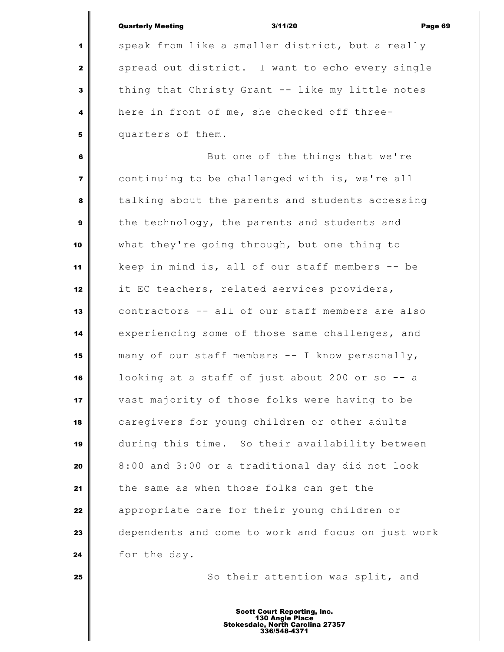|                         | <b>Quarterly Meeting</b><br>3/11/20<br>Page 69     |
|-------------------------|----------------------------------------------------|
| 1                       | speak from like a smaller district, but a really   |
| $\mathbf{z}$            | spread out district. I want to echo every single   |
| 3                       | thing that Christy Grant -- like my little notes   |
|                         |                                                    |
| 4                       | here in front of me, she checked off three-        |
| 5                       | quarters of them.                                  |
| 6                       | But one of the things that we're                   |
| $\overline{\mathbf{z}}$ | continuing to be challenged with is, we're all     |
| 8                       | talking about the parents and students accessing   |
| 9                       | the technology, the parents and students and       |
| 10                      | what they're going through, but one thing to       |
| 11                      | keep in mind is, all of our staff members -- be    |
| 12                      | it EC teachers, related services providers,        |
| 13                      | contractors -- all of our staff members are also   |
| 14                      | experiencing some of those same challenges, and    |
| 15                      | many of our staff members -- I know personally,    |
| 16                      | looking at a staff of just about 200 or so -- a    |
| 17                      | vast majority of those folks were having to be     |
| 18                      | caregivers for young children or other adults      |
| 19                      | during this time. So their availability between    |
| 20                      | 8:00 and 3:00 or a traditional day did not look    |
| 21                      | the same as when those folks can get the           |
| 22                      | appropriate care for their young children or       |
| 23                      | dependents and come to work and focus on just work |
|                         |                                                    |
| 24                      | for the day.                                       |
| 25                      | So their attention was split, and                  |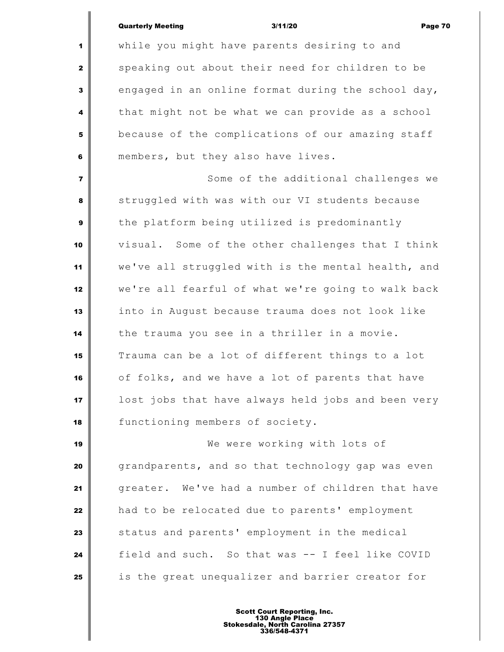Quarterly Meeting 3/11/20 Page 70

 while you might have parents desiring to and speaking out about their need for children to be engaged in an online format during the school day, that might not be what we can provide as a school because of the complications of our amazing staff members, but they also have lives. Some of the additional challenges we struggled with was with our VI students because the platform being utilized is predominantly visual. Some of the other challenges that I think we've all struggled with is the mental health, and we're all fearful of what we're going to walk back into in August because trauma does not look like the trauma you see in a thriller in a movie. Trauma can be a lot of different things to a lot of folks, and we have a lot of parents that have lost jobs that have always held jobs and been very 18 | functioning members of society. We were working with lots of grandparents, and so that technology gap was even greater. We've had a number of children that have had to be relocated due to parents' employment status and parents' employment in the medical field and such. So that was -- I feel like COVID is the great unequalizer and barrier creator for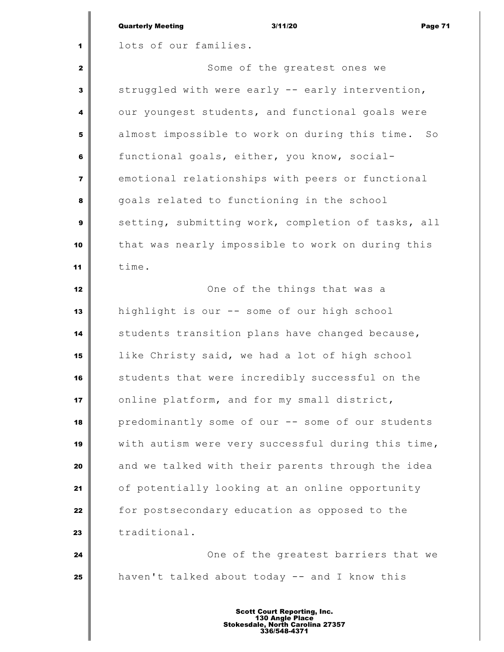|                         | <b>Quarterly Meeting</b><br>3/11/20<br>Page 71       |
|-------------------------|------------------------------------------------------|
| 1                       | lots of our families.                                |
| $\mathbf{2}$            | Some of the greatest ones we                         |
| 3                       | struggled with were early -- early intervention,     |
| 4                       | our youngest students, and functional goals were     |
| 5                       | almost impossible to work on during this time.<br>So |
| 6                       | functional goals, either, you know, social-          |
| $\overline{\mathbf{z}}$ | emotional relationships with peers or functional     |
| 8                       | goals related to functioning in the school           |
| 9                       | setting, submitting work, completion of tasks, all   |
| 10                      | that was nearly impossible to work on during this    |
| 11                      | time.                                                |
| 12                      | One of the things that was a                         |
| 13                      | highlight is our -- some of our high school          |
| 14                      | students transition plans have changed because,      |
| 15                      | like Christy said, we had a lot of high school       |
| 16                      | students that were incredibly successful on the      |
| 17                      | online platform, and for my small district,          |
| 18                      | predominantly some of our -- some of our students    |
| 19                      | with autism were very successful during this time,   |
| 20                      | and we talked with their parents through the idea    |
| 21                      | of potentially looking at an online opportunity      |
| 22                      | for postsecondary education as opposed to the        |
| 23                      | traditional.                                         |
| 24                      | One of the greatest barriers that we                 |
| 25                      | haven't talked about today -- and I know this        |
|                         |                                                      |

I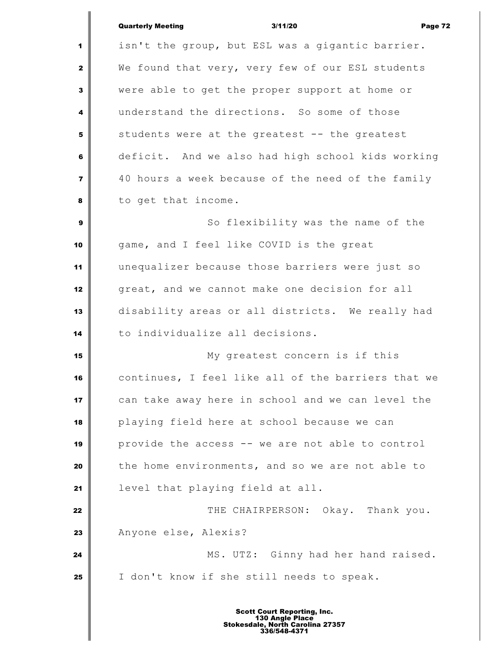|                         | <b>Quarterly Meeting</b><br>3/11/20<br>Page 72     |
|-------------------------|----------------------------------------------------|
| 1                       | isn't the group, but ESL was a gigantic barrier.   |
| $\mathbf{2}$            | We found that very, very few of our ESL students   |
| 3                       | were able to get the proper support at home or     |
| 4                       | understand the directions. So some of those        |
| 5                       | students were at the greatest -- the greatest      |
| 6                       | deficit. And we also had high school kids working  |
| $\overline{\mathbf{z}}$ | 40 hours a week because of the need of the family  |
| 8                       | to get that income.                                |
| 9                       | So flexibility was the name of the                 |
| 10                      | game, and I feel like COVID is the great           |
| 11                      | unequalizer because those barriers were just so    |
| 12                      | great, and we cannot make one decision for all     |
| 13                      | disability areas or all districts. We really had   |
| 14                      | to individualize all decisions.                    |
| 15                      | My greatest concern is if this                     |
| 16                      | continues, I feel like all of the barriers that we |
| 17                      | can take away here in school and we can level the  |
| 18                      | playing field here at school because we can        |
| 19                      | provide the access -- we are not able to control   |
| 20                      | the home environments, and so we are not able to   |
| 21                      | level that playing field at all.                   |
| 22                      | THE CHAIRPERSON: Okay. Thank you.                  |
| 23                      | Anyone else, Alexis?                               |
| 24                      | MS. UTZ: Ginny had her hand raised.                |
| 25                      | I don't know if she still needs to speak.          |
|                         |                                                    |

I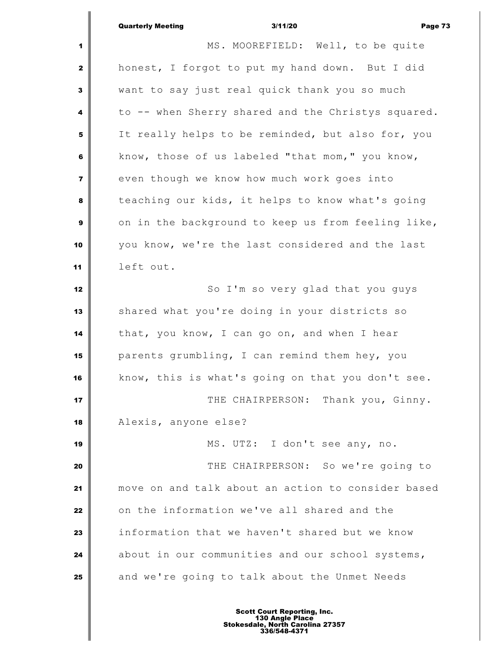|                         | 3/11/20<br><b>Quarterly Meeting</b><br>Page 73     |
|-------------------------|----------------------------------------------------|
| 1                       | MS. MOOREFIELD: Well, to be quite                  |
| $\mathbf{z}$            | honest, I forgot to put my hand down. But I did    |
| 3                       | want to say just real quick thank you so much      |
| 4                       | to -- when Sherry shared and the Christys squared. |
| 5                       | It really helps to be reminded, but also for, you  |
| 6                       | know, those of us labeled "that mom," you know,    |
| $\overline{\mathbf{z}}$ | even though we know how much work goes into        |
| 8                       | teaching our kids, it helps to know what's going   |
| 9                       | on in the background to keep us from feeling like, |
| 10                      | you know, we're the last considered and the last   |
| 11                      | left out.                                          |
| 12                      | So I'm so very glad that you guys                  |
| 13                      | shared what you're doing in your districts so      |
| 14                      | that, you know, I can go on, and when I hear       |
| 15                      | parents grumbling, I can remind them hey, you      |
| 16                      | know, this is what's going on that you don't see.  |
| 17                      | THE CHAIRPERSON: Thank you, Ginny.                 |
| 18                      | Alexis, anyone else?                               |
| 19                      | MS. UTZ: I don't see any, no.                      |
| 20                      | THE CHAIRPERSON: So we're going to                 |
| 21                      | move on and talk about an action to consider based |
| 22                      | on the information we've all shared and the        |
| 23                      | information that we haven't shared but we know     |
| 24                      | about in our communities and our school systems,   |
| 25                      | and we're going to talk about the Unmet Needs      |
|                         |                                                    |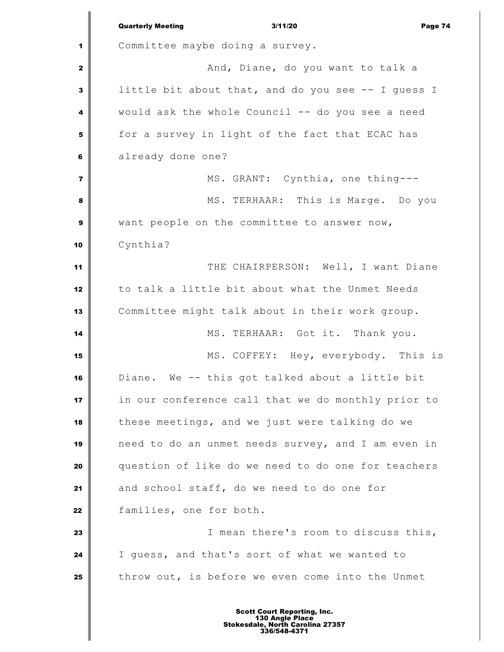|                | <b>Quarterly Meeting</b><br>3/11/20<br>Page 74     |
|----------------|----------------------------------------------------|
| 1              | Committee maybe doing a survey.                    |
| $\mathbf{2}$   | And, Diane, do you want to talk a                  |
| 3              | little bit about that, and do you see -- I guess I |
| 4              | would ask the whole Council -- do you see a need   |
| 5              | for a survey in light of the fact that ECAC has    |
| 6              | already done one?                                  |
| $\overline{7}$ | MS. GRANT: Cynthia, one thing---                   |
| 8              | MS. TERHAAR: This is Marge. Do you                 |
| $\mathbf{9}$   | want people on the committee to answer now,        |
| 10             | Cynthia?                                           |
| 11             | THE CHAIRPERSON: Well, I want Diane                |
| 12             | to talk a little bit about what the Unmet Needs    |
| 13             | Committee might talk about in their work group.    |
| 14             | MS. TERHAAR: Got it. Thank you.                    |
| 15             | MS. COFFEY: Hey, everybody. This is                |
| 16             | Diane. We -- this got talked about a little bit    |
| 17             | in our conference call that we do monthly prior to |
| 18             | these meetings, and we just were talking do we     |
| 19             | need to do an unmet needs survey, and I am even in |
| 20             | question of like do we need to do one for teachers |
| 21             | and school staff, do we need to do one for         |
| 22             | families, one for both.                            |
| 23             | I mean there's room to discuss this,               |
| 24             | I guess, and that's sort of what we wanted to      |
| 25             | throw out, is before we even come into the Unmet   |
|                |                                                    |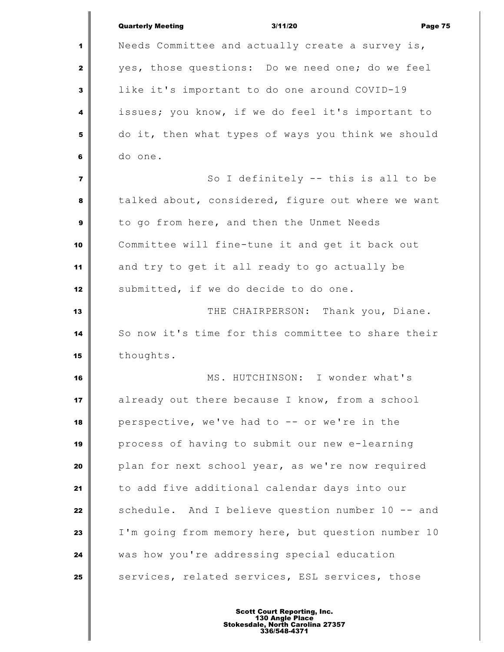|                | <b>Quarterly Meeting</b><br>3/11/20<br>Page 75     |
|----------------|----------------------------------------------------|
| 1              | Needs Committee and actually create a survey is,   |
| $\mathbf{2}$   | yes, those questions: Do we need one; do we feel   |
| 3              | like it's important to do one around COVID-19      |
| 4              | issues; you know, if we do feel it's important to  |
| 5              | do it, then what types of ways you think we should |
| 6              | do one.                                            |
| $\overline{7}$ | So I definitely -- this is all to be               |
| 8              | talked about, considered, figure out where we want |
| 9              | to go from here, and then the Unmet Needs          |
| 10             | Committee will fine-tune it and get it back out    |
| 11             | and try to get it all ready to go actually be      |
| 12             | submitted, if we do decide to do one.              |
| 13             | THE CHAIRPERSON: Thank you, Diane.                 |
| 14             | So now it's time for this committee to share their |
| 15             | thoughts.                                          |
| 16             | I wonder what's<br>MS. HUTCHINSON:                 |
| 17             | already out there because I know, from a school    |
| 18             | perspective, we've had to -- or we're in the       |
| 19             | process of having to submit our new e-learning     |
| 20             | plan for next school year, as we're now required   |
| 21             | to add five additional calendar days into our      |
| 22             | schedule. And I believe question number 10 -- and  |
| 23             | I'm going from memory here, but question number 10 |
| 24             | was how you're addressing special education        |
| 25             | services, related services, ESL services, those    |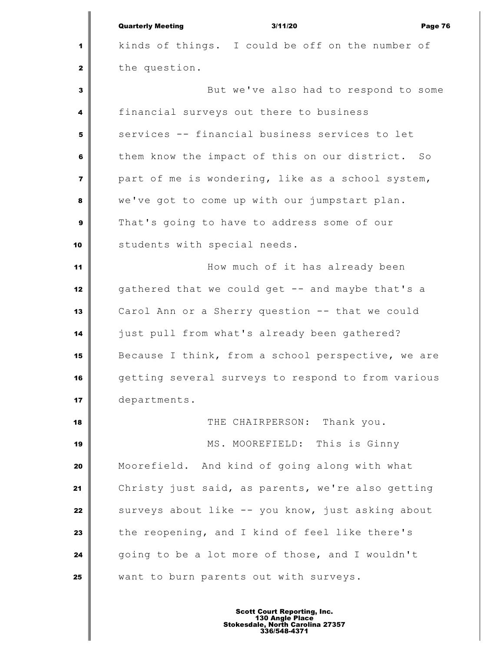|                         | <b>Quarterly Meeting</b><br>3/11/20<br>Page 76     |
|-------------------------|----------------------------------------------------|
| 1                       | kinds of things. I could be off on the number of   |
| $\mathbf{2}$            | the question.                                      |
| 3                       | But we've also had to respond to some              |
| 4                       | financial surveys out there to business            |
| 5                       | services -- financial business services to let     |
| 6                       | them know the impact of this on our district. So   |
| $\overline{\mathbf{z}}$ | part of me is wondering, like as a school system,  |
| 8                       | we've got to come up with our jumpstart plan.      |
| 9                       | That's going to have to address some of our        |
| 10                      | students with special needs.                       |
| 11                      | How much of it has already been                    |
| 12                      | gathered that we could get -- and maybe that's a   |
| 13                      | Carol Ann or a Sherry question -- that we could    |
| 14                      | just pull from what's already been gathered?       |
| 15                      | Because I think, from a school perspective, we are |
| 16                      | getting several surveys to respond to from various |
| 17                      | departments.                                       |
| 18                      | THE CHAIRPERSON: Thank you.                        |
| 19                      | MS. MOOREFIELD: This is Ginny                      |
| 20                      | Moorefield. And kind of going along with what      |
| 21                      | Christy just said, as parents, we're also getting  |
| 22                      | surveys about like -- you know, just asking about  |
| 23                      | the reopening, and I kind of feel like there's     |
| 24                      | going to be a lot more of those, and I wouldn't    |
| 25                      | want to burn parents out with surveys.             |
|                         |                                                    |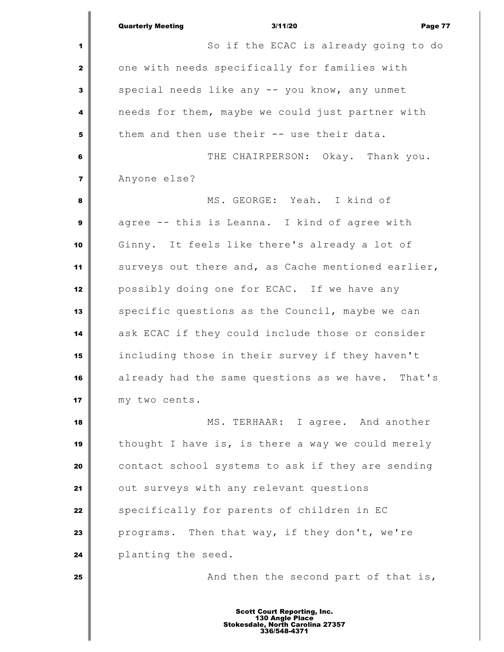|                         | <b>Quarterly Meeting</b><br>3/11/20<br>Page 77                                                            |
|-------------------------|-----------------------------------------------------------------------------------------------------------|
| 1                       | So if the ECAC is already going to do                                                                     |
| $\mathbf{2}$            | one with needs specifically for families with                                                             |
| $\mathbf{3}$            | special needs like any -- you know, any unmet                                                             |
| 4                       | needs for them, maybe we could just partner with                                                          |
| 5                       | them and then use their -- use their data.                                                                |
| 6                       | THE CHAIRPERSON: Okay. Thank you.                                                                         |
| $\overline{\mathbf{z}}$ | Anyone else?                                                                                              |
| 8                       | MS. GEORGE: Yeah. I kind of                                                                               |
| $\mathbf{9}$            | agree -- this is Leanna. I kind of agree with                                                             |
| 10                      | Ginny. It feels like there's already a lot of                                                             |
| 11                      | surveys out there and, as Cache mentioned earlier,                                                        |
| 12                      | possibly doing one for ECAC. If we have any                                                               |
| 13                      | specific questions as the Council, maybe we can                                                           |
| 14                      | ask ECAC if they could include those or consider                                                          |
| 15                      | including those in their survey if they haven't                                                           |
| 16                      | already had the same questions as we have. That's                                                         |
| 17                      | my two cents.                                                                                             |
| 18                      | MS. TERHAAR: I agree. And another                                                                         |
| 19                      | thought I have is, is there a way we could merely                                                         |
| 20                      | contact school systems to ask if they are sending                                                         |
| 21                      | out surveys with any relevant questions                                                                   |
| 22                      | specifically for parents of children in EC                                                                |
| 23                      | programs. Then that way, if they don't, we're                                                             |
| 24                      | planting the seed.                                                                                        |
| 25                      | And then the second part of that is,                                                                      |
|                         | <b>Scott Court Reporting, Inc.</b><br>130 Angle Place<br>Stokesdale, North Carolina 27357<br>336/548-4371 |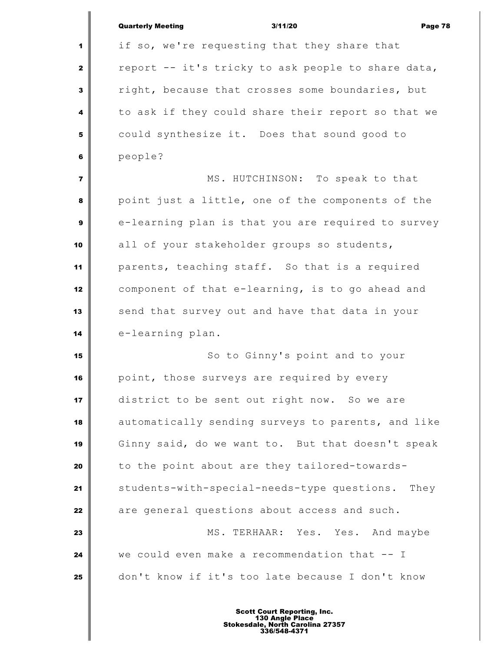|                         | <b>Quarterly Meeting</b><br>3/11/20<br>Page 78     |
|-------------------------|----------------------------------------------------|
| 1                       | if so, we're requesting that they share that       |
| $\mathbf{2}$            | report -- it's tricky to ask people to share data, |
| $\mathbf{3}$            | right, because that crosses some boundaries, but   |
| 4                       | to ask if they could share their report so that we |
| 5                       | could synthesize it. Does that sound good to       |
| 6                       | people?                                            |
| $\overline{\mathbf{z}}$ | MS. HUTCHINSON: To speak to that                   |
| 8                       | point just a little, one of the components of the  |
| $\mathbf{9}$            | e-learning plan is that you are required to survey |
| 10                      | all of your stakeholder groups so students,        |
| 11                      | parents, teaching staff. So that is a required     |
| 12                      | component of that e-learning, is to go ahead and   |
| 13                      | send that survey out and have that data in your    |
| 14                      | e-learning plan.                                   |
| 15                      | So to Ginny's point and to your                    |
| 16                      | point, those surveys are required by every         |
| 17                      | district to be sent out right now. So we are       |
| 18                      | automatically sending surveys to parents, and like |
| 19                      | Ginny said, do we want to. But that doesn't speak  |
| 20                      | to the point about are they tailored-towards-      |
| 21                      | students-with-special-needs-type questions. They   |
| 22                      | are general questions about access and such.       |
| 23                      | MS. TERHAAR: Yes. Yes. And maybe                   |
| 24                      | we could even make a recommendation that -- I      |
| 25                      | don't know if it's too late because I don't know   |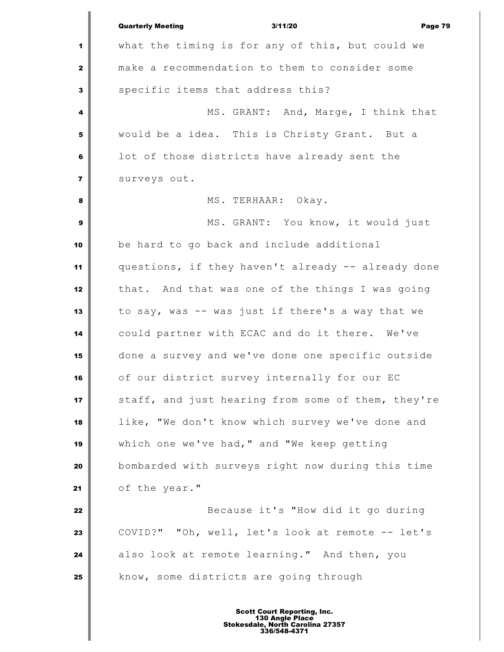|                         | <b>Quarterly Meeting</b><br>3/11/20<br>Page 79     |
|-------------------------|----------------------------------------------------|
| 1                       | what the timing is for any of this, but could we   |
| $\mathbf{2}$            | make a recommendation to them to consider some     |
| $\mathbf{3}$            | specific items that address this?                  |
| 4                       | MS. GRANT: And, Marge, I think that                |
| 5                       | would be a idea. This is Christy Grant. But a      |
| 6                       | lot of those districts have already sent the       |
| $\overline{\mathbf{z}}$ | surveys out.                                       |
| 8                       | MS. TERHAAR: Okay.                                 |
| $\boldsymbol{9}$        | MS. GRANT: You know, it would just                 |
| 10                      | be hard to go back and include additional          |
| 11                      | questions, if they haven't already -- already done |
| 12                      | that. And that was one of the things I was going   |
| 13                      | to say, was -- was just if there's a way that we   |
| 14                      | could partner with ECAC and do it there. We've     |
| 15                      | done a survey and we've done one specific outside  |
| 16                      | of our district survey internally for our EC       |
| 17                      | staff, and just hearing from some of them, they're |
| 18                      | like, "We don't know which survey we've done and   |
| 19                      | which one we've had, " and "We keep getting        |
| 20                      | bombarded with surveys right now during this time  |
| 21                      | of the year."                                      |
| 22                      | Because it's "How did it go during                 |
| 23                      | COVID?" "Oh, well, let's look at remote -- let's   |
| 24                      | also look at remote learning." And then, you       |
| 25                      | know, some districts are going through             |
|                         |                                                    |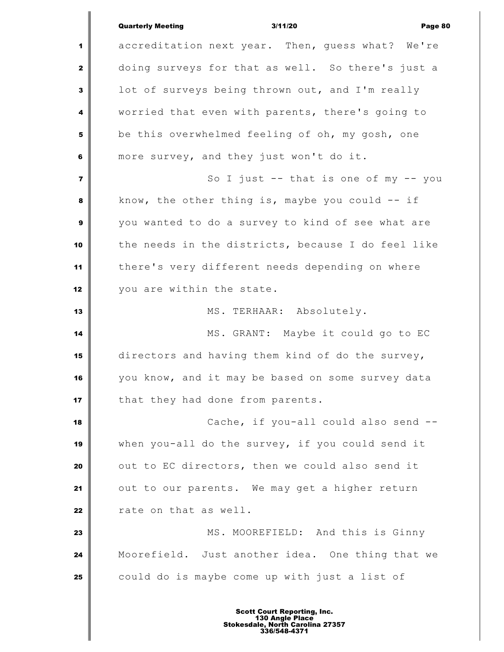|                         | <b>Quarterly Meeting</b><br>3/11/20<br>Page 80     |
|-------------------------|----------------------------------------------------|
| 1                       | accreditation next year. Then, guess what? We're   |
| $\mathbf{2}$            | doing surveys for that as well. So there's just a  |
| 3                       | lot of surveys being thrown out, and I'm really    |
| 4                       | worried that even with parents, there's going to   |
| 5                       | be this overwhelmed feeling of oh, my gosh, one    |
| 6                       | more survey, and they just won't do it.            |
| $\overline{\mathbf{z}}$ | So I just $--$ that is one of my $--$ you          |
| 8                       | know, the other thing is, maybe you could $-$ if   |
| 9                       | you wanted to do a survey to kind of see what are  |
| 10                      | the needs in the districts, because I do feel like |
| 11                      | there's very different needs depending on where    |
| 12                      | you are within the state.                          |
| 13                      | MS. TERHAAR: Absolutely.                           |
| 14                      | MS. GRANT: Maybe it could go to EC                 |
| 15                      | directors and having them kind of do the survey,   |
| 16                      | you know, and it may be based on some survey data  |
| 17                      | that they had done from parents.                   |
| 18                      | Cache, if you-all could also send --               |
| 19                      | when you-all do the survey, if you could send it   |
| 20                      | out to EC directors, then we could also send it    |
| 21                      | out to our parents. We may get a higher return     |
| 22                      | rate on that as well.                              |
| 23                      | MS. MOOREFIELD: And this is Ginny                  |
| 24                      | Moorefield. Just another idea. One thing that we   |
| 25                      | could do is maybe come up with just a list of      |
|                         |                                                    |

I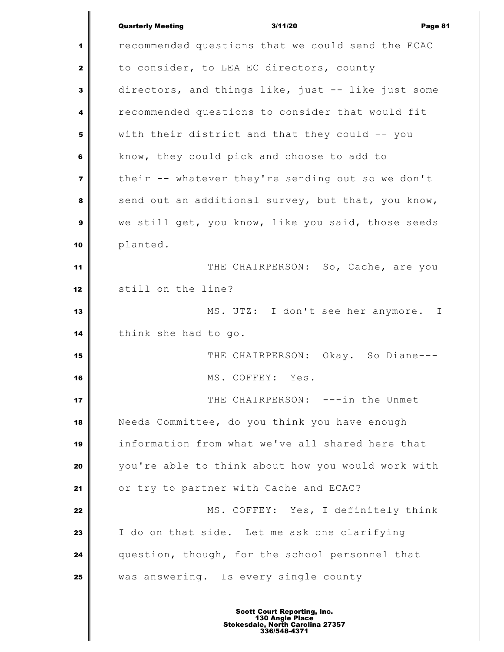|                | <b>Quarterly Meeting</b><br>3/11/20<br>Page 81                                                            |
|----------------|-----------------------------------------------------------------------------------------------------------|
| 1              | recommended questions that we could send the ECAC                                                         |
| 2              | to consider, to LEA EC directors, county                                                                  |
| 3              | directors, and things like, just -- like just some                                                        |
| 4              | recommended questions to consider that would fit                                                          |
| 5              | with their district and that they could -- you                                                            |
| 6              | know, they could pick and choose to add to                                                                |
| $\overline{7}$ | their -- whatever they're sending out so we don't                                                         |
| 8              | send out an additional survey, but that, you know,                                                        |
| 9              | we still get, you know, like you said, those seeds                                                        |
| 10             | planted.                                                                                                  |
| 11             | THE CHAIRPERSON: So, Cache, are you                                                                       |
| 12             | still on the line?                                                                                        |
| 13             | MS. UTZ: I don't see her anymore. I                                                                       |
| 14             | think she had to go.                                                                                      |
| 15             | THE CHAIRPERSON: Okay. So Diane---                                                                        |
| 16             | MS. COFFEY: Yes.                                                                                          |
| 17             | THE CHAIRPERSON: ---in the Unmet                                                                          |
| 18             | Needs Committee, do you think you have enough                                                             |
| 19             | information from what we've all shared here that                                                          |
| 20             | you're able to think about how you would work with                                                        |
| 21             | or try to partner with Cache and ECAC?                                                                    |
| 22             | MS. COFFEY: Yes, I definitely think                                                                       |
| 23             | I do on that side. Let me ask one clarifying                                                              |
| 24             | question, though, for the school personnel that                                                           |
| 25             | was answering. Is every single county                                                                     |
|                |                                                                                                           |
|                | <b>Scott Court Reporting, Inc.</b><br>130 Angle Place<br>Stokesdale, North Carolina 27357<br>336/548-4371 |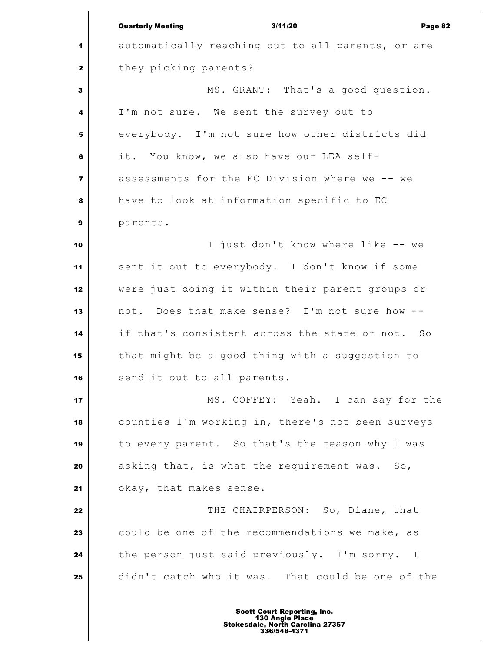Quarterly Meeting 3/11/20 Page 82 automatically reaching out to all parents, or are they picking parents? MS. GRANT: That's a good question. I'm not sure. We sent the survey out to everybody. I'm not sure how other districts did it. You know, we also have our LEA self- assessments for the EC Division where we -- we have to look at information specific to EC parents. I just don't know where like -- we sent it out to everybody. I don't know if some were just doing it within their parent groups or not. Does that make sense? I'm not sure how -- if that's consistent across the state or not. So that might be a good thing with a suggestion to send it out to all parents. MS. COFFEY: Yeah. I can say for the counties I'm working in, there's not been surveys to every parent. So that's the reason why I was asking that, is what the requirement was. So, okay, that makes sense. **THE CHAIRPERSON:** So, Diane, that could be one of the recommendations we make, as the person just said previously. I'm sorry. I didn't catch who it was. That could be one of the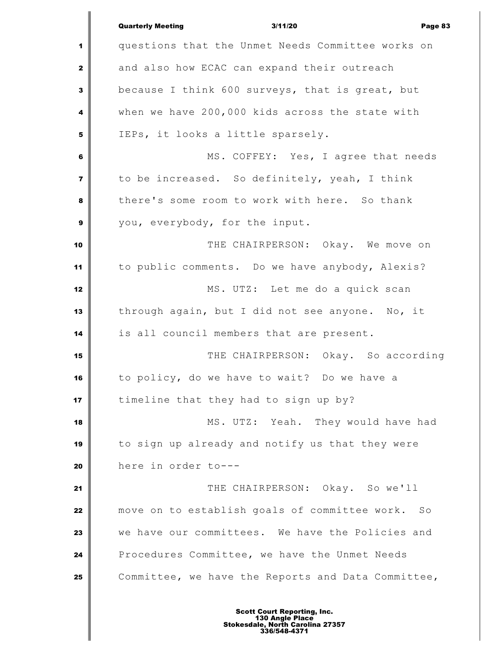|                         | <b>Quarterly Meeting</b><br>3/11/20<br>Page 83     |
|-------------------------|----------------------------------------------------|
| 1                       | questions that the Unmet Needs Committee works on  |
| $\mathbf{z}$            | and also how ECAC can expand their outreach        |
| $\mathbf{3}$            | because I think 600 surveys, that is great, but    |
| 4                       | when we have 200,000 kids across the state with    |
| 5                       | IEPs, it looks a little sparsely.                  |
| 6                       | MS. COFFEY: Yes, I agree that needs                |
| $\overline{\mathbf{z}}$ | to be increased. So definitely, yeah, I think      |
| 8                       | there's some room to work with here. So thank      |
| $\mathbf{9}$            | you, everybody, for the input.                     |
| 10                      | THE CHAIRPERSON: Okay. We move on                  |
| 11                      | to public comments. Do we have anybody, Alexis?    |
| 12                      | MS. UTZ: Let me do a quick scan                    |
| 13                      | through again, but I did not see anyone. No, it    |
| 14                      | is all council members that are present.           |
| 15                      | THE CHAIRPERSON: Okay. So according                |
| 16                      | to policy, do we have to wait? Do we have a        |
| 17                      | timeline that they had to sign up by?              |
| 18                      | MS. UTZ: Yeah. They would have had                 |
| 19                      | to sign up already and notify us that they were    |
| 20                      | here in order to---                                |
| 21                      | THE CHAIRPERSON: Okay. So we'll                    |
| 22                      | move on to establish goals of committee work. So   |
| 23                      | we have our committees. We have the Policies and   |
| 24                      | Procedures Committee, we have the Unmet Needs      |
| 25                      | Committee, we have the Reports and Data Committee, |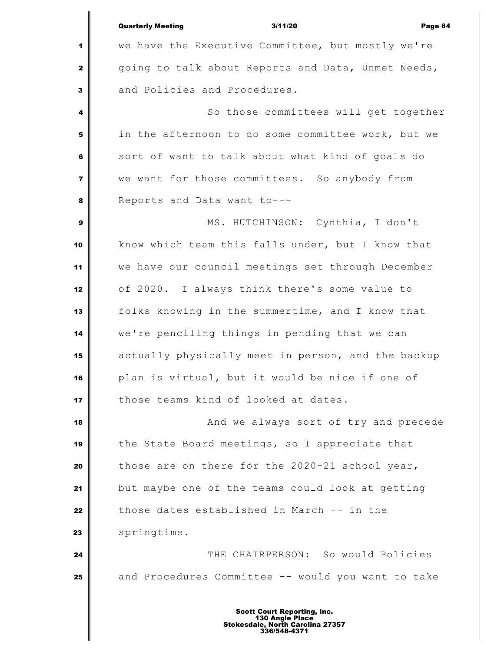|                         | <b>Quarterly Meeting</b><br>3/11/20<br>Page 84     |
|-------------------------|----------------------------------------------------|
| 1                       | we have the Executive Committee, but mostly we're  |
| $\mathbf{2}$            | going to talk about Reports and Data, Unmet Needs, |
| $\mathbf{3}$            | and Policies and Procedures.                       |
| 4                       | So those committees will get together              |
| 5                       | in the afternoon to do some committee work, but we |
| 6                       | sort of want to talk about what kind of goals do   |
| $\overline{\mathbf{z}}$ | we want for those committees. So anybody from      |
| 8                       | Reports and Data want to---                        |
| $\mathbf{9}$            | MS. HUTCHINSON: Cynthia, I don't                   |
| 10                      | know which team this falls under, but I know that  |
| 11                      | we have our council meetings set through December  |
| 12                      | of 2020. I always think there's some value to      |
| 13                      | folks knowing in the summertime, and I know that   |
| 14                      | we're penciling things in pending that we can      |
| 15                      | actually physically meet in person, and the backup |
| 16                      | plan is virtual, but it would be nice if one of    |
| 17                      | those teams kind of looked at dates.               |
| 18                      | And we always sort of try and precede              |
| 19                      | the State Board meetings, so I appreciate that     |
|                         |                                                    |
| 20                      | those are on there for the 2020-21 school year,    |
| 21                      | but maybe one of the teams could look at getting   |
| 22                      | those dates established in March -- in the         |
| 23                      | springtime.                                        |
| 24                      | THE CHAIRPERSON: So would Policies                 |
| 25                      | and Procedures Committee -- would you want to take |
|                         |                                                    |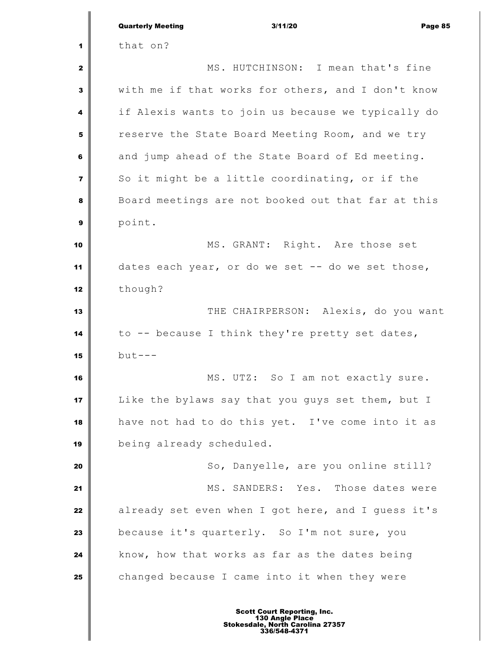|                         | 3/11/20<br><b>Quarterly Meeting</b><br>Page 85     |
|-------------------------|----------------------------------------------------|
| 1                       | that on?                                           |
| 2                       | MS. HUTCHINSON: I mean that's fine                 |
| 3                       | with me if that works for others, and I don't know |
| 4                       | if Alexis wants to join us because we typically do |
| 5                       | reserve the State Board Meeting Room, and we try   |
| 6                       | and jump ahead of the State Board of Ed meeting.   |
| $\overline{\mathbf{z}}$ | So it might be a little coordinating, or if the    |
| 8                       | Board meetings are not booked out that far at this |
| 9                       | point.                                             |
| 10                      | MS. GRANT: Right. Are those set                    |
| 11                      | dates each year, or do we set -- do we set those,  |
| 12                      | though?                                            |
| 13                      | THE CHAIRPERSON: Alexis, do you want               |
| 14                      | to -- because I think they're pretty set dates,    |
| 15                      | $but --$                                           |
| 16                      | MS. UTZ: So I am not exactly sure.                 |
| 17                      | Like the bylaws say that you guys set them, but I  |
| 18                      | have not had to do this yet. I've come into it as  |
| 19                      | being already scheduled.                           |
| 20                      | So, Danyelle, are you online still?                |
| 21                      | MS. SANDERS: Yes. Those dates were                 |
| 22                      | already set even when I got here, and I guess it's |
| 23                      | because it's quarterly. So I'm not sure, you       |
| 24                      | know, how that works as far as the dates being     |
| 25                      | changed because I came into it when they were      |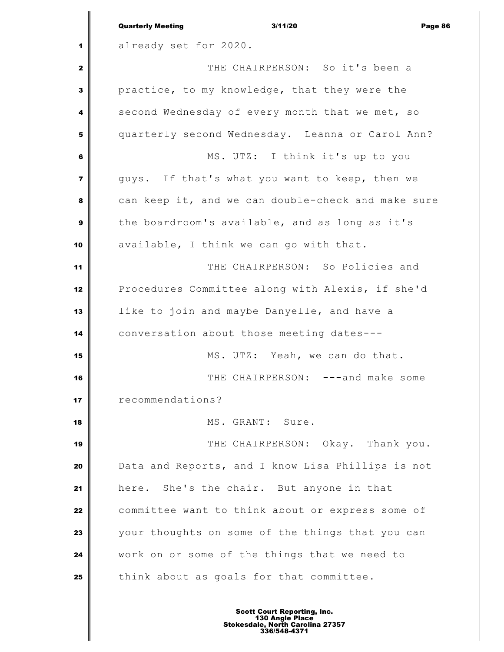|                         | <b>Quarterly Meeting</b><br>3/11/20<br>Page 86     |
|-------------------------|----------------------------------------------------|
| 1                       | already set for 2020.                              |
| 2                       | THE CHAIRPERSON: So it's been a                    |
| 3                       | practice, to my knowledge, that they were the      |
| 4                       | second Wednesday of every month that we met, so    |
| 5                       | quarterly second Wednesday. Leanna or Carol Ann?   |
| 6                       | MS. UTZ: I think it's up to you                    |
| $\overline{\mathbf{z}}$ | guys. If that's what you want to keep, then we     |
| 8                       | can keep it, and we can double-check and make sure |
| 9                       | the boardroom's available, and as long as it's     |
| 10                      | available, I think we can go with that.            |
| 11                      | THE CHAIRPERSON: So Policies and                   |
| 12                      | Procedures Committee along with Alexis, if she'd   |
| 13                      | like to join and maybe Danyelle, and have a        |
| 14                      | conversation about those meeting dates---          |
| 15                      | MS. UTZ: Yeah, we can do that.                     |
| 16                      | THE CHAIRPERSON: ---and make some                  |
| 17                      | recommendations?                                   |
| 18                      | MS. GRANT: Sure.                                   |
| 19                      | THE CHAIRPERSON: Okay. Thank you.                  |
| 20                      | Data and Reports, and I know Lisa Phillips is not  |
| 21                      | here. She's the chair. But anyone in that          |
| 22                      | committee want to think about or express some of   |
| 23                      | your thoughts on some of the things that you can   |
| 24                      | work on or some of the things that we need to      |
| 25                      | think about as goals for that committee.           |
|                         |                                                    |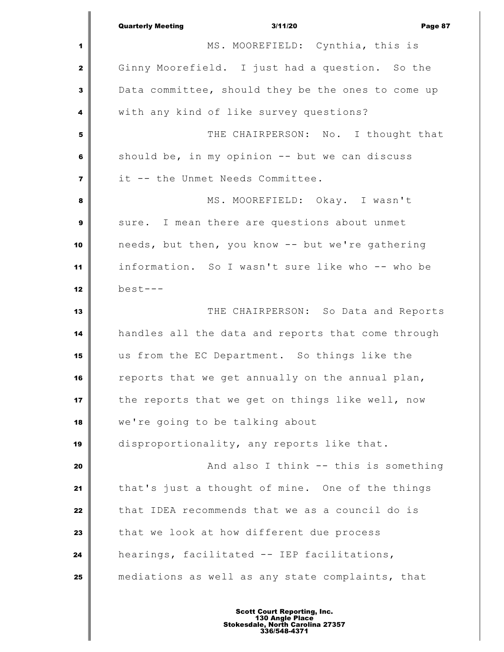|                         | <b>Quarterly Meeting</b><br>3/11/20<br>Page 87     |
|-------------------------|----------------------------------------------------|
| 1                       | MS. MOOREFIELD: Cynthia, this is                   |
| $\mathbf{2}$            | Ginny Moorefield. I just had a question. So the    |
| 3                       | Data committee, should they be the ones to come up |
| 4                       | with any kind of like survey questions?            |
| 5                       | THE CHAIRPERSON: No. I thought that                |
| 6                       | should be, in my opinion -- but we can discuss     |
| $\overline{\mathbf{z}}$ | it -- the Unmet Needs Committee.                   |
| 8                       | MS. MOOREFIELD: Okay. I wasn't                     |
| $\boldsymbol{9}$        | sure. I mean there are questions about unmet       |
| 10                      | needs, but then, you know -- but we're gathering   |
| 11                      | information. So I wasn't sure like who -- who be   |
| 12                      | $best---$                                          |
| 13                      | THE CHAIRPERSON: So Data and Reports               |
| 14                      | handles all the data and reports that come through |
| 15                      | us from the EC Department. So things like the      |
| 16                      | reports that we get annually on the annual plan,   |
| 17                      | the reports that we get on things like well, now   |
| 18                      | we're going to be talking about                    |
| 19                      | disproportionality, any reports like that.         |
| 20                      | And also I think -- this is something              |
| 21                      | that's just a thought of mine. One of the things   |
| 22                      | that IDEA recommends that we as a council do is    |
| 23                      | that we look at how different due process          |
| 24                      | hearings, facilitated -- IEP facilitations,        |
| 25                      | mediations as well as any state complaints, that   |
|                         |                                                    |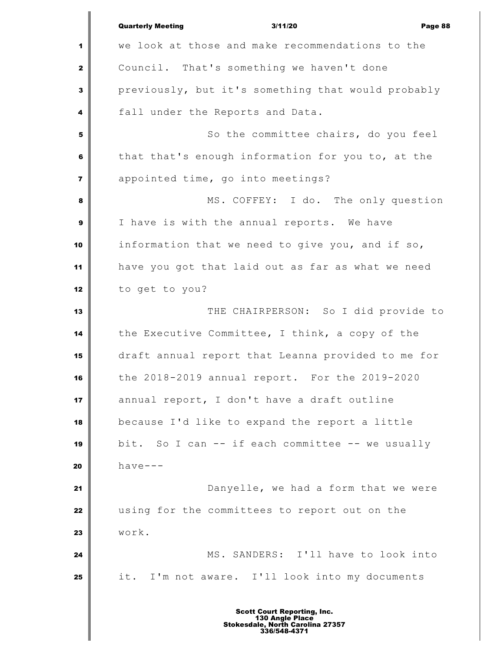|              | <b>Quarterly Meeting</b><br>3/11/20<br>Page 88     |
|--------------|----------------------------------------------------|
| 1            | we look at those and make recommendations to the   |
| $\mathbf{z}$ | Council. That's something we haven't done          |
| 3            | previously, but it's something that would probably |
| 4            | fall under the Reports and Data.                   |
| 5            | So the committee chairs, do you feel               |
| 6            | that that's enough information for you to, at the  |
| 7            | appointed time, go into meetings?                  |
| 8            | MS. COFFEY: I do. The only question                |
| 9            | I have is with the annual reports. We have         |
| 10           | information that we need to give you, and if so,   |
| 11           | have you got that laid out as far as what we need  |
| 12           | to get to you?                                     |
| 13           | THE CHAIRPERSON: So I did provide to               |
| 14           | the Executive Committee, I think, a copy of the    |
| 15           | draft annual report that Leanna provided to me for |
| 16           | the 2018-2019 annual report. For the 2019-2020     |
| 17           | annual report, I don't have a draft outline        |
| 18           | because I'd like to expand the report a little     |
| 19           | bit. So I can -- if each committee -- we usually   |
| 20           | $have--$                                           |
| 21           | Danyelle, we had a form that we were               |
| 22           | using for the committees to report out on the      |
| 23           | work.                                              |
| 24           | MS. SANDERS: I'll have to look into                |
| 25           | it. I'm not aware. I'll look into my documents     |
|              |                                                    |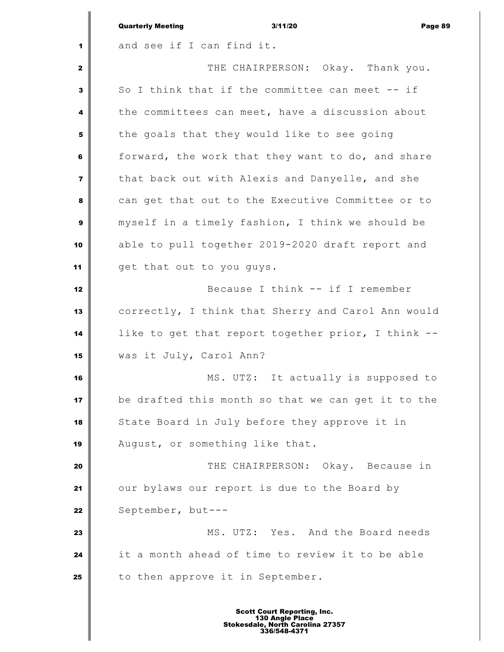|              | 3/11/20<br><b>Quarterly Meeting</b><br>Page 89     |
|--------------|----------------------------------------------------|
| 1            | and see if I can find it.                          |
| $\mathbf{2}$ | THE CHAIRPERSON: Okay. Thank you.                  |
| 3            | So I think that if the committee can meet -- if    |
| 4            | the committees can meet, have a discussion about   |
| 5            | the goals that they would like to see going        |
| 6            | forward, the work that they want to do, and share  |
| 7            | that back out with Alexis and Danyelle, and she    |
| 8            | can get that out to the Executive Committee or to  |
| 9            | myself in a timely fashion, I think we should be   |
| 10           | able to pull together 2019-2020 draft report and   |
| 11           | get that out to you guys.                          |
| 12           | Because I think -- if I remember                   |
| 13           | correctly, I think that Sherry and Carol Ann would |
| 14           | like to get that report together prior, I think -- |
| 15           | was it July, Carol Ann?                            |
| 16           | MS. UTZ: It actually is supposed to                |
| 17           | be drafted this month so that we can get it to the |
| 18           | State Board in July before they approve it in      |
| 19           | August, or something like that.                    |
| 20           | THE CHAIRPERSON: Okay. Because in                  |
| 21           | our bylaws our report is due to the Board by       |
| 22           | September, but---                                  |
| 23           | MS. UTZ: Yes. And the Board needs                  |
| 24           | it a month ahead of time to review it to be able   |
| 25           | to then approve it in September.                   |
|              |                                                    |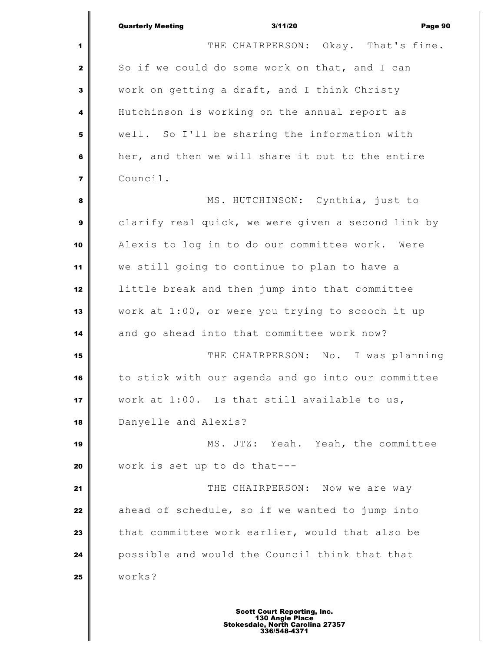|                | <b>Quarterly Meeting</b><br>3/11/20<br>Page 90     |
|----------------|----------------------------------------------------|
| 1              | THE CHAIRPERSON: Okay. That's fine.                |
| $\mathbf{2}$   | So if we could do some work on that, and I can     |
| 3              | work on getting a draft, and I think Christy       |
| 4              | Hutchinson is working on the annual report as      |
| 5              | well. So I'll be sharing the information with      |
| 6              | her, and then we will share it out to the entire   |
| $\overline{7}$ | Council.                                           |
| 8              | MS. HUTCHINSON: Cynthia, just to                   |
| 9              | clarify real quick, we were given a second link by |
| 10             | Alexis to log in to do our committee work. Were    |
| 11             | we still going to continue to plan to have a       |
| 12             | little break and then jump into that committee     |
| 13             | work at 1:00, or were you trying to scooch it up   |
| 14             | and go ahead into that committee work now?         |
| 15             | THE CHAIRPERSON: No. I was planning                |
| 16             | to stick with our agenda and go into our committee |
| 17             | work at 1:00. Is that still available to us,       |
| 18             | Danyelle and Alexis?                               |
| 19             | MS. UTZ: Yeah. Yeah, the committee                 |
| 20             | work is set up to do that---                       |
| 21             | THE CHAIRPERSON: Now we are way                    |
| 22             | ahead of schedule, so if we wanted to jump into    |
| 23             | that committee work earlier, would that also be    |
| 24             | possible and would the Council think that that     |
| 25             | works?                                             |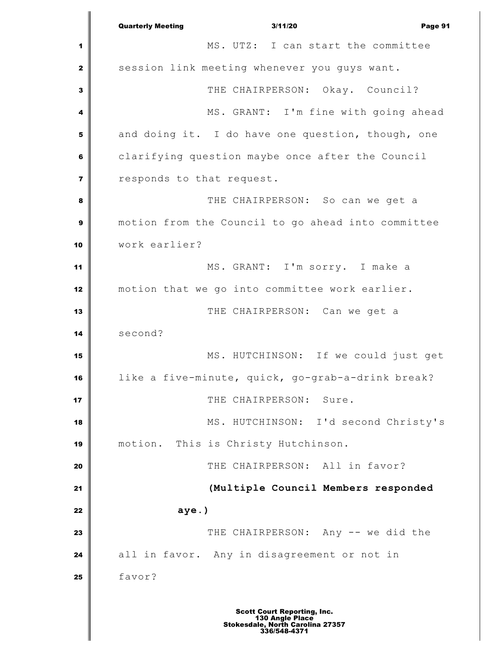Quarterly Meeting 3/11/20 Page 91 MS. UTZ: I can start the committee session link meeting whenever you guys want. THE CHAIRPERSON: Okay. Council? MS. GRANT: I'm fine with going ahead and doing it. I do have one question, though, one clarifying question maybe once after the Council responds to that request. **I** THE CHAIRPERSON: So can we get a motion from the Council to go ahead into committee work earlier? MS. GRANT: I'm sorry. I make a motion that we go into committee work earlier. THE CHAIRPERSON: Can we get a second? MS. HUTCHINSON: If we could just get like a five-minute, quick, go-grab-a-drink break?  $\parallel$  THE CHAIRPERSON: Sure. MS. HUTCHINSON: I'd second Christy's motion. This is Christy Hutchinson. THE CHAIRPERSON: All in favor? **(Multiple Council Members responded aye.)** THE CHAIRPERSON: Any -- we did the all in favor. Any in disagreement or not in favor? Scott Court Reporting, Inc. 130 Angle Place Stokesdale, North Carolina 27357 336/548-4371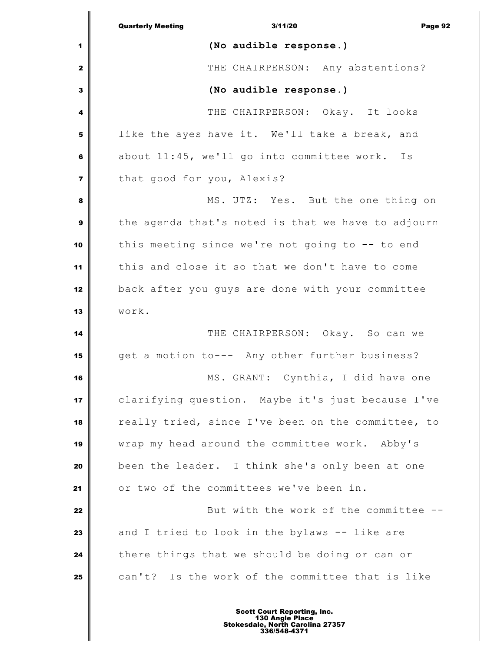|                         | 3/11/20<br><b>Quarterly Meeting</b><br>Page 92     |
|-------------------------|----------------------------------------------------|
| 1                       | (No audible response.)                             |
| $\mathbf{2}$            | THE CHAIRPERSON: Any abstentions?                  |
| 3                       | (No audible response.)                             |
| 4                       | THE CHAIRPERSON: Okay. It looks                    |
| 5                       | like the ayes have it. We'll take a break, and     |
| 6                       | about 11:45, we'll go into committee work. Is      |
| $\overline{\mathbf{z}}$ | that good for you, Alexis?                         |
| 8                       | MS. UTZ: Yes. But the one thing on                 |
| $\mathbf{9}$            | the agenda that's noted is that we have to adjourn |
| 10                      | this meeting since we're not going to -- to end    |
| 11                      | this and close it so that we don't have to come    |
| 12                      | back after you guys are done with your committee   |
| 13                      | work.                                              |
| 14                      | THE CHAIRPERSON: Okay. So can we                   |
| 15                      | get a motion to--- Any other further business?     |
| 16                      | MS. GRANT: Cynthia, I did have one                 |
| 17                      | clarifying question. Maybe it's just because I've  |
| 18                      | really tried, since I've been on the committee, to |
| 19                      | wrap my head around the committee work. Abby's     |
| 20                      | been the leader. I think she's only been at one    |
| 21                      | or two of the committees we've been in.            |
| 22                      | But with the work of the committee --              |
| 23                      | and I tried to look in the bylaws -- like are      |
| 24                      | there things that we should be doing or can or     |
| 25                      | can't? Is the work of the committee that is like   |
|                         |                                                    |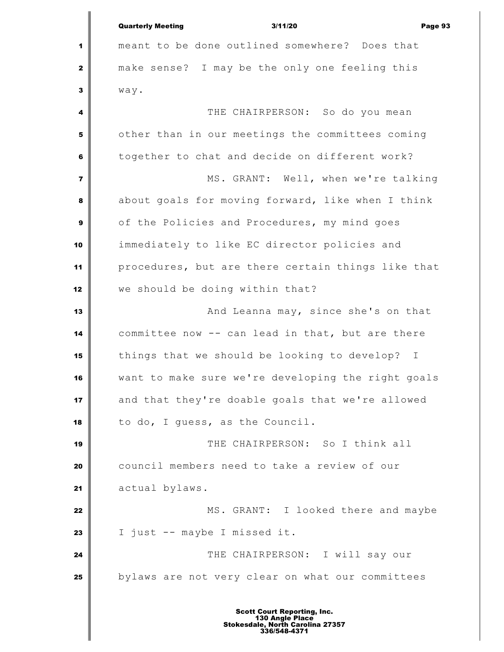|                         | <b>Quarterly Meeting</b><br>3/11/20<br>Page 93     |
|-------------------------|----------------------------------------------------|
| 1                       | meant to be done outlined somewhere? Does that     |
| $\mathbf{2}$            | make sense? I may be the only one feeling this     |
| 3                       | way.                                               |
| 4                       | THE CHAIRPERSON: So do you mean                    |
| 5                       | other than in our meetings the committees coming   |
| 6                       | together to chat and decide on different work?     |
| $\overline{\mathbf{z}}$ | MS. GRANT: Well, when we're talking                |
| 8                       | about goals for moving forward, like when I think  |
| $\boldsymbol{9}$        | of the Policies and Procedures, my mind goes       |
| 10                      | immediately to like EC director policies and       |
| 11                      | procedures, but are there certain things like that |
| 12                      | we should be doing within that?                    |
| 13                      | And Leanna may, since she's on that                |
| 14                      | committee now -- can lead in that, but are there   |
| 15                      | things that we should be looking to develop? I     |
| 16                      | want to make sure we're developing the right goals |
| 17                      | and that they're doable goals that we're allowed   |
| 18                      | to do, I guess, as the Council.                    |
| 19                      | THE CHAIRPERSON: So I think all                    |
| 20                      | council members need to take a review of our       |
| 21                      | actual bylaws.                                     |
| 22                      | MS. GRANT: I looked there and maybe                |
| 23                      | I just -- maybe I missed it.                       |
| 24                      | THE CHAIRPERSON: I will say our                    |
| 25                      | bylaws are not very clear on what our committees   |
|                         |                                                    |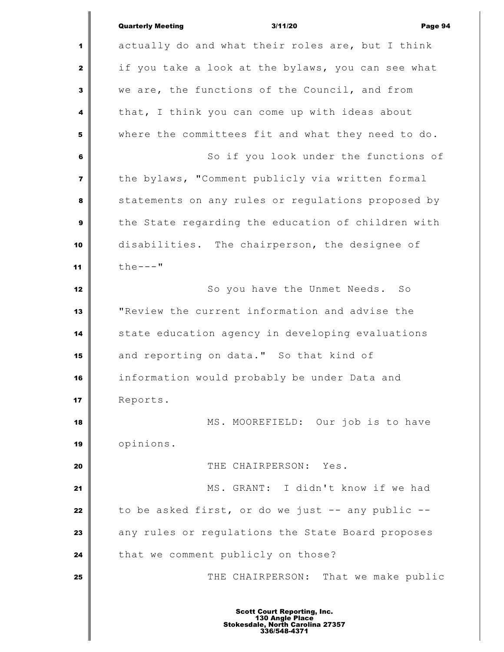|                         | <b>Quarterly Meeting</b><br>3/11/20<br>Page 94     |
|-------------------------|----------------------------------------------------|
| 1                       | actually do and what their roles are, but I think  |
| $\mathbf{2}$            | if you take a look at the bylaws, you can see what |
| 3                       | we are, the functions of the Council, and from     |
| 4                       | that, I think you can come up with ideas about     |
| ${\bf 5}$               | where the committees fit and what they need to do. |
| 6                       | So if you look under the functions of              |
| $\overline{\mathbf{z}}$ | the bylaws, "Comment publicly via written formal   |
| 8                       | statements on any rules or regulations proposed by |
| 9                       | the State regarding the education of children with |
| 10                      | disabilities. The chairperson, the designee of     |
| 11                      | $the---$                                           |
| 12                      | So you have the Unmet Needs. So                    |
| 13                      | "Review the current information and advise the     |
| 14                      | state education agency in developing evaluations   |
| 15                      | and reporting on data." So that kind of            |
| 16                      | information would probably be under Data and       |
| 17                      | Reports.                                           |
| 18                      | MS. MOOREFIELD: Our job is to have                 |
| 19                      | opinions.                                          |
| 20                      | THE CHAIRPERSON: Yes.                              |
| 21                      | MS. GRANT: I didn't know if we had                 |
| 22                      | to be asked first, or do we just -- any public --  |
| 23                      | any rules or regulations the State Board proposes  |
| 24                      | that we comment publicly on those?                 |
| 25                      | THE CHAIRPERSON: That we make public               |
|                         |                                                    |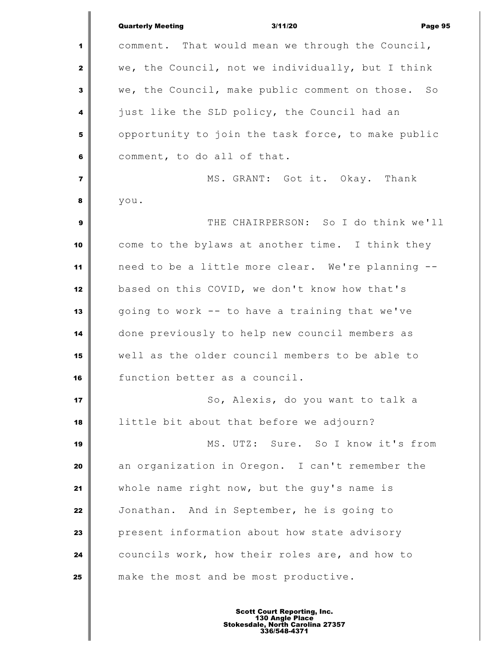|                         | 3/11/20<br><b>Quarterly Meeting</b><br>Page 95       |
|-------------------------|------------------------------------------------------|
| 1                       | comment. That would mean we through the Council,     |
| $\mathbf{2}$            | we, the Council, not we individually, but I think    |
| 3                       | we, the Council, make public comment on those.<br>SO |
| 4                       | just like the SLD policy, the Council had an         |
| 5                       | opportunity to join the task force, to make public   |
| 6                       | comment, to do all of that.                          |
| $\overline{\mathbf{z}}$ | MS. GRANT: Got it. Okay. Thank                       |
| 8                       | you.                                                 |
| 9                       | THE CHAIRPERSON: So I do think we'll                 |
| 10                      | come to the bylaws at another time. I think they     |
| 11                      | need to be a little more clear. We're planning --    |
| 12                      | based on this COVID, we don't know how that's        |
| 13                      | going to work -- to have a training that we've       |
| 14                      | done previously to help new council members as       |
| 15                      | well as the older council members to be able to      |
| 16                      | function better as a council.                        |
| 17                      | So, Alexis, do you want to talk a                    |
| 18                      | little bit about that before we adjourn?             |
| 19                      | MS. UTZ: Sure. So I know it's from                   |
| 20                      | an organization in Oregon. I can't remember the      |
| 21                      | whole name right now, but the guy's name is          |
| 22                      | Jonathan. And in September, he is going to           |
| 23                      | present information about how state advisory         |
| 24                      | councils work, how their roles are, and how to       |
| 25                      | make the most and be most productive.                |
|                         |                                                      |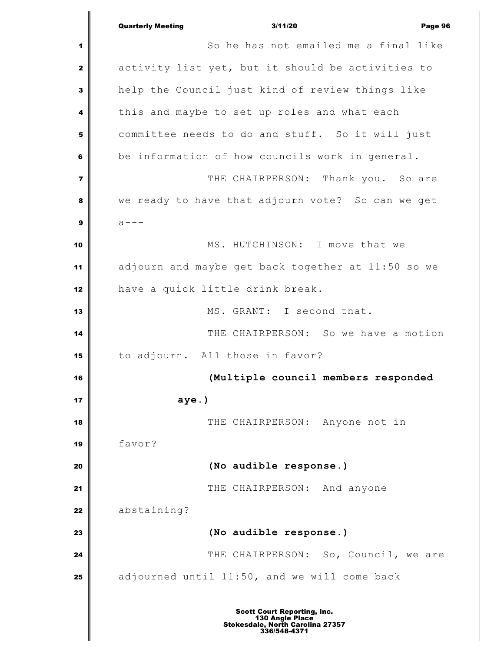|                | <b>Quarterly Meeting</b><br>Page 96<br>3/11/20     |
|----------------|----------------------------------------------------|
| 1              | So he has not emailed me a final like              |
| $\mathbf{2}$   | activity list yet, but it should be activities to  |
| 3              | help the Council just kind of review things like   |
| 4              | this and maybe to set up roles and what each       |
| 5              | committee needs to do and stuff. So it will just   |
| 6              | be information of how councils work in general.    |
| $\overline{7}$ | THE CHAIRPERSON: Thank you. So are                 |
| 8              | we ready to have that adjourn vote? So can we get  |
| $\mathbf{9}$   | $a - - -$                                          |
| 10             | MS. HUTCHINSON: I move that we                     |
| 11             | adjourn and maybe get back together at 11:50 so we |
| 12             | have a quick little drink break.                   |
| 13             | MS. GRANT: I second that.                          |
| 14             | THE CHAIRPERSON: So we have a motion               |
| 15             | to adjourn. All those in favor?                    |
| 16             | (Multiple council members responded                |
| 17             | $aye.$ )                                           |
| 18             | THE CHAIRPERSON: Anyone not in                     |
| 19             | favor?                                             |
| 20             | (No audible response.)                             |
| 21             | THE CHAIRPERSON: And anyone                        |
| 22             | abstaining?                                        |
| 23             | (No audible response.)                             |
| 24             | THE CHAIRPERSON: So, Council, we are               |
| 25             | adjourned until 11:50, and we will come back       |
|                | <b>Scott Court Reporting, Inc.</b>                 |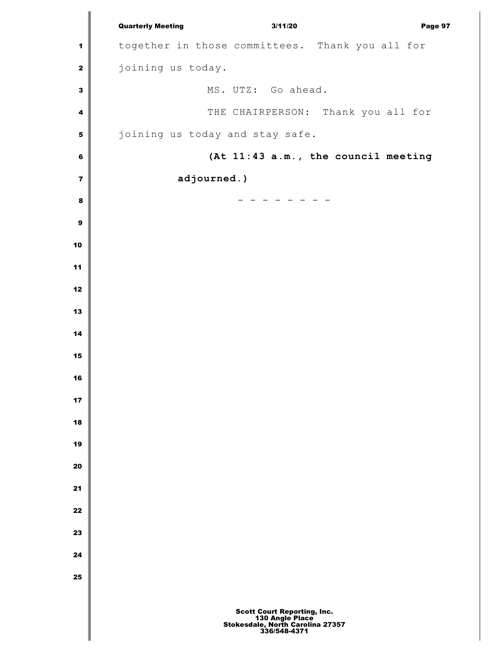|                         | <b>Quarterly Meeting</b>                        | 3/11/20<br>Page 97                                                                                 |  |
|-------------------------|-------------------------------------------------|----------------------------------------------------------------------------------------------------|--|
| $\mathbf 1$             | together in those committees. Thank you all for |                                                                                                    |  |
| $\mathbf 2$             | joining us today.                               |                                                                                                    |  |
| $\mathbf 3$             | MS. UTZ: Go ahead.                              |                                                                                                    |  |
| 4                       |                                                 | THE CHAIRPERSON: Thank you all for                                                                 |  |
| ${\bf 5}$               | joining us today and stay safe.                 |                                                                                                    |  |
| $\bf 6$                 |                                                 | (At 11:43 a.m., the council meeting                                                                |  |
| $\overline{\mathbf{z}}$ | adjourned.)                                     |                                                                                                    |  |
| $\pmb{8}$               |                                                 |                                                                                                    |  |
| $\boldsymbol{9}$        |                                                 |                                                                                                    |  |
| 10                      |                                                 |                                                                                                    |  |
| 11                      |                                                 |                                                                                                    |  |
| 12                      |                                                 |                                                                                                    |  |
| 13                      |                                                 |                                                                                                    |  |
| 14                      |                                                 |                                                                                                    |  |
| 15                      |                                                 |                                                                                                    |  |
| 16                      |                                                 |                                                                                                    |  |
| 17                      |                                                 |                                                                                                    |  |
| 18                      |                                                 |                                                                                                    |  |
| 19                      |                                                 |                                                                                                    |  |
| 20                      |                                                 |                                                                                                    |  |
| 21                      |                                                 |                                                                                                    |  |
| 22                      |                                                 |                                                                                                    |  |
| 23                      |                                                 |                                                                                                    |  |
| 24                      |                                                 |                                                                                                    |  |
| 25                      |                                                 |                                                                                                    |  |
|                         |                                                 | Scott Court Reporting, Inc.<br>130 Angle Place<br>Stokesdale, North Carolina 27357<br>336/548-4371 |  |